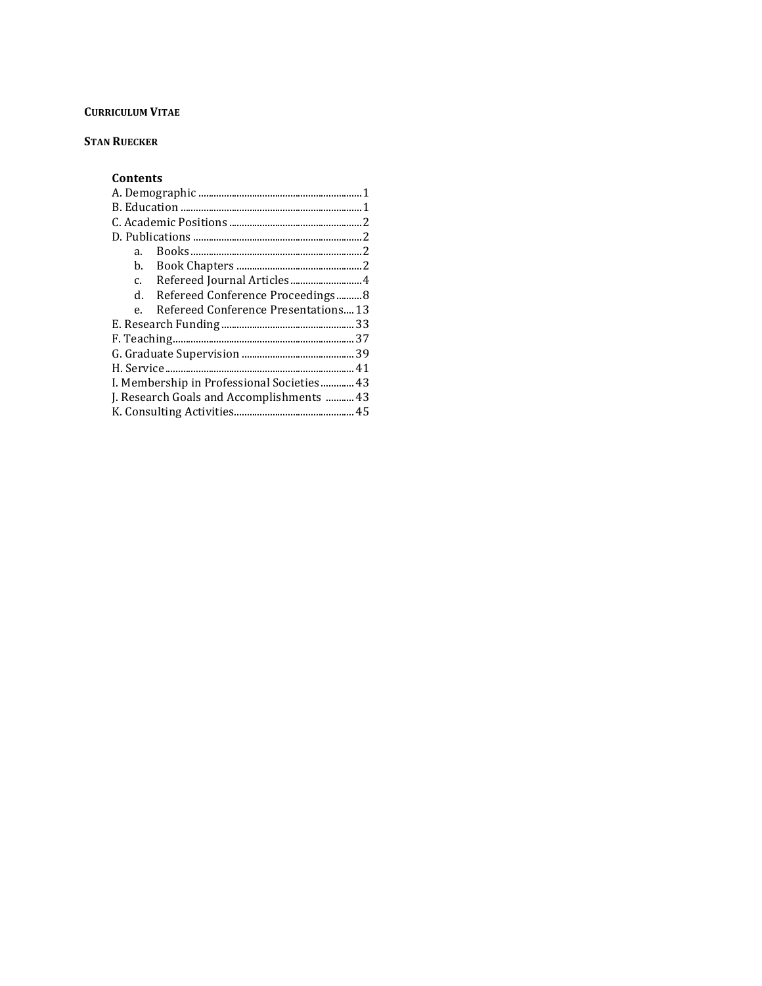# **CURRICULUM VITAE**

# **STAN RUECKER**

# **Contents**

| a.                                        |                                      |  |  |  |
|-------------------------------------------|--------------------------------------|--|--|--|
| b.                                        |                                      |  |  |  |
| $\mathbf{c}$ .                            |                                      |  |  |  |
| d.                                        | Refereed Conference Proceedings8     |  |  |  |
|                                           | Refereed Conference Presentations 13 |  |  |  |
|                                           |                                      |  |  |  |
|                                           |                                      |  |  |  |
|                                           |                                      |  |  |  |
|                                           |                                      |  |  |  |
| I. Membership in Professional Societies43 |                                      |  |  |  |
| J. Research Goals and Accomplishments  43 |                                      |  |  |  |
|                                           |                                      |  |  |  |
|                                           |                                      |  |  |  |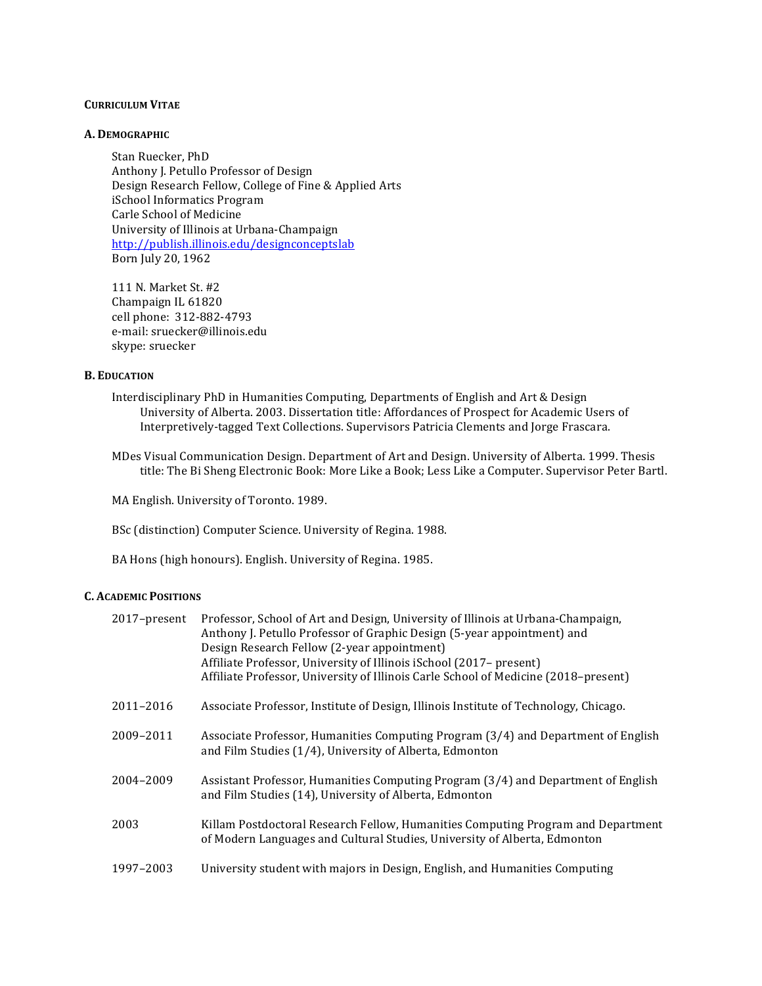# **CURRICULUM VITAE**

# **A. DEMOGRAPHIC**

Stan Ruecker, PhD Anthony J. Petullo Professor of Design Design Research Fellow, College of Fine & Applied Arts iSchool Informatics Program Carle School of Medicine University of Illinois at Urbana-Champaign http://publish.illinois.edu/designconceptslab Born July 20, 1962

111 N. Market St. #2 Champaign IL 61820 cell phone: 312-882-4793 e-mail: sruecker@illinois.edu skype: sruecker

# **B. EDUCATION**

- Interdisciplinary PhD in Humanities Computing, Departments of English and Art & Design University of Alberta. 2003. Dissertation title: Affordances of Prospect for Academic Users of Interpretively-tagged Text Collections. Supervisors Patricia Clements and Jorge Frascara.
- MDes Visual Communication Design. Department of Art and Design. University of Alberta. 1999. Thesis title: The Bi Sheng Electronic Book: More Like a Book; Less Like a Computer. Supervisor Peter Bartl.

MA English. University of Toronto. 1989.

BSc (distinction) Computer Science. University of Regina. 1988.

BA Hons (high honours). English. University of Regina. 1985.

# **C. ACADEMIC POSITIONS**

| 2017-present | Professor, School of Art and Design, University of Illinois at Urbana-Champaign,<br>Anthony J. Petullo Professor of Graphic Design (5-year appointment) and<br>Design Research Fellow (2-year appointment)<br>Affiliate Professor, University of Illinois iSchool (2017-present)<br>Affiliate Professor, University of Illinois Carle School of Medicine (2018-present) |
|--------------|-------------------------------------------------------------------------------------------------------------------------------------------------------------------------------------------------------------------------------------------------------------------------------------------------------------------------------------------------------------------------|
| 2011-2016    | Associate Professor, Institute of Design, Illinois Institute of Technology, Chicago.                                                                                                                                                                                                                                                                                    |
| 2009-2011    | Associate Professor, Humanities Computing Program (3/4) and Department of English<br>and Film Studies (1/4), University of Alberta, Edmonton                                                                                                                                                                                                                            |
| 2004-2009    | Assistant Professor, Humanities Computing Program (3/4) and Department of English<br>and Film Studies (14), University of Alberta, Edmonton                                                                                                                                                                                                                             |
| 2003         | Killam Postdoctoral Research Fellow, Humanities Computing Program and Department<br>of Modern Languages and Cultural Studies, University of Alberta, Edmonton                                                                                                                                                                                                           |
| 1997-2003    | University student with majors in Design, English, and Humanities Computing                                                                                                                                                                                                                                                                                             |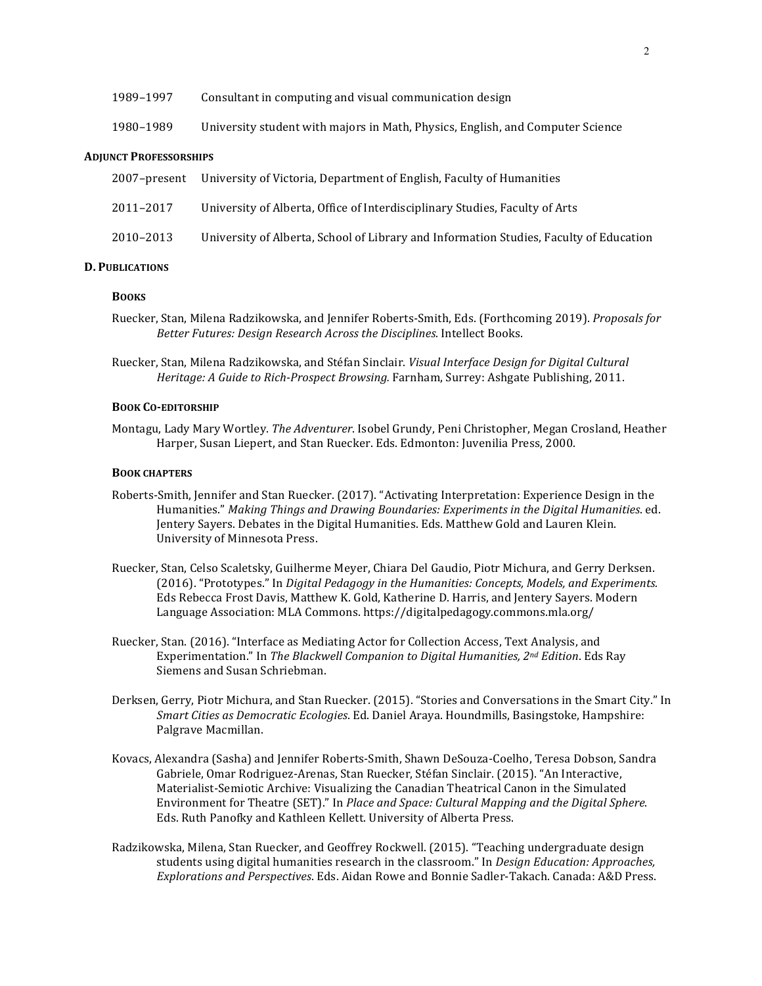1980–1989 University student with majors in Math, Physics, English, and Computer Science

#### **ADJUNCT PROFESSORSHIPS**

|           | 2007–present University of Victoria, Department of English, Faculty of Humanities      |
|-----------|----------------------------------------------------------------------------------------|
| 2011–2017 | University of Alberta, Office of Interdisciplinary Studies, Faculty of Arts            |
| 2010–2013 | University of Alberta, School of Library and Information Studies, Faculty of Education |

# **D. PUBLICATIONS**

### **BOOKS**

- Ruecker, Stan, Milena Radzikowska, and Jennifer Roberts-Smith, Eds. (Forthcoming 2019). *Proposals for Better Futures: Design Research Across the Disciplines.* Intellect Books.
- Ruecker, Stan, Milena Radzikowska, and Stéfan Sinclair. Visual Interface Design for Digital Cultural *Heritage: A Guide to Rich-Prospect Browsing.* Farnham, Surrey: Ashgate Publishing, 2011.

# **BOOK CO-EDITORSHIP**

Montagu, Lady Mary Wortley. The Adventurer. Isobel Grundy, Peni Christopher, Megan Crosland, Heather Harper, Susan Liepert, and Stan Ruecker. Eds. Edmonton: Juvenilia Press, 2000.

#### **BOOK CHAPTERS**

- Roberts-Smith, Jennifer and Stan Ruecker. (2017). "Activating Interpretation: Experience Design in the Humanities." Making Things and Drawing Boundaries: Experiments in the Digital Humanities. ed. Jentery Sayers. Debates in the Digital Humanities. Eds. Matthew Gold and Lauren Klein. University of Minnesota Press.
- Ruecker, Stan, Celso Scaletsky, Guilherme Meyer, Chiara Del Gaudio, Piotr Michura, and Gerry Derksen. (2016). "Prototypes." In *Digital Pedagogy in the Humanities: Concepts, Models, and Experiments.* Eds Rebecca Frost Davis, Matthew K. Gold, Katherine D. Harris, and Jentery Sayers. Modern Language Association: MLA Commons. https://digitalpedagogy.commons.mla.org/
- Ruecker, Stan. (2016). "Interface as Mediating Actor for Collection Access, Text Analysis, and Experimentation." In *The Blackwell Companion to Digital Humanities, 2<sup>nd</sup> Edition*. Eds Ray Siemens and Susan Schriebman.
- Derksen, Gerry, Piotr Michura, and Stan Ruecker. (2015). "Stories and Conversations in the Smart City." In *Smart Cities as Democratic Ecologies*. Ed. Daniel Araya. Houndmills, Basingstoke, Hampshire: Palgrave Macmillan.
- Kovacs, Alexandra (Sasha) and Jennifer Roberts-Smith, Shawn DeSouza-Coelho, Teresa Dobson, Sandra Gabriele, Omar Rodriguez-Arenas, Stan Ruecker, Stéfan Sinclair. (2015). "An Interactive, Materialist-Semiotic Archive: Visualizing the Canadian Theatrical Canon in the Simulated Environment for Theatre (SET)." In *Place and Space: Cultural Mapping and the Digital Sphere.* Eds. Ruth Panofky and Kathleen Kellett. University of Alberta Press.
- Radzikowska, Milena, Stan Ruecker, and Geoffrey Rockwell. (2015). "Teaching undergraduate design students using digital humanities research in the classroom." In *Design Education: Approaches*, *Explorations and Perspectives*. Eds. Aidan Rowe and Bonnie Sadler-Takach. Canada: A&D Press.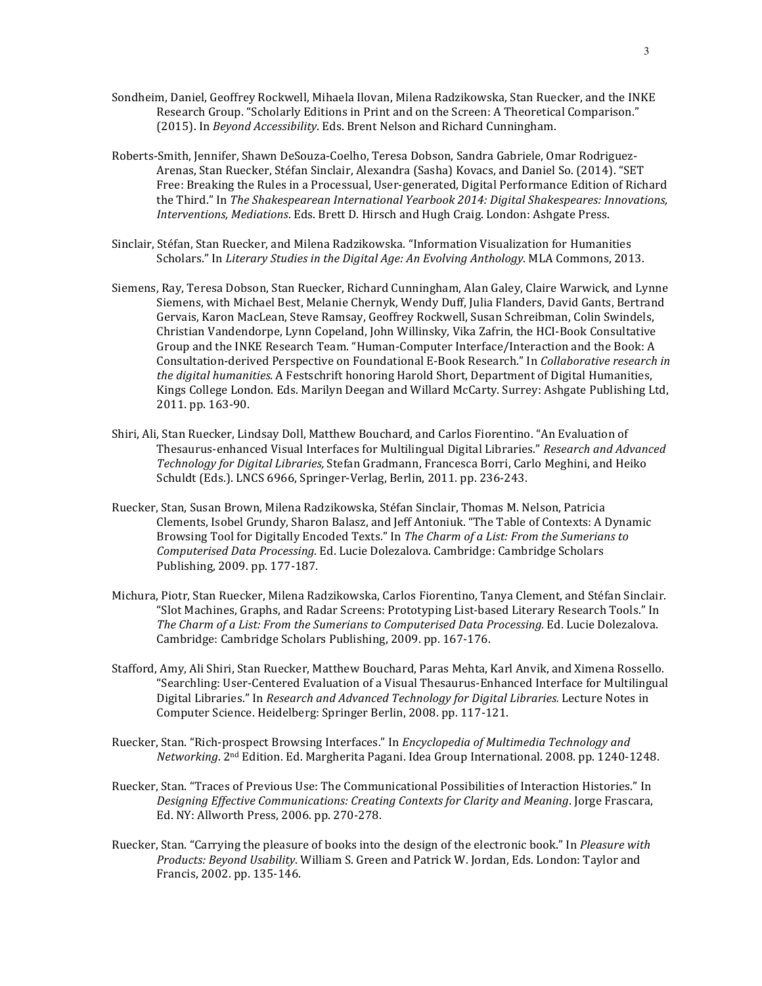- Sondheim, Daniel, Geoffrey Rockwell, Mihaela Ilovan, Milena Radzikowska, Stan Ruecker, and the INKE Research Group. "Scholarly Editions in Print and on the Screen: A Theoretical Comparison." (2015). In *Beyond Accessibility*. Eds. Brent Nelson and Richard Cunningham.
- Roberts-Smith, Jennifer, Shawn DeSouza-Coelho, Teresa Dobson, Sandra Gabriele, Omar Rodriguez-Arenas, Stan Ruecker, Stéfan Sinclair, Alexandra (Sasha) Kovacs, and Daniel So. (2014). "SET Free: Breaking the Rules in a Processual, User-generated, Digital Performance Edition of Richard the Third." In *The Shakespearean International Yearbook 2014: Digital Shakespeares: Innovations, Interventions, Mediations.* Eds. Brett D. Hirsch and Hugh Craig. London: Ashgate Press.
- Sinclair, Stéfan, Stan Ruecker, and Milena Radzikowska. "Information Visualization for Humanities Scholars." In *Literary Studies in the Digital Age: An Evolving Anthology*. MLA Commons, 2013.
- Siemens, Ray, Teresa Dobson, Stan Ruecker, Richard Cunningham, Alan Galey, Claire Warwick, and Lynne Siemens, with Michael Best, Melanie Chernyk, Wendy Duff, Julia Flanders, David Gants, Bertrand Gervais, Karon MacLean, Steve Ramsay, Geoffrey Rockwell, Susan Schreibman, Colin Swindels, Christian Vandendorpe, Lynn Copeland, John Willinsky, Vika Zafrin, the HCI-Book Consultative Group and the INKE Research Team. "Human-Computer Interface/Interaction and the Book: A Consultation-derived Perspective on Foundational E-Book Research." In *Collaborative research in* the digital humanities. A Festschrift honoring Harold Short, Department of Digital Humanities, Kings College London. Eds. Marilyn Deegan and Willard McCarty. Surrey: Ashgate Publishing Ltd, 2011. pp. 163-90.
- Shiri, Ali, Stan Ruecker, Lindsay Doll, Matthew Bouchard, and Carlos Fiorentino. "An Evaluation of Thesaurus-enhanced Visual Interfaces for Multilingual Digital Libraries." Research and Advanced *Technology for Digital Libraries,* Stefan Gradmann, Francesca Borri, Carlo Meghini, and Heiko Schuldt (Eds.). LNCS 6966, Springer-Verlag, Berlin, 2011. pp. 236-243.
- Ruecker, Stan, Susan Brown, Milena Radzikowska, Stéfan Sinclair, Thomas M. Nelson, Patricia Clements, Isobel Grundy, Sharon Balasz, and Jeff Antoniuk. "The Table of Contexts: A Dynamic Browsing Tool for Digitally Encoded Texts." In *The Charm of a List: From the Sumerians to Computerised Data Processing.* Ed. Lucie Dolezalova. Cambridge: Cambridge Scholars Publishing, 2009. pp. 177-187.
- Michura, Piotr, Stan Ruecker, Milena Radzikowska, Carlos Fiorentino, Tanya Clement, and Stéfan Sinclair. "Slot Machines, Graphs, and Radar Screens: Prototyping List-based Literary Research Tools." In The Charm of a List: From the Sumerians to Computerised Data Processing. Ed. Lucie Dolezalova. Cambridge: Cambridge Scholars Publishing, 2009. pp. 167-176.
- Stafford, Amy, Ali Shiri, Stan Ruecker, Matthew Bouchard, Paras Mehta, Karl Anvik, and Ximena Rossello. "Searchling: User-Centered Evaluation of a Visual Thesaurus-Enhanced Interface for Multilingual Digital Libraries." In *Research and Advanced Technology for Digital Libraries.* Lecture Notes in Computer Science. Heidelberg: Springer Berlin, 2008. pp. 117-121.
- Ruecker, Stan. "Rich-prospect Browsing Interfaces." In *Encyclopedia of Multimedia Technology and* Networking. 2<sup>nd</sup> Edition. Ed. Margherita Pagani. Idea Group International. 2008. pp. 1240-1248.
- Ruecker, Stan. "Traces of Previous Use: The Communicational Possibilities of Interaction Histories." In Designing Effective Communications: Creating Contexts for Clarity and Meaning. Jorge Frascara, Ed. NY: Allworth Press, 2006. pp. 270-278.
- Ruecker, Stan. "Carrying the pleasure of books into the design of the electronic book." In *Pleasure with Products: Beyond Usability*. William S. Green and Patrick W. Jordan, Eds. London: Taylor and Francis, 2002. pp. 135-146.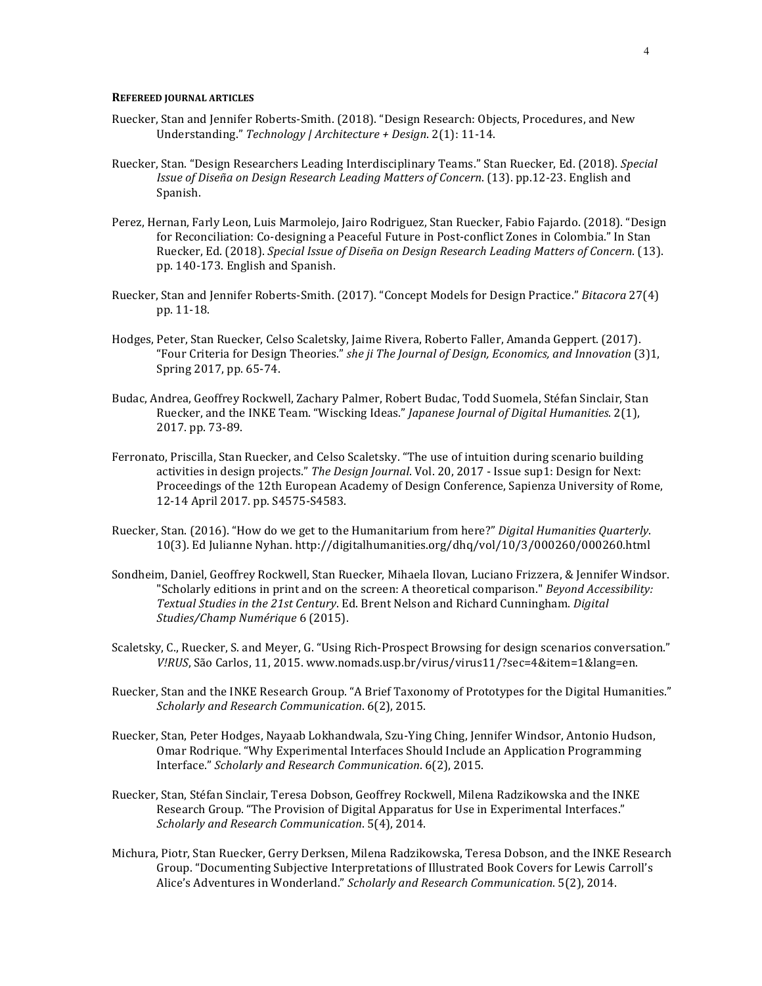#### **REFEREED JOURNAL ARTICLES**

- Ruecker, Stan and Jennifer Roberts-Smith. (2018). "Design Research: Objects, Procedures, and New Understanding." *Technology* | Architecture + Design. 2(1): 11-14.
- Ruecker, Stan. "Design Researchers Leading Interdisciplinary Teams." Stan Ruecker, Ed. (2018). *Special Issue of Diseña on Design Research Leading Matters of Concern.* (13). pp.12-23. English and Spanish.
- Perez, Hernan, Farly Leon, Luis Marmolejo, Jairo Rodriguez, Stan Ruecker, Fabio Fajardo. (2018). "Design for Reconciliation: Co-designing a Peaceful Future in Post-conflict Zones in Colombia." In Stan Ruecker, Ed. (2018). *Special Issue of Diseña on Design Research Leading Matters of Concern.* (13). pp. 140-173. English and Spanish.
- Ruecker, Stan and Jennifer Roberts-Smith. (2017). "Concept Models for Design Practice." *Bitacora* 27(4) pp. 11-18.
- Hodges, Peter, Stan Ruecker, Celso Scaletsky, Jaime Rivera, Roberto Faller, Amanda Geppert. (2017). "Four Criteria for Design Theories." *she ji The Journal of Design, Economics, and Innovation* (3)1, Spring 2017, pp. 65-74.
- Budac, Andrea, Geoffrey Rockwell, Zachary Palmer, Robert Budac, Todd Suomela, Stéfan Sinclair, Stan Ruecker, and the INKE Team. "Wiscking Ideas." *Japanese Journal of Digital Humanities*. 2(1), 2017. pp. 73-89.
- Ferronato, Priscilla, Stan Ruecker, and Celso Scaletsky. "The use of intuition during scenario building activities in design projects." *The Design Journal*. Vol. 20, 2017 - Issue sup1: Design for Next: Proceedings of the 12th European Academy of Design Conference, Sapienza University of Rome, 12-14 April 2017. pp. S4575-S4583.
- Ruecker, Stan. (2016). "How do we get to the Humanitarium from here?" Digital Humanities Quarterly. 10(3). Ed Julianne Nyhan. http://digitalhumanities.org/dhq/vol/10/3/000260/000260.html
- Sondheim, Daniel, Geoffrey Rockwell, Stan Ruecker, Mihaela Ilovan, Luciano Frizzera, & Jennifer Windsor. "Scholarly editions in print and on the screen: A theoretical comparison." *Beyond Accessibility:* Textual Studies in the 21st Century. Ed. Brent Nelson and Richard Cunningham. *Digital Studies/Champ Numérique* 6 (2015).
- Scaletsky, C., Ruecker, S. and Meyer, G. "Using Rich-Prospect Browsing for design scenarios conversation." *V!RUS*, São Carlos, 11, 2015. www.nomads.usp.br/virus/virus11/?sec=4&item=1&lang=en.
- Ruecker, Stan and the INKE Research Group. "A Brief Taxonomy of Prototypes for the Digital Humanities." *Scholarly and Research Communication*. 6(2), 2015.
- Ruecker, Stan, Peter Hodges, Nayaab Lokhandwala, Szu-Ying Ching, Jennifer Windsor, Antonio Hudson, Omar Rodrique. "Why Experimental Interfaces Should Include an Application Programming Interface." *Scholarly and Research Communication*. 6(2), 2015.
- Ruecker, Stan, Stéfan Sinclair, Teresa Dobson, Geoffrey Rockwell, Milena Radzikowska and the INKE Research Group. "The Provision of Digital Apparatus for Use in Experimental Interfaces." *Scholarly and Research Communication*. 5(4), 2014.
- Michura, Piotr, Stan Ruecker, Gerry Derksen, Milena Radzikowska, Teresa Dobson, and the INKE Research Group. "Documenting Subjective Interpretations of Illustrated Book Covers for Lewis Carroll's Alice's Adventures in Wonderland." *Scholarly and Research Communication*. 5(2), 2014.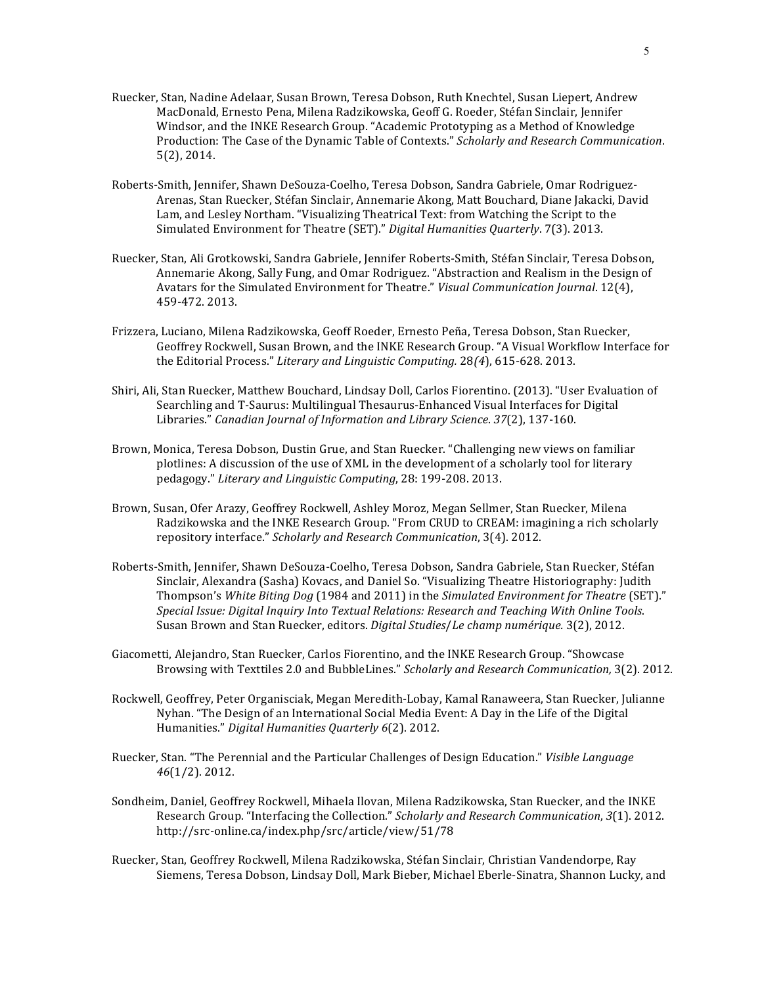- Ruecker, Stan, Nadine Adelaar, Susan Brown, Teresa Dobson, Ruth Knechtel, Susan Liepert, Andrew MacDonald, Ernesto Pena, Milena Radzikowska, Geoff G. Roeder, Stéfan Sinclair, Jennifer Windsor, and the INKE Research Group. "Academic Prototyping as a Method of Knowledge Production: The Case of the Dynamic Table of Contexts." Scholarly and Research Communication. 5(2), 2014.
- Roberts-Smith, Jennifer, Shawn DeSouza-Coelho, Teresa Dobson, Sandra Gabriele, Omar Rodriguez-Arenas, Stan Ruecker, Stéfan Sinclair, Annemarie Akong, Matt Bouchard, Diane Jakacki, David Lam, and Lesley Northam. "Visualizing Theatrical Text: from Watching the Script to the Simulated Environment for Theatre (SET)." *Digital Humanities Quarterly*. 7(3). 2013.
- Ruecker, Stan, Ali Grotkowski, Sandra Gabriele, Jennifer Roberts-Smith, Stéfan Sinclair, Teresa Dobson, Annemarie Akong, Sally Fung, and Omar Rodriguez. "Abstraction and Realism in the Design of Avatars for the Simulated Environment for Theatre." *Visual Communication Journal.* 12(4), 459-472. 2013.
- Frizzera, Luciano, Milena Radzikowska, Geoff Roeder, Ernesto Peña, Teresa Dobson, Stan Ruecker, Geoffrey Rockwell, Susan Brown, and the INKE Research Group. "A Visual Workflow Interface for the Editorial Process." *Literary and Linguistic Computing.* 28(4), 615-628. 2013.
- Shiri, Ali, Stan Ruecker, Matthew Bouchard, Lindsay Doll, Carlos Fiorentino. (2013). "User Evaluation of Searchling and T-Saurus: Multilingual Thesaurus-Enhanced Visual Interfaces for Digital Libraries." *Canadian Journal of Information and Library Science*. *37*(2), 137-160.
- Brown, Monica, Teresa Dobson, Dustin Grue, and Stan Ruecker. "Challenging new views on familiar plotlines: A discussion of the use of XML in the development of a scholarly tool for literary pedagogy." *Literary and Linguistic Computing*, 28: 199-208. 2013.
- Brown, Susan, Ofer Arazy, Geoffrey Rockwell, Ashley Moroz, Megan Sellmer, Stan Ruecker, Milena Radzikowska and the INKE Research Group. "From CRUD to CREAM: imagining a rich scholarly repository interface." Scholarly and Research Communication, 3(4). 2012.
- Roberts-Smith, Jennifer, Shawn DeSouza-Coelho, Teresa Dobson, Sandra Gabriele, Stan Ruecker, Stéfan Sinclair, Alexandra (Sasha) Kovacs, and Daniel So. "Visualizing Theatre Historiography: Judith Thompson's White Biting Dog (1984 and 2011) in the Simulated Environment for Theatre (SET)." Special Issue: Digital Inquiry Into Textual Relations: Research and Teaching With Online Tools. Susan Brown and Stan Ruecker, editors. *Digital Studies/Le champ numérique.* 3(2), 2012.
- Giacometti, Alejandro, Stan Ruecker, Carlos Fiorentino, and the INKE Research Group. "Showcase Browsing with Texttiles 2.0 and BubbleLines." *Scholarly and Research Communication*, 3(2). 2012.
- Rockwell, Geoffrey, Peter Organisciak, Megan Meredith-Lobay, Kamal Ranaweera, Stan Ruecker, Julianne Nyhan. "The Design of an International Social Media Event: A Day in the Life of the Digital Humanities." Digital Humanities Quarterly 6(2). 2012.
- Ruecker, Stan. "The Perennial and the Particular Challenges of Design Education." *Visible Language 46*(1/2). 2012.
- Sondheim, Daniel, Geoffrey Rockwell, Mihaela Ilovan, Milena Radzikowska, Stan Ruecker, and the INKE Research Group. "Interfacing the Collection." *Scholarly and Research Communication*, 3(1). 2012. http://src-online.ca/index.php/src/article/view/51/78
- Ruecker, Stan, Geoffrey Rockwell, Milena Radzikowska, Stéfan Sinclair, Christian Vandendorpe, Ray Siemens, Teresa Dobson, Lindsay Doll, Mark Bieber, Michael Eberle-Sinatra, Shannon Lucky, and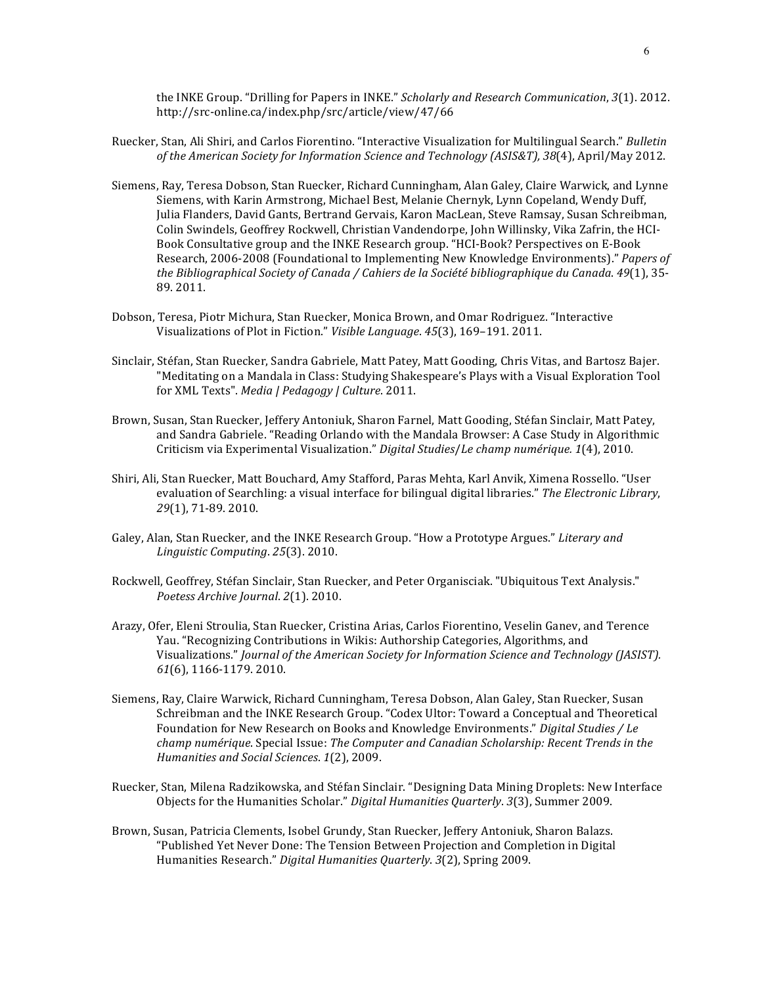the INKE Group. "Drilling for Papers in INKE." *Scholarly and Research Communication*, 3(1). 2012. http://src-online.ca/index.php/src/article/view/47/66

- Ruecker, Stan, Ali Shiri, and Carlos Fiorentino. "Interactive Visualization for Multilingual Search." *Bulletin* of the American Society for Information Science and Technology (ASIS&T), 38(4), April/May 2012.
- Siemens, Ray, Teresa Dobson, Stan Ruecker, Richard Cunningham, Alan Galey, Claire Warwick, and Lynne Siemens, with Karin Armstrong, Michael Best, Melanie Chernyk, Lynn Copeland, Wendy Duff, Julia Flanders, David Gants, Bertrand Gervais, Karon MacLean, Steve Ramsay, Susan Schreibman, Colin Swindels, Geoffrey Rockwell, Christian Vandendorpe, John Willinsky, Vika Zafrin, the HCI-Book Consultative group and the INKE Research group. "HCI-Book? Perspectives on E-Book Research, 2006-2008 (Foundational to Implementing New Knowledge Environments)." Papers of *the Bibliographical Society of Canada* / *Cahiers de la Société bibliographique du Canada.* 49(1), 35-89. 2011.
- Dobson, Teresa, Piotr Michura, Stan Ruecker, Monica Brown, and Omar Rodriguez. "Interactive Visualizations of Plot in Fiction." *Visible Language*. *45*(3), 169–191. 2011.
- Sinclair, Stéfan, Stan Ruecker, Sandra Gabriele, Matt Patey, Matt Gooding, Chris Vitas, and Bartosz Bajer. "Meditating on a Mandala in Class: Studying Shakespeare's Plays with a Visual Exploration Tool for XML Texts". Media | Pedagogy | Culture. 2011.
- Brown, Susan, Stan Ruecker, Jeffery Antoniuk, Sharon Farnel, Matt Gooding, Stéfan Sinclair, Matt Patey, and Sandra Gabriele. "Reading Orlando with the Mandala Browser: A Case Study in Algorithmic Criticism via Experimental Visualization." *Digital Studies/Le champ numérique.* 1(4), 2010.
- Shiri, Ali, Stan Ruecker, Matt Bouchard, Amy Stafford, Paras Mehta, Karl Anvik, Ximena Rossello. "User evaluation of Searchling: a visual interface for bilingual digital libraries." The Electronic Library, 29(1), 71-89. 2010.
- Galey, Alan, Stan Ruecker, and the INKE Research Group. "How a Prototype Argues." *Literary and Linguistic Computing*. *25*(3). 2010.
- Rockwell, Geoffrey, Stéfan Sinclair, Stan Ruecker, and Peter Organisciak. "Ubiquitous Text Analysis." *Poetess Archive Journal*. *2*(1). 2010.
- Arazy, Ofer, Eleni Stroulia, Stan Ruecker, Cristina Arias, Carlos Fiorentino, Veselin Ganev, and Terence Yau. "Recognizing Contributions in Wikis: Authorship Categories, Algorithms, and Visualizations." *Journal of the American Society for Information Science and Technology (JASIST).*  $61(6)$ , 1166-1179. 2010.
- Siemens, Ray, Claire Warwick, Richard Cunningham, Teresa Dobson, Alan Galey, Stan Ruecker, Susan Schreibman and the INKE Research Group. "Codex Ultor: Toward a Conceptual and Theoretical Foundation for New Research on Books and Knowledge Environments." *Digital Studies / Le champ numérique.* Special Issue: *The Computer and Canadian Scholarship: Recent Trends in the Humanities and Social Sciences.* 1(2), 2009.
- Ruecker, Stan, Milena Radzikowska, and Stéfan Sinclair. "Designing Data Mining Droplets: New Interface Objects for the Humanities Scholar." Digital Humanities Quarterly. 3(3), Summer 2009.
- Brown, Susan, Patricia Clements, Isobel Grundy, Stan Ruecker, Jeffery Antoniuk, Sharon Balazs. "Published Yet Never Done: The Tension Between Projection and Completion in Digital Humanities Research." *Digital Humanities Quarterly*. 3(2), Spring 2009.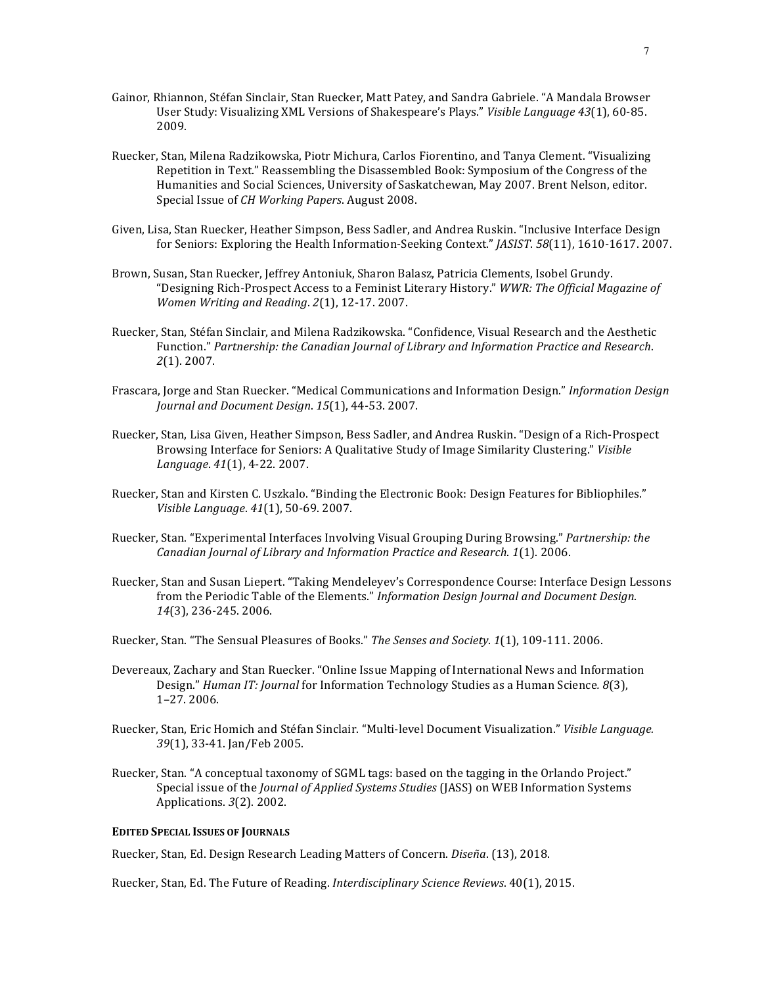- Gainor, Rhiannon, Stéfan Sinclair, Stan Ruecker, Matt Patey, and Sandra Gabriele. "A Mandala Browser User Study: Visualizing XML Versions of Shakespeare's Plays." Visible Language 43(1), 60-85. 2009.
- Ruecker, Stan, Milena Radzikowska, Piotr Michura, Carlos Fiorentino, and Tanya Clement. "Visualizing Repetition in Text." Reassembling the Disassembled Book: Symposium of the Congress of the Humanities and Social Sciences, University of Saskatchewan, May 2007. Brent Nelson, editor. Special Issue of *CH Working Papers*. August 2008.
- Given, Lisa, Stan Ruecker, Heather Simpson, Bess Sadler, and Andrea Ruskin. "Inclusive Interface Design for Seniors: Exploring the Health Information-Seeking Context." *[ASIST. 58*(11), 1610-1617. 2007.
- Brown, Susan, Stan Ruecker, Jeffrey Antoniuk, Sharon Balasz, Patricia Clements, Isobel Grundy. "Designing Rich-Prospect Access to a Feminist Literary History." *WWR: The Official Magazine of Women Writing and Reading*. *2*(1), 12-17. 2007.
- Ruecker, Stan, Stéfan Sinclair, and Milena Radzikowska. "Confidence, Visual Research and the Aesthetic Function." Partnership: the Canadian Journal of Library and Information Practice and Research. *2*(1). 2007.
- Frascara, Jorge and Stan Ruecker. "Medical Communications and Information Design." *Information Design Journal and Document Design*. *15*(1), 44-53. 2007.
- Ruecker, Stan, Lisa Given, Heather Simpson, Bess Sadler, and Andrea Ruskin. "Design of a Rich-Prospect Browsing Interface for Seniors: A Qualitative Study of Image Similarity Clustering." Visible *Language*. *41*(1), 4-22. 2007.
- Ruecker, Stan and Kirsten C. Uszkalo. "Binding the Electronic Book: Design Features for Bibliophiles." *Visible Language*. *41*(1), 50-69. 2007.
- Ruecker, Stan. "Experimental Interfaces Involving Visual Grouping During Browsing." *Partnership: the Canadian Journal of Library and Information Practice and Research.* 1(1). 2006.
- Ruecker, Stan and Susan Liepert. "Taking Mendeleyev's Correspondence Course: Interface Design Lessons from the Periodic Table of the Elements." *Information Design Journal and Document Design*. *14*(3), 236-245. 2006.
- Ruecker, Stan. "The Sensual Pleasures of Books." *The Senses and Society*. 1(1), 109-111. 2006.
- Devereaux, Zachary and Stan Ruecker. "Online Issue Mapping of International News and Information Design." *Human IT: Journal* for Information Technology Studies as a Human Science. 8(3), 1–27. 2006.
- Ruecker, Stan, Eric Homich and Stéfan Sinclair. "Multi-level Document Visualization." Visible Language. 39(1), 33-41. Jan/Feb 2005.
- Ruecker, Stan. "A conceptual taxonomy of SGML tags: based on the tagging in the Orlando Project." Special issue of the *Journal of Applied Systems Studies* (JASS) on WEB Information Systems Applications. *3*(2). 2002.

### **EDITED SPECIAL ISSUES OF JOURNALS**

Ruecker, Stan, Ed. Design Research Leading Matters of Concern. *Diseña*. (13), 2018.

Ruecker, Stan, Ed. The Future of Reading. *Interdisciplinary Science Reviews*. 40(1), 2015.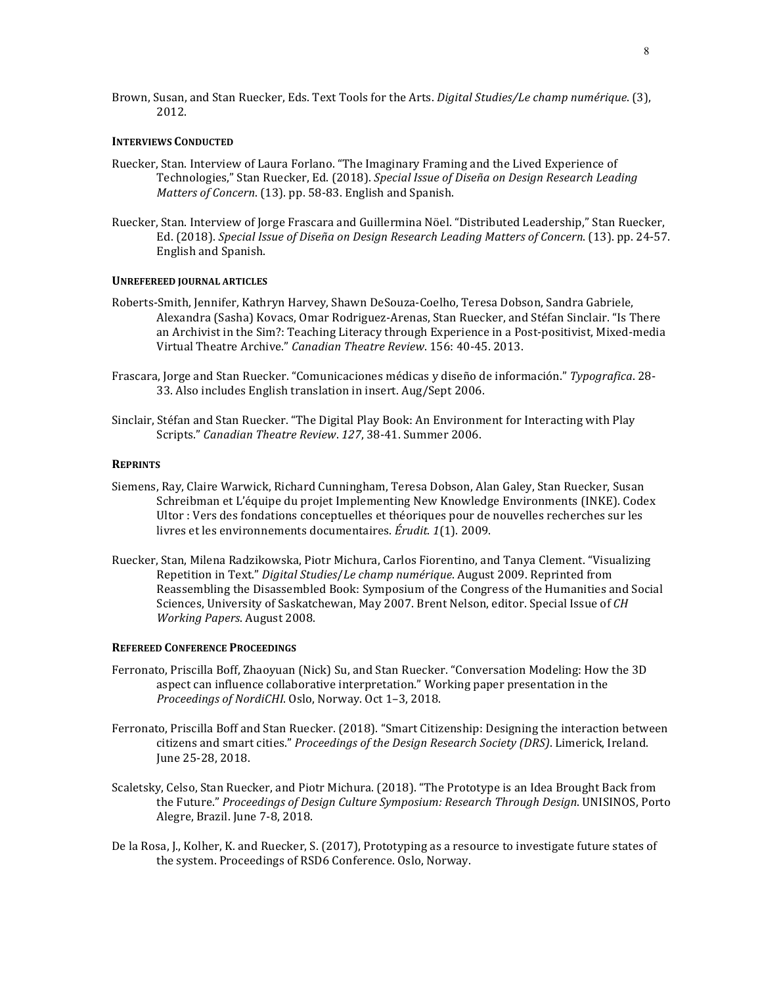Brown, Susan, and Stan Ruecker, Eds. Text Tools for the Arts. *Digital Studies/Le champ numérique*. (3), 2012.

#### **INTERVIEWS CONDUCTED**

- Ruecker, Stan. Interview of Laura Forlano. "The Imaginary Framing and the Lived Experience of Technologies," Stan Ruecker, Ed. (2018). *Special Issue of Diseña on Design Research Leading Matters of Concern.* (13). pp. 58-83. English and Spanish.
- Ruecker, Stan. Interview of Jorge Frascara and Guillermina Nöel. "Distributed Leadership," Stan Ruecker, Ed. (2018). *Special Issue of Diseña on Design Research Leading Matters of Concern.* (13). pp. 24-57. English and Spanish.

### **UNREFEREED JOURNAL ARTICLES**

- Roberts-Smith, Jennifer, Kathryn Harvey, Shawn DeSouza-Coelho, Teresa Dobson, Sandra Gabriele, Alexandra (Sasha) Kovacs, Omar Rodriguez-Arenas, Stan Ruecker, and Stéfan Sinclair. "Is There an Archivist in the Sim?: Teaching Literacy through Experience in a Post-positivist, Mixed-media Virtual Theatre Archive." *Canadian Theatre Review*. 156: 40-45. 2013.
- Frascara, Jorge and Stan Ruecker. "Comunicaciones médicas y diseño de información." Typografica. 28-33. Also includes English translation in insert. Aug/Sept 2006.
- Sinclair, Stéfan and Stan Ruecker. "The Digital Play Book: An Environment for Interacting with Play Scripts." Canadian Theatre Review. 127, 38-41. Summer 2006.

#### **REPRINTS**

- Siemens, Ray, Claire Warwick, Richard Cunningham, Teresa Dobson, Alan Galey, Stan Ruecker, Susan Schreibman et L'équipe du projet Implementing New Knowledge Environments (INKE). Codex Ultor : Vers des fondations conceptuelles et théoriques pour de nouvelles recherches sur les livres et les environnements documentaires. *Érudit.* 1(1). 2009.
- Ruecker, Stan, Milena Radzikowska, Piotr Michura, Carlos Fiorentino, and Tanya Clement. "Visualizing Repetition in Text." Digital Studies/*Le champ numérique*. August 2009. Reprinted from Reassembling the Disassembled Book: Symposium of the Congress of the Humanities and Social Sciences, University of Saskatchewan, May 2007. Brent Nelson, editor. Special Issue of CH *Working Papers*. August 2008.

#### **REFEREED CONFERENCE PROCEEDINGS**

- Ferronato, Priscilla Boff, Zhaoyuan (Nick) Su, and Stan Ruecker. "Conversation Modeling: How the 3D aspect can influence collaborative interpretation." Working paper presentation in the Proceedings of NordiCHI. Oslo, Norway. Oct 1-3, 2018.
- Ferronato, Priscilla Boff and Stan Ruecker. (2018). "Smart Citizenship: Designing the interaction between citizens and smart cities." *Proceedings of the Design Research Society (DRS)*. Limerick, Ireland. June 25-28, 2018.
- Scaletsky, Celso, Stan Ruecker, and Piotr Michura. (2018). "The Prototype is an Idea Brought Back from the Future." Proceedings of Design Culture Symposium: Research Through Design. UNISINOS, Porto Alegre, Brazil. June 7-8, 2018.
- De la Rosa, J., Kolher, K. and Ruecker, S. (2017), Prototyping as a resource to investigate future states of the system. Proceedings of RSD6 Conference. Oslo, Norway.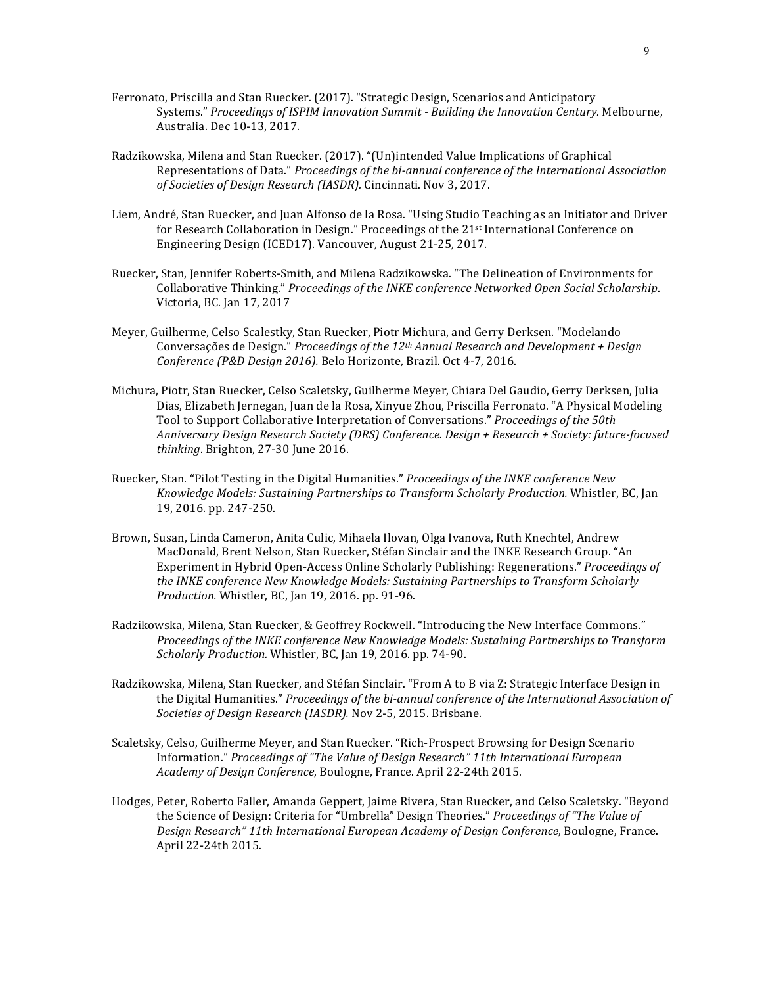- Ferronato, Priscilla and Stan Ruecker. (2017). "Strategic Design, Scenarios and Anticipatory Systems." *Proceedings of ISPIM Innovation Summit - Building the Innovation Century.* Melbourne, Australia. Dec 10-13, 2017.
- Radzikowska, Milena and Stan Ruecker. (2017). "(Un)intended Value Implications of Graphical Representations of Data." *Proceedings of the bi-annual conference of the International Association* of Societies of Design Research (IASDR). Cincinnati. Nov 3, 2017.
- Liem, André, Stan Ruecker, and Juan Alfonso de la Rosa. "Using Studio Teaching as an Initiator and Driver for Research Collaboration in Design." Proceedings of the  $21<sup>st</sup>$  International Conference on Engineering Design (ICED17). Vancouver, August 21-25, 2017.
- Ruecker, Stan, Jennifer Roberts-Smith, and Milena Radzikowska. "The Delineation of Environments for Collaborative Thinking." Proceedings of the INKE conference Networked Open Social Scholarship. Victoria, BC. Jan 17, 2017
- Meyer, Guilherme, Celso Scalestky, Stan Ruecker, Piotr Michura, and Gerry Derksen. "Modelando Conversações de Design." *Proceedings of the 12<sup>th</sup> Annual Research and Development + Design* Conference (P&D Design 2016). Belo Horizonte, Brazil. Oct 4-7, 2016.
- Michura, Piotr, Stan Ruecker, Celso Scaletsky, Guilherme Meyer, Chiara Del Gaudio, Gerry Derksen, Julia Dias, Elizabeth Jernegan, Juan de la Rosa, Xinyue Zhou, Priscilla Ferronato. "A Physical Modeling Tool to Support Collaborative Interpretation of Conversations." *Proceedings of the 50th Anniversary Design Research Society (DRS) Conference. Design + Research + Society: future-focused*  thinking. Brighton, 27-30 June 2016.
- Ruecker, Stan. "Pilot Testing in the Digital Humanities." *Proceedings of the INKE conference New* Knowledge Models: Sustaining Partnerships to Transform Scholarly Production. Whistler, BC, Jan 19, 2016. pp. 247-250.
- Brown, Susan, Linda Cameron, Anita Culic, Mihaela Ilovan, Olga Ivanova, Ruth Knechtel, Andrew MacDonald, Brent Nelson, Stan Ruecker, Stéfan Sinclair and the INKE Research Group. "An Experiment in Hybrid Open-Access Online Scholarly Publishing: Regenerations." *Proceedings of* the INKE conference New Knowledge Models: Sustaining Partnerships to Transform Scholarly *Production.* Whistler, BC, Jan 19, 2016. pp. 91-96.
- Radzikowska, Milena, Stan Ruecker, & Geoffrey Rockwell. "Introducing the New Interface Commons." *Proceedings of the INKE conference New Knowledge Models: Sustaining Partnerships to Transform Scholarly Production.* Whistler, BC, Jan 19, 2016. pp. 74-90.
- Radzikowska, Milena, Stan Ruecker, and Stéfan Sinclair. "From A to B via Z: Strategic Interface Design in the Digital Humanities." Proceedings of the bi-annual conference of the International Association of Societies of Design Research (IASDR). Nov 2-5, 2015. Brisbane.
- Scaletsky, Celso, Guilherme Meyer, and Stan Ruecker. "Rich-Prospect Browsing for Design Scenario Information." Proceedings of "The Value of Design Research" 11th International European *Academy of Design Conference*, Boulogne, France. April 22-24th 2015.
- Hodges, Peter, Roberto Faller, Amanda Geppert, Jaime Rivera, Stan Ruecker, and Celso Scaletsky. "Beyond the Science of Design: Criteria for "Umbrella" Design Theories." *Proceedings of "The Value of* Design Research" 11th International European Academy of Design Conference, Boulogne, France. April 22-24th 2015.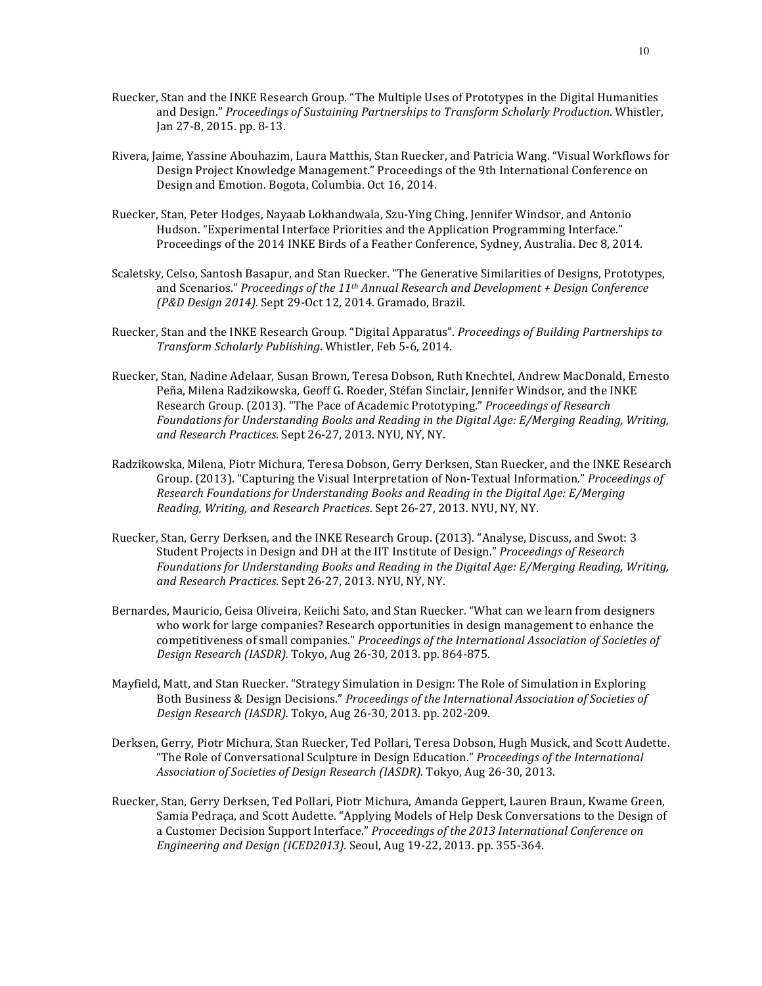- Ruecker, Stan and the INKE Research Group. "The Multiple Uses of Prototypes in the Digital Humanities and Design." *Proceedings of Sustaining Partnerships to Transform Scholarly Production*. Whistler, Jan 27-8, 2015. pp. 8-13.
- Rivera, Jaime, Yassine Abouhazim, Laura Matthis, Stan Ruecker, and Patricia Wang. "Visual Workflows for Design Project Knowledge Management." Proceedings of the 9th International Conference on Design and Emotion. Bogota, Columbia. Oct 16, 2014.
- Ruecker, Stan, Peter Hodges, Nayaab Lokhandwala, Szu-Ying Ching, Jennifer Windsor, and Antonio Hudson. "Experimental Interface Priorities and the Application Programming Interface." Proceedings of the 2014 INKE Birds of a Feather Conference, Sydney, Australia. Dec 8, 2014.
- Scaletsky, Celso, Santosh Basapur, and Stan Ruecker. "The Generative Similarities of Designs, Prototypes, and Scenarios." *Proceedings of the 11<sup>th</sup> Annual Research and Development + Design Conference (P&D Design 2014).* Sept 29-Oct 12, 2014. Gramado, Brazil.
- Ruecker, Stan and the INKE Research Group. "Digital Apparatus". *Proceedings of Building Partnerships to Transform Scholarly Publishing*. Whistler, Feb 5-6, 2014.
- Ruecker, Stan, Nadine Adelaar, Susan Brown, Teresa Dobson, Ruth Knechtel, Andrew MacDonald, Ernesto Peña, Milena Radzikowska, Geoff G. Roeder, Stéfan Sinclair, Jennifer Windsor, and the INKE Research Group. (2013). "The Pace of Academic Prototyping." *Proceedings of Research* Foundations for Understanding Books and Reading in the Digital Age: E/Merging Reading, Writing, and Research Practices. Sept 26-27, 2013. NYU, NY, NY.
- Radzikowska, Milena, Piotr Michura, Teresa Dobson, Gerry Derksen, Stan Ruecker, and the INKE Research Group. (2013). "Capturing the Visual Interpretation of Non-Textual Information." Proceedings of *Research Foundations for Understanding Books and Reading in the Digital Age: E/Merging Reading, Writing, and Research Practices.* Sept 26-27, 2013. NYU, NY, NY.
- Ruecker, Stan, Gerry Derksen, and the INKE Research Group. (2013). "Analyse, Discuss, and Swot: 3 Student Projects in Design and DH at the IIT Institute of Design." *Proceedings of Research* Foundations for Understanding Books and Reading in the Digital Age: E/Merging Reading, Writing, and Research Practices. Sept 26-27, 2013. NYU, NY, NY.
- Bernardes, Mauricio, Geisa Oliveira, Keiichi Sato, and Stan Ruecker. "What can we learn from designers who work for large companies? Research opportunities in design management to enhance the competitiveness of small companies." *Proceedings of the International Association of Societies of Design Research (IASDR).* Tokyo, Aug 26-30, 2013. pp. 864-875.
- Mayfield, Matt, and Stan Ruecker. "Strategy Simulation in Design: The Role of Simulation in Exploring Both Business & Design Decisions." Proceedings of the International Association of Societies of *Design Research (IASDR).* Tokyo, Aug 26-30, 2013. pp. 202-209.
- Derksen, Gerry, Piotr Michura, Stan Ruecker, Ted Pollari, Teresa Dobson, Hugh Musick, and Scott Audette. "The Role of Conversational Sculpture in Design Education." *Proceedings of the International* Association of Societies of Design Research (IASDR). Tokyo, Aug 26-30, 2013.
- Ruecker, Stan, Gerry Derksen, Ted Pollari, Piotr Michura, Amanda Geppert, Lauren Braun, Kwame Green, Samia Pedraça, and Scott Audette. "Applying Models of Help Desk Conversations to the Design of a Customer Decision Support Interface." *Proceedings of the 2013 International Conference on Engineering and Design (ICED2013).* Seoul, Aug 19-22, 2013. pp. 355-364.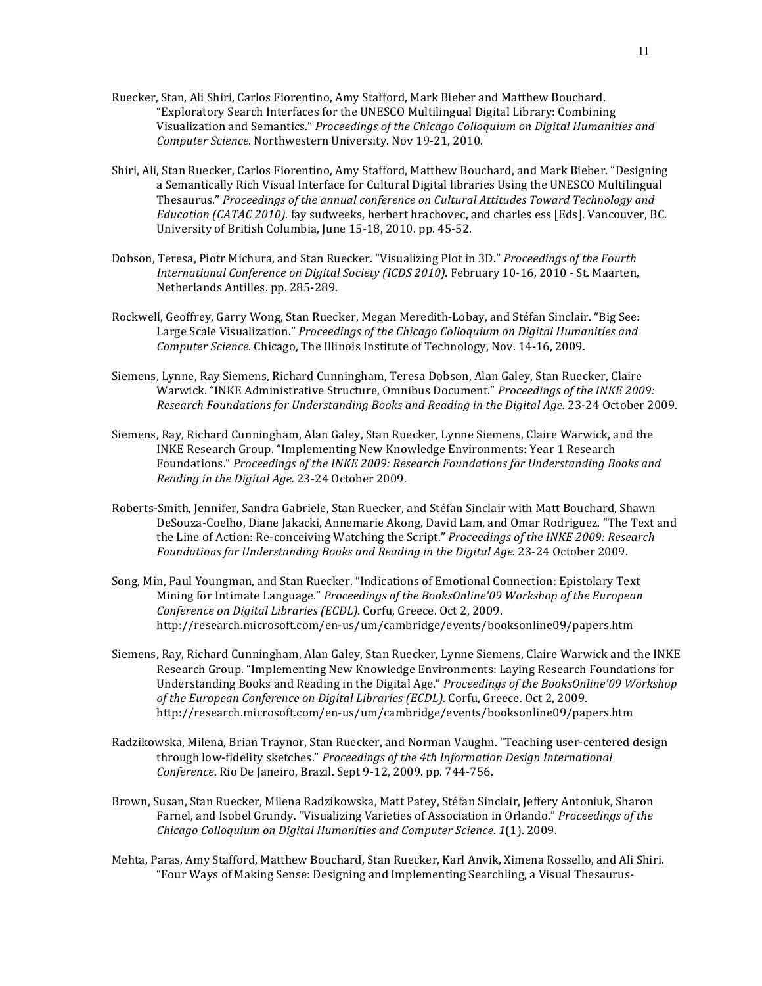- Ruecker, Stan, Ali Shiri, Carlos Fiorentino, Amy Stafford, Mark Bieber and Matthew Bouchard. "Exploratory Search Interfaces for the UNESCO Multilingual Digital Library: Combining Visualization and Semantics." *Proceedings of the Chicago Colloquium on Digital Humanities and Computer Science*. Northwestern University. Nov 19-21, 2010.
- Shiri, Ali, Stan Ruecker, Carlos Fiorentino, Amy Stafford, Matthew Bouchard, and Mark Bieber. "Designing a Semantically Rich Visual Interface for Cultural Digital libraries Using the UNESCO Multilingual Thesaurus." Proceedings of the annual conference on Cultural Attitudes Toward Technology and *Education (CATAC 2010).* fay sudweeks, herbert hrachovec, and charles ess [Eds]. Vancouver, BC. University of British Columbia, June 15-18, 2010. pp. 45-52.
- Dobson, Teresa, Piotr Michura, and Stan Ruecker. "Visualizing Plot in 3D." Proceedings of the Fourth *International Conference on Digital Society (ICDS 2010).* February 10-16, 2010 - St. Maarten, Netherlands Antilles. pp. 285-289.
- Rockwell, Geoffrey, Garry Wong, Stan Ruecker, Megan Meredith-Lobay, and Stéfan Sinclair. "Big See: Large Scale Visualization." *Proceedings of the Chicago Colloquium on Digital Humanities and Computer Science*. Chicago, The Illinois Institute of Technology, Nov. 14-16, 2009.
- Siemens, Lynne, Ray Siemens, Richard Cunningham, Teresa Dobson, Alan Galey, Stan Ruecker, Claire Warwick. "INKE Administrative Structure, Omnibus Document." *Proceedings of the INKE 2009: Research Foundations for Understanding Books and Reading in the Digital Age.* 23-24 October 2009.
- Siemens, Ray, Richard Cunningham, Alan Galey, Stan Ruecker, Lynne Siemens, Claire Warwick, and the INKE Research Group. "Implementing New Knowledge Environments: Year 1 Research Foundations." Proceedings of the INKE 2009: Research Foundations for Understanding Books and Reading in the Digital Age. 23-24 October 2009.
- Roberts-Smith, Jennifer, Sandra Gabriele, Stan Ruecker, and Stéfan Sinclair with Matt Bouchard, Shawn DeSouza-Coelho, Diane Jakacki, Annemarie Akong, David Lam, and Omar Rodriguez. "The Text and the Line of Action: Re-conceiving Watching the Script." *Proceedings of the INKE 2009: Research* Foundations for Understanding Books and Reading in the Digital Age. 23-24 October 2009.
- Song, Min, Paul Youngman, and Stan Ruecker. "Indications of Emotional Connection: Epistolary Text Mining for Intimate Language." Proceedings of the BooksOnline'09 Workshop of the European Conference on Digital Libraries (ECDL). Corfu, Greece. Oct 2, 2009. http://research.microsoft.com/en-us/um/cambridge/events/booksonline09/papers.htm
- Siemens, Ray, Richard Cunningham, Alan Galey, Stan Ruecker, Lynne Siemens, Claire Warwick and the INKE Research Group. "Implementing New Knowledge Environments: Laying Research Foundations for Understanding Books and Reading in the Digital Age." *Proceedings of the BooksOnline'09 Workshop* of the *European Conference on Digital Libraries* (*ECDL*). Corfu, Greece. Oct 2, 2009. http://research.microsoft.com/en-us/um/cambridge/events/booksonline09/papers.htm
- Radzikowska, Milena, Brian Traynor, Stan Ruecker, and Norman Vaughn. "Teaching user-centered design through low-fidelity sketches." Proceedings of the 4th Information Design International *Conference*. Rio De Janeiro, Brazil. Sept 9-12, 2009. pp. 744-756.
- Brown, Susan, Stan Ruecker, Milena Radzikowska, Matt Patey, Stéfan Sinclair, Jeffery Antoniuk, Sharon Farnel, and Isobel Grundy. "Visualizing Varieties of Association in Orlando." Proceedings of the *Chicago Colloquium on Digital Humanities and Computer Science*. *1*(1). 2009.
- Mehta, Paras, Amy Stafford, Matthew Bouchard, Stan Ruecker, Karl Anvik, Ximena Rossello, and Ali Shiri. "Four Ways of Making Sense: Designing and Implementing Searchling, a Visual Thesaurus-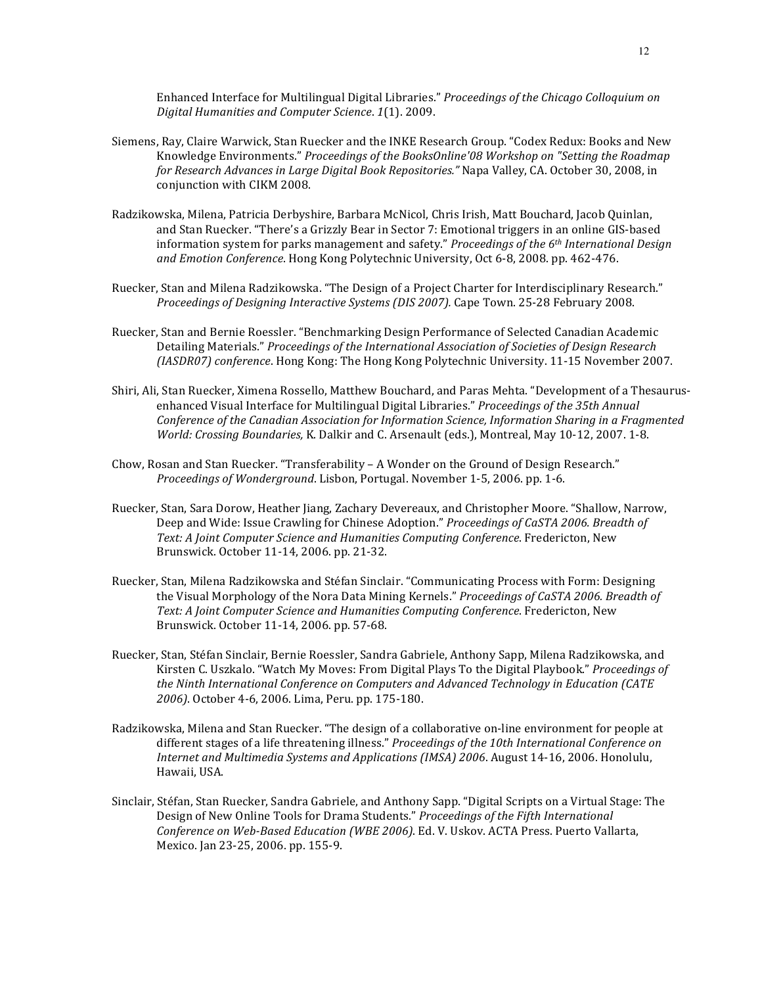Enhanced Interface for Multilingual Digital Libraries." *Proceedings of the Chicago Colloquium on Digital Humanities and Computer Science*. *1*(1). 2009.

- Siemens, Ray, Claire Warwick, Stan Ruecker and the INKE Research Group. "Codex Redux: Books and New Knowledge Environments." *Proceedings of the BooksOnline'08 Workshop on "Setting the Roadmap for Research Advances in Large Digital Book Repositories."* Napa Valley, CA. October 30, 2008, in conjunction with CIKM 2008.
- Radzikowska, Milena, Patricia Derbyshire, Barbara McNicol, Chris Irish, Matt Bouchard, Jacob Quinlan, and Stan Ruecker. "There's a Grizzly Bear in Sector 7: Emotional triggers in an online GIS-based information system for parks management and safety." *Proceedings of the 6<sup>th</sup> International Design* and Emotion Conference. Hong Kong Polytechnic University, Oct 6-8, 2008. pp. 462-476.
- Ruecker, Stan and Milena Radzikowska. "The Design of a Project Charter for Interdisciplinary Research." *Proceedings of Designing Interactive Systems (DIS 2007).* Cape Town. 25-28 February 2008.
- Ruecker, Stan and Bernie Roessler. "Benchmarking Design Performance of Selected Canadian Academic Detailing Materials." Proceedings of the International Association of Societies of Design Research (IASDR07) conference. Hong Kong: The Hong Kong Polytechnic University. 11-15 November 2007.
- Shiri, Ali, Stan Ruecker, Ximena Rossello, Matthew Bouchard, and Paras Mehta. "Development of a Thesaurusenhanced Visual Interface for Multilingual Digital Libraries." *Proceedings of the 35th Annual Conference of the Canadian Association for Information Science, Information Sharing in a Fragmented World: Crossing Boundaries, K. Dalkir and C. Arsenault (eds.), Montreal, May 10-12, 2007. 1-8.*
- Chow, Rosan and Stan Ruecker. "Transferability A Wonder on the Ground of Design Research." *Proceedings of Wonderground.* Lisbon, Portugal. November 1-5, 2006. pp. 1-6.
- Ruecker, Stan, Sara Dorow, Heather Jiang, Zachary Devereaux, and Christopher Moore. "Shallow, Narrow, Deep and Wide: Issue Crawling for Chinese Adoption." *Proceedings of CaSTA 2006. Breadth of* Text: A Joint Computer Science and Humanities Computing Conference. Fredericton, New Brunswick. October 11-14, 2006. pp. 21-32.
- Ruecker, Stan, Milena Radzikowska and Stéfan Sinclair. "Communicating Process with Form: Designing the Visual Morphology of the Nora Data Mining Kernels." *Proceedings of CaSTA 2006. Breadth of* Text: A *Joint Computer Science and Humanities Computing Conference*. Fredericton, New Brunswick. October 11-14, 2006. pp. 57-68.
- Ruecker, Stan, Stéfan Sinclair, Bernie Roessler, Sandra Gabriele, Anthony Sapp, Milena Radzikowska, and Kirsten C. Uszkalo. "Watch My Moves: From Digital Plays To the Digital Playbook." *Proceedings of* the Ninth International Conference on Computers and Advanced Technology in Education (CATE 2006). October 4-6, 2006. Lima, Peru. pp. 175-180.
- Radzikowska, Milena and Stan Ruecker. "The design of a collaborative on-line environment for people at different stages of a life threatening illness." Proceedings of the 10th International Conference on *Internet and Multimedia Systems and Applications (IMSA) 2006.* August 14-16, 2006. Honolulu, Hawaii, USA.
- Sinclair, Stéfan, Stan Ruecker, Sandra Gabriele, and Anthony Sapp. "Digital Scripts on a Virtual Stage: The Design of New Online Tools for Drama Students." *Proceedings of the Fifth International* Conference on Web-Based Education (WBE 2006). Ed. V. Uskov. ACTA Press. Puerto Vallarta, Mexico. Jan 23-25, 2006. pp. 155-9.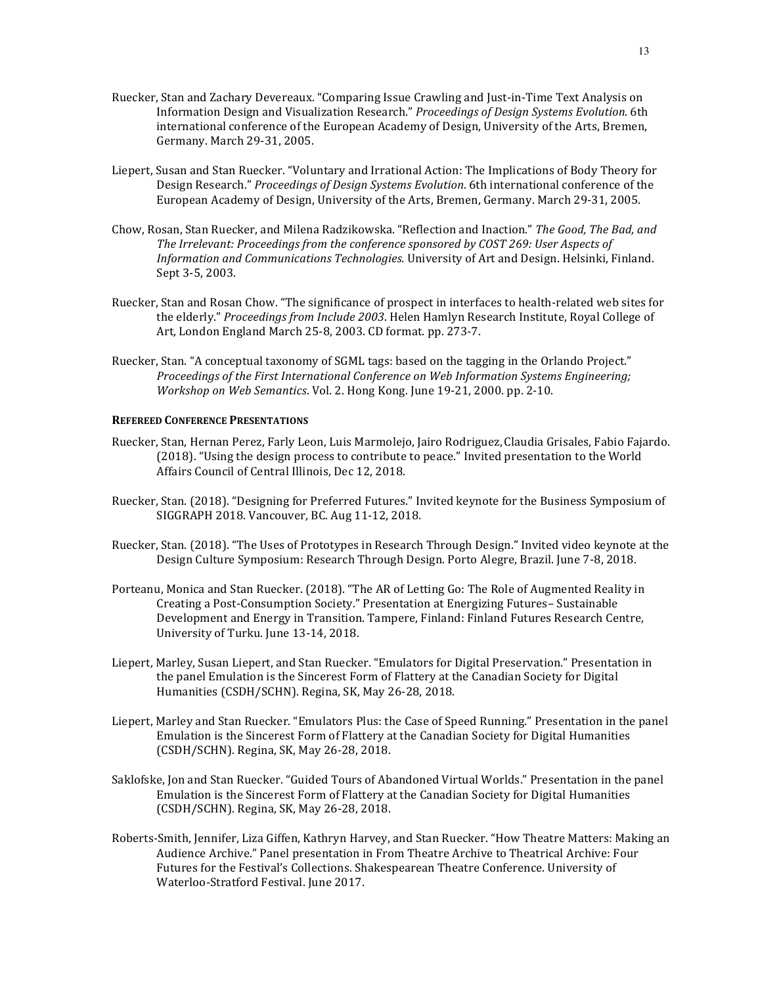- Ruecker, Stan and Zachary Devereaux. "Comparing Issue Crawling and Just-in-Time Text Analysis on Information Design and Visualization Research." *Proceedings of Design Systems Evolution*. 6th international conference of the European Academy of Design, University of the Arts, Bremen, Germany. March 29-31, 2005.
- Liepert, Susan and Stan Ruecker. "Voluntary and Irrational Action: The Implications of Body Theory for Design Research." Proceedings of Design Systems Evolution. 6th international conference of the European Academy of Design, University of the Arts, Bremen, Germany. March 29-31, 2005.
- Chow, Rosan, Stan Ruecker, and Milena Radzikowska. "Reflection and Inaction." The Good, The Bad, and The Irrelevant: Proceedings from the conference sponsored by COST 269: User Aspects of *Information and Communications Technologies.* University of Art and Design. Helsinki, Finland. Sept 3-5, 2003.
- Ruecker, Stan and Rosan Chow. "The significance of prospect in interfaces to health-related web sites for the elderly." *Proceedings from Include 2003*. Helen Hamlyn Research Institute, Royal College of Art, London England March 25-8, 2003. CD format. pp. 273-7.
- Ruecker, Stan. "A conceptual taxonomy of SGML tags: based on the tagging in the Orlando Project." *Proceedings of the First International Conference on Web Information Systems Engineering; Workshop on Web Semantics*. Vol. 2. Hong Kong. June 19-21, 2000. pp. 2-10.

### **REFEREED CONFERENCE PRESENTATIONS**

- Ruecker, Stan, Hernan Perez, Farly Leon, Luis Marmolejo, Jairo Rodriguez, Claudia Grisales, Fabio Fajardo. (2018). "Using the design process to contribute to peace." Invited presentation to the World Affairs Council of Central Illinois, Dec 12, 2018.
- Ruecker, Stan. (2018). "Designing for Preferred Futures." Invited keynote for the Business Symposium of SIGGRAPH 2018. Vancouver, BC. Aug 11-12, 2018.
- Ruecker, Stan. (2018). "The Uses of Prototypes in Research Through Design." Invited video keynote at the Design Culture Symposium: Research Through Design. Porto Alegre, Brazil. June 7-8, 2018.
- Porteanu, Monica and Stan Ruecker. (2018). "The AR of Letting Go: The Role of Augmented Reality in Creating a Post-Consumption Society." Presentation at Energizing Futures– Sustainable Development and Energy in Transition. Tampere, Finland: Finland Futures Research Centre, University of Turku. June 13-14, 2018.
- Liepert, Marley, Susan Liepert, and Stan Ruecker. "Emulators for Digital Preservation." Presentation in the panel Emulation is the Sincerest Form of Flattery at the Canadian Society for Digital Humanities (CSDH/SCHN). Regina, SK, May 26-28, 2018.
- Liepert, Marley and Stan Ruecker. "Emulators Plus: the Case of Speed Running." Presentation in the panel Emulation is the Sincerest Form of Flattery at the Canadian Society for Digital Humanities (CSDH/SCHN). Regina, SK, May 26-28, 2018.
- Saklofske, Jon and Stan Ruecker. "Guided Tours of Abandoned Virtual Worlds." Presentation in the panel Emulation is the Sincerest Form of Flattery at the Canadian Society for Digital Humanities (CSDH/SCHN). Regina, SK, May 26-28, 2018.
- Roberts-Smith, Jennifer, Liza Giffen, Kathryn Harvey, and Stan Ruecker. "How Theatre Matters: Making an Audience Archive." Panel presentation in From Theatre Archive to Theatrical Archive: Four Futures for the Festival's Collections. Shakespearean Theatre Conference. University of Waterloo-Stratford Festival. June 2017.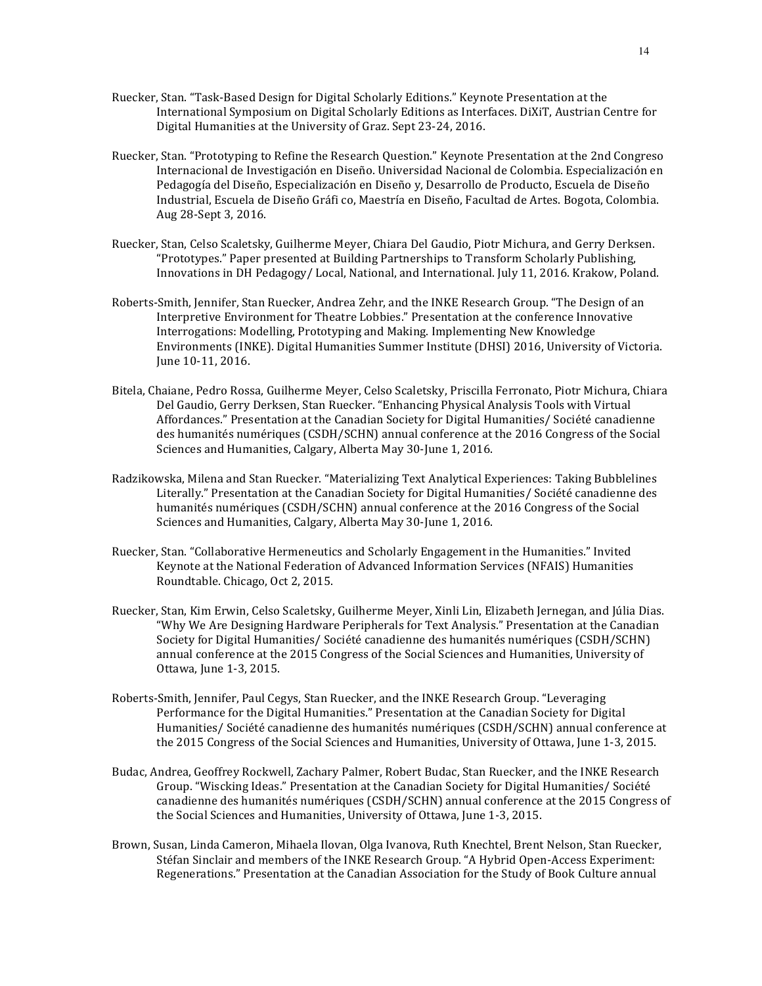- Ruecker, Stan. "Task-Based Design for Digital Scholarly Editions." Keynote Presentation at the International Symposium on Digital Scholarly Editions as Interfaces. DiXiT, Austrian Centre for Digital Humanities at the University of Graz. Sept 23-24, 2016.
- Ruecker, Stan. "Prototyping to Refine the Research Question." Keynote Presentation at the 2nd Congreso Internacional de Investigación en Diseño. Universidad Nacional de Colombia. Especialización en Pedagogía del Diseño, Especialización en Diseño y, Desarrollo de Producto, Escuela de Diseño Industrial, Escuela de Diseño Gráfi co, Maestría en Diseño, Facultad de Artes. Bogota, Colombia. Aug 28-Sept 3, 2016.
- Ruecker, Stan, Celso Scaletsky, Guilherme Meyer, Chiara Del Gaudio, Piotr Michura, and Gerry Derksen. "Prototypes." Paper presented at Building Partnerships to Transform Scholarly Publishing, Innovations in DH Pedagogy/ Local, National, and International. July 11, 2016. Krakow, Poland.
- Roberts-Smith, Jennifer, Stan Ruecker, Andrea Zehr, and the INKE Research Group. "The Design of an Interpretive Environment for Theatre Lobbies." Presentation at the conference Innovative Interrogations: Modelling, Prototyping and Making. Implementing New Knowledge Environments (INKE). Digital Humanities Summer Institute (DHSI) 2016, University of Victoria. June 10-11, 2016.
- Bitela, Chaiane, Pedro Rossa, Guilherme Meyer, Celso Scaletsky, Priscilla Ferronato, Piotr Michura, Chiara Del Gaudio, Gerry Derksen, Stan Ruecker. "Enhancing Physical Analysis Tools with Virtual Affordances." Presentation at the Canadian Society for Digital Humanities/ Société canadienne des humanités numériques (CSDH/SCHN) annual conference at the 2016 Congress of the Social Sciences and Humanities, Calgary, Alberta May 30-June 1, 2016.
- Radzikowska, Milena and Stan Ruecker. "Materializing Text Analytical Experiences: Taking Bubblelines Literally." Presentation at the Canadian Society for Digital Humanities/ Société canadienne des humanités numériques (CSDH/SCHN) annual conference at the 2016 Congress of the Social Sciences and Humanities, Calgary, Alberta May 30-June 1, 2016.
- Ruecker, Stan. "Collaborative Hermeneutics and Scholarly Engagement in the Humanities." Invited Keynote at the National Federation of Advanced Information Services (NFAIS) Humanities Roundtable. Chicago, Oct 2, 2015.
- Ruecker, Stan, Kim Erwin, Celso Scaletsky, Guilherme Meyer, Xinli Lin, Elizabeth Jernegan, and Júlia Dias. "Why We Are Designing Hardware Peripherals for Text Analysis." Presentation at the Canadian Society for Digital Humanities/ Société canadienne des humanités numériques (CSDH/SCHN) annual conference at the 2015 Congress of the Social Sciences and Humanities, University of Ottawa, June 1-3, 2015.
- Roberts-Smith, Jennifer, Paul Cegys, Stan Ruecker, and the INKE Research Group. "Leveraging Performance for the Digital Humanities." Presentation at the Canadian Society for Digital Humanities/ Société canadienne des humanités numériques (CSDH/SCHN) annual conference at the 2015 Congress of the Social Sciences and Humanities, University of Ottawa, June 1-3, 2015.
- Budac, Andrea, Geoffrey Rockwell, Zachary Palmer, Robert Budac, Stan Ruecker, and the INKE Research Group. "Wiscking Ideas." Presentation at the Canadian Society for Digital Humanities/ Société canadienne des humanités numériques (CSDH/SCHN) annual conference at the 2015 Congress of the Social Sciences and Humanities, University of Ottawa, June 1-3, 2015.
- Brown, Susan, Linda Cameron, Mihaela Ilovan, Olga Ivanova, Ruth Knechtel, Brent Nelson, Stan Ruecker, Stéfan Sinclair and members of the INKE Research Group. "A Hybrid Open-Access Experiment: Regenerations." Presentation at the Canadian Association for the Study of Book Culture annual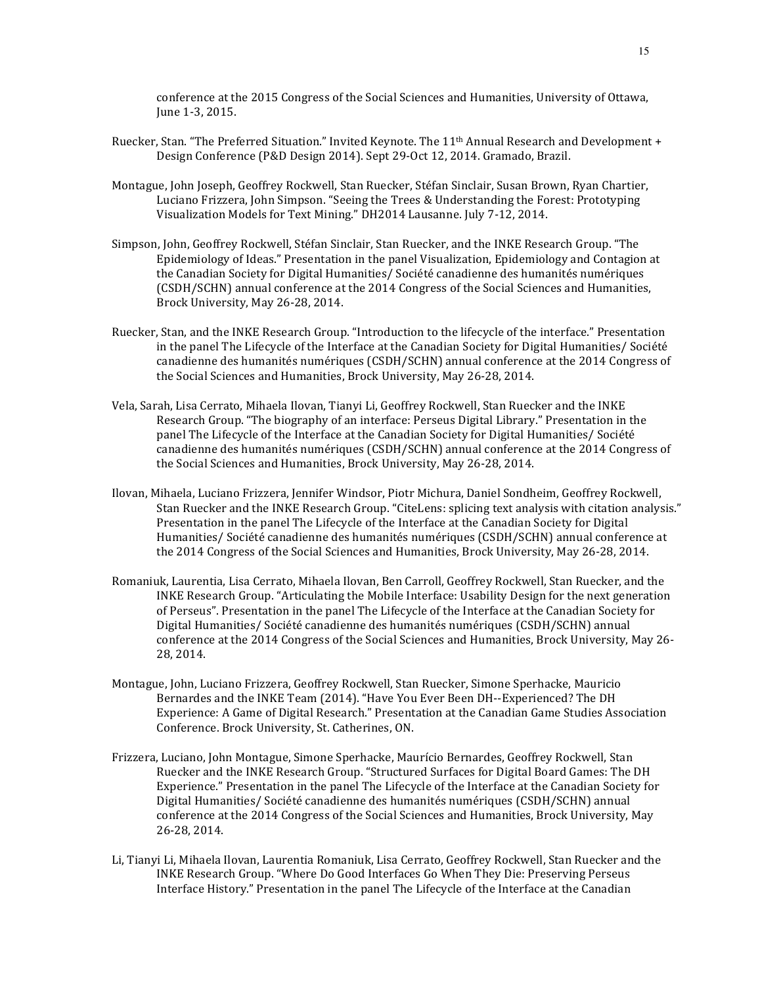conference at the 2015 Congress of the Social Sciences and Humanities, University of Ottawa, June 1-3, 2015.

- Ruecker, Stan. "The Preferred Situation." Invited Keynote. The 11<sup>th</sup> Annual Research and Development + Design Conference (P&D Design 2014). Sept 29-Oct 12, 2014. Gramado, Brazil.
- Montague, John Joseph, Geoffrey Rockwell, Stan Ruecker, Stéfan Sinclair, Susan Brown, Ryan Chartier, Luciano Frizzera, John Simpson. "Seeing the Trees & Understanding the Forest: Prototyping Visualization Models for Text Mining." DH2014 Lausanne. July 7-12, 2014.
- Simpson, John, Geoffrey Rockwell, Stéfan Sinclair, Stan Ruecker, and the INKE Research Group. "The Epidemiology of Ideas." Presentation in the panel Visualization, Epidemiology and Contagion at the Canadian Society for Digital Humanities/ Société canadienne des humanités numériques (CSDH/SCHN) annual conference at the 2014 Congress of the Social Sciences and Humanities, Brock University, May 26-28, 2014.
- Ruecker, Stan, and the INKE Research Group. "Introduction to the lifecycle of the interface." Presentation in the panel The Lifecycle of the Interface at the Canadian Society for Digital Humanities/ Société canadienne des humanités numériques (CSDH/SCHN) annual conference at the 2014 Congress of the Social Sciences and Humanities, Brock University, May 26-28, 2014.
- Vela, Sarah, Lisa Cerrato, Mihaela Ilovan, Tianyi Li, Geoffrey Rockwell, Stan Ruecker and the INKE Research Group. "The biography of an interface: Perseus Digital Library." Presentation in the panel The Lifecycle of the Interface at the Canadian Society for Digital Humanities/ Société canadienne des humanités numériques (CSDH/SCHN) annual conference at the 2014 Congress of the Social Sciences and Humanities, Brock University, May 26-28, 2014.
- Ilovan, Mihaela, Luciano Frizzera, Jennifer Windsor, Piotr Michura, Daniel Sondheim, Geoffrey Rockwell, Stan Ruecker and the INKE Research Group. "CiteLens: splicing text analysis with citation analysis." Presentation in the panel The Lifecycle of the Interface at the Canadian Society for Digital Humanities/ Société canadienne des humanités numériques (CSDH/SCHN) annual conference at the 2014 Congress of the Social Sciences and Humanities, Brock University, May 26-28, 2014.
- Romaniuk, Laurentia, Lisa Cerrato, Mihaela Ilovan, Ben Carroll, Geoffrey Rockwell, Stan Ruecker, and the INKE Research Group. "Articulating the Mobile Interface: Usability Design for the next generation of Perseus". Presentation in the panel The Lifecycle of the Interface at the Canadian Society for Digital Humanities/ Société canadienne des humanités numériques (CSDH/SCHN) annual conference at the 2014 Congress of the Social Sciences and Humanities, Brock University, May 26-28, 2014.
- Montague, John, Luciano Frizzera, Geoffrey Rockwell, Stan Ruecker, Simone Sperhacke, Mauricio Bernardes and the INKE Team (2014). "Have You Ever Been DH--Experienced? The DH Experience: A Game of Digital Research." Presentation at the Canadian Game Studies Association Conference. Brock University, St. Catherines, ON.
- Frizzera, Luciano, John Montague, Simone Sperhacke, Maurício Bernardes, Geoffrey Rockwell, Stan Ruecker and the INKE Research Group. "Structured Surfaces for Digital Board Games: The DH Experience." Presentation in the panel The Lifecycle of the Interface at the Canadian Society for Digital Humanities/ Société canadienne des humanités numériques (CSDH/SCHN) annual conference at the 2014 Congress of the Social Sciences and Humanities, Brock University, May 26-28, 2014.
- Li, Tianyi Li, Mihaela Ilovan, Laurentia Romaniuk, Lisa Cerrato, Geoffrey Rockwell, Stan Ruecker and the INKE Research Group. "Where Do Good Interfaces Go When They Die: Preserving Perseus Interface History." Presentation in the panel The Lifecycle of the Interface at the Canadian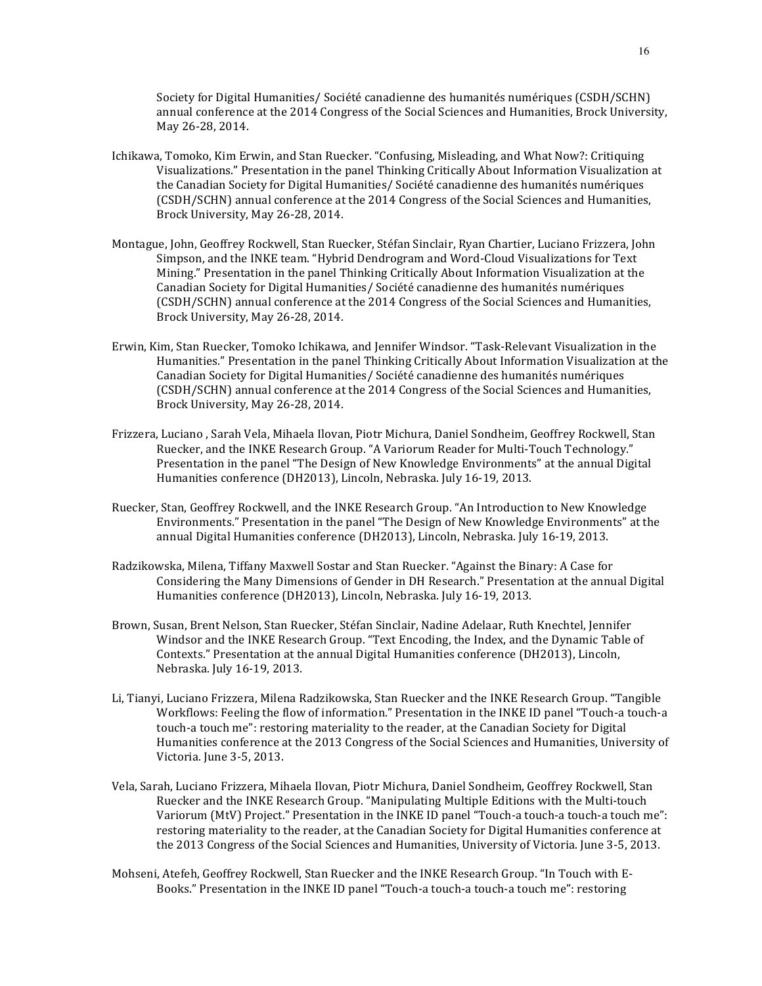Society for Digital Humanities/ Société canadienne des humanités numériques (CSDH/SCHN) annual conference at the 2014 Congress of the Social Sciences and Humanities, Brock University, May 26-28, 2014.

- Ichikawa, Tomoko, Kim Erwin, and Stan Ruecker. "Confusing, Misleading, and What Now?: Critiquing Visualizations." Presentation in the panel Thinking Critically About Information Visualization at the Canadian Society for Digital Humanities/ Société canadienne des humanités numériques (CSDH/SCHN) annual conference at the 2014 Congress of the Social Sciences and Humanities, Brock University, May 26-28, 2014.
- Montague, John, Geoffrey Rockwell, Stan Ruecker, Stéfan Sinclair, Ryan Chartier, Luciano Frizzera, John Simpson, and the INKE team. "Hybrid Dendrogram and Word-Cloud Visualizations for Text Mining." Presentation in the panel Thinking Critically About Information Visualization at the Canadian Society for Digital Humanities/ Société canadienne des humanités numériques (CSDH/SCHN) annual conference at the 2014 Congress of the Social Sciences and Humanities, Brock University, May 26-28, 2014.
- Erwin, Kim, Stan Ruecker, Tomoko Ichikawa, and Jennifer Windsor. "Task-Relevant Visualization in the Humanities." Presentation in the panel Thinking Critically About Information Visualization at the Canadian Society for Digital Humanities/ Société canadienne des humanités numériques (CSDH/SCHN) annual conference at the 2014 Congress of the Social Sciences and Humanities, Brock University, May 26-28, 2014.
- Frizzera, Luciano, Sarah Vela, Mihaela Ilovan, Piotr Michura, Daniel Sondheim, Geoffrey Rockwell, Stan Ruecker, and the INKE Research Group. "A Variorum Reader for Multi-Touch Technology." Presentation in the panel "The Design of New Knowledge Environments" at the annual Digital Humanities conference (DH2013), Lincoln, Nebraska. July 16-19, 2013.
- Ruecker, Stan, Geoffrey Rockwell, and the INKE Research Group. "An Introduction to New Knowledge Environments." Presentation in the panel "The Design of New Knowledge Environments" at the annual Digital Humanities conference (DH2013), Lincoln, Nebraska. July 16-19, 2013.
- Radzikowska, Milena, Tiffany Maxwell Sostar and Stan Ruecker. "Against the Binary: A Case for Considering the Many Dimensions of Gender in DH Research." Presentation at the annual Digital Humanities conference (DH2013), Lincoln, Nebraska. July 16-19, 2013.
- Brown, Susan, Brent Nelson, Stan Ruecker, Stéfan Sinclair, Nadine Adelaar, Ruth Knechtel, Jennifer Windsor and the INKE Research Group. "Text Encoding, the Index, and the Dynamic Table of Contexts." Presentation at the annual Digital Humanities conference (DH2013), Lincoln, Nebraska. July 16-19, 2013.
- Li, Tianyi, Luciano Frizzera, Milena Radzikowska, Stan Ruecker and the INKE Research Group. "Tangible Workflows: Feeling the flow of information." Presentation in the INKE ID panel "Touch-a touch-a touch-a touch me": restoring materiality to the reader, at the Canadian Society for Digital Humanities conference at the 2013 Congress of the Social Sciences and Humanities, University of Victoria. June 3-5, 2013.
- Vela, Sarah, Luciano Frizzera, Mihaela Ilovan, Piotr Michura, Daniel Sondheim, Geoffrey Rockwell, Stan Ruecker and the INKE Research Group. "Manipulating Multiple Editions with the Multi-touch Variorum (MtV) Project." Presentation in the INKE ID panel "Touch-a touch-a touch-a touch me": restoring materiality to the reader, at the Canadian Society for Digital Humanities conference at the 2013 Congress of the Social Sciences and Humanities, University of Victoria. June 3-5, 2013.
- Mohseni, Atefeh, Geoffrey Rockwell, Stan Ruecker and the INKE Research Group. "In Touch with E-Books." Presentation in the INKE ID panel "Touch-a touch-a touch-a touch me": restoring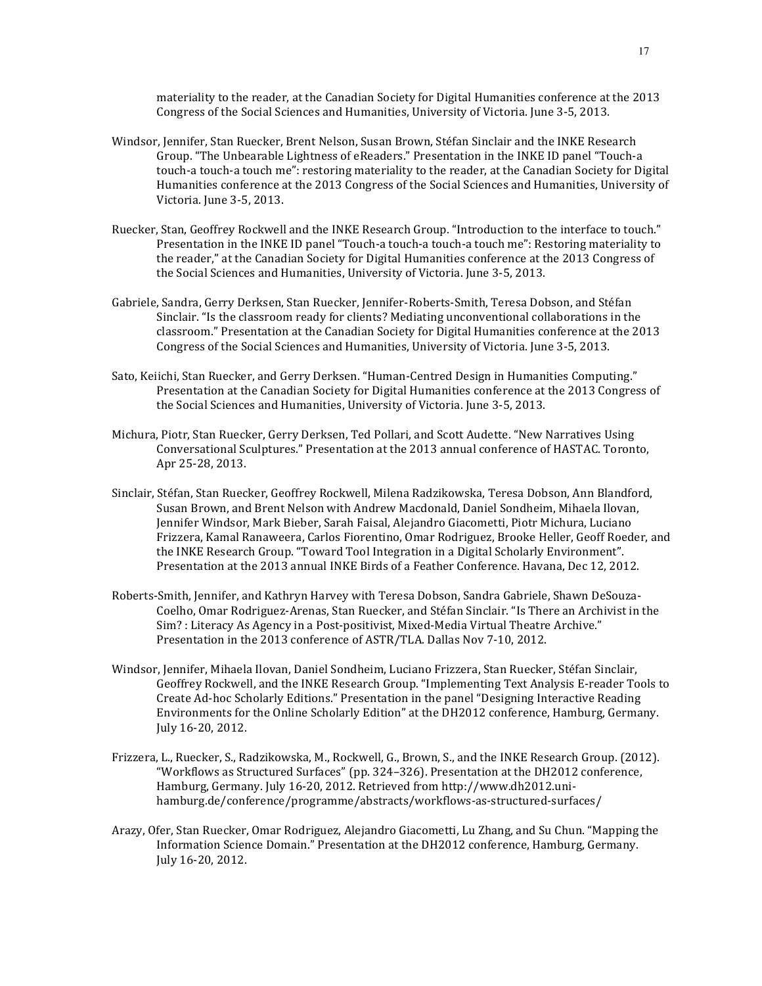materiality to the reader, at the Canadian Society for Digital Humanities conference at the 2013 Congress of the Social Sciences and Humanities, University of Victoria, June 3-5, 2013.

- Windsor, Jennifer, Stan Ruecker, Brent Nelson, Susan Brown, Stéfan Sinclair and the INKE Research Group. "The Unbearable Lightness of eReaders." Presentation in the INKE ID panel "Touch-a touch-a touch-a touch me": restoring materiality to the reader, at the Canadian Society for Digital Humanities conference at the 2013 Congress of the Social Sciences and Humanities, University of Victoria. June 3-5, 2013.
- Ruecker, Stan, Geoffrey Rockwell and the INKE Research Group. "Introduction to the interface to touch." Presentation in the INKE ID panel "Touch-a touch-a touch-a touch me": Restoring materiality to the reader," at the Canadian Society for Digital Humanities conference at the 2013 Congress of the Social Sciences and Humanities, University of Victoria. June 3-5, 2013.
- Gabriele, Sandra, Gerry Derksen, Stan Ruecker, Jennifer-Roberts-Smith, Teresa Dobson, and Stéfan Sinclair. "Is the classroom ready for clients? Mediating unconventional collaborations in the classroom." Presentation at the Canadian Society for Digital Humanities conference at the 2013 Congress of the Social Sciences and Humanities, University of Victoria. June 3-5, 2013.
- Sato, Keiichi, Stan Ruecker, and Gerry Derksen. "Human-Centred Design in Humanities Computing." Presentation at the Canadian Society for Digital Humanities conference at the 2013 Congress of the Social Sciences and Humanities, University of Victoria. June 3-5, 2013.
- Michura, Piotr, Stan Ruecker, Gerry Derksen, Ted Pollari, and Scott Audette. "New Narratives Using Conversational Sculptures." Presentation at the 2013 annual conference of HASTAC. Toronto, Apr 25-28, 2013.
- Sinclair, Stéfan, Stan Ruecker, Geoffrey Rockwell, Milena Radzikowska, Teresa Dobson, Ann Blandford, Susan Brown, and Brent Nelson with Andrew Macdonald, Daniel Sondheim, Mihaela Ilovan, Jennifer Windsor, Mark Bieber, Sarah Faisal, Alejandro Giacometti, Piotr Michura, Luciano Frizzera, Kamal Ranaweera, Carlos Fiorentino, Omar Rodriguez, Brooke Heller, Geoff Roeder, and the INKE Research Group. "Toward Tool Integration in a Digital Scholarly Environment". Presentation at the 2013 annual INKE Birds of a Feather Conference. Havana, Dec 12, 2012.
- Roberts-Smith, Jennifer, and Kathryn Harvey with Teresa Dobson, Sandra Gabriele, Shawn DeSouza-Coelho, Omar Rodriguez-Arenas, Stan Ruecker, and Stéfan Sinclair. "Is There an Archivist in the Sim? : Literacy As Agency in a Post-positivist, Mixed-Media Virtual Theatre Archive." Presentation in the 2013 conference of ASTR/TLA. Dallas Nov 7-10, 2012.
- Windsor, Jennifer, Mihaela Ilovan, Daniel Sondheim, Luciano Frizzera, Stan Ruecker, Stéfan Sinclair, Geoffrey Rockwell, and the INKE Research Group. "Implementing Text Analysis E-reader Tools to Create Ad-hoc Scholarly Editions." Presentation in the panel "Designing Interactive Reading Environments for the Online Scholarly Edition" at the DH2012 conference, Hamburg, Germany. July 16-20, 2012.
- Frizzera, L., Ruecker, S., Radzikowska, M., Rockwell, G., Brown, S., and the INKE Research Group. (2012). "Workflows as Structured Surfaces" (pp. 324-326). Presentation at the DH2012 conference, Hamburg, Germany. July 16-20, 2012. Retrieved from http://www.dh2012.unihamburg.de/conference/programme/abstracts/workflows-as-structured-surfaces/
- Arazy, Ofer, Stan Ruecker, Omar Rodriguez, Alejandro Giacometti, Lu Zhang, and Su Chun. "Mapping the Information Science Domain." Presentation at the DH2012 conference, Hamburg, Germany. July 16-20, 2012.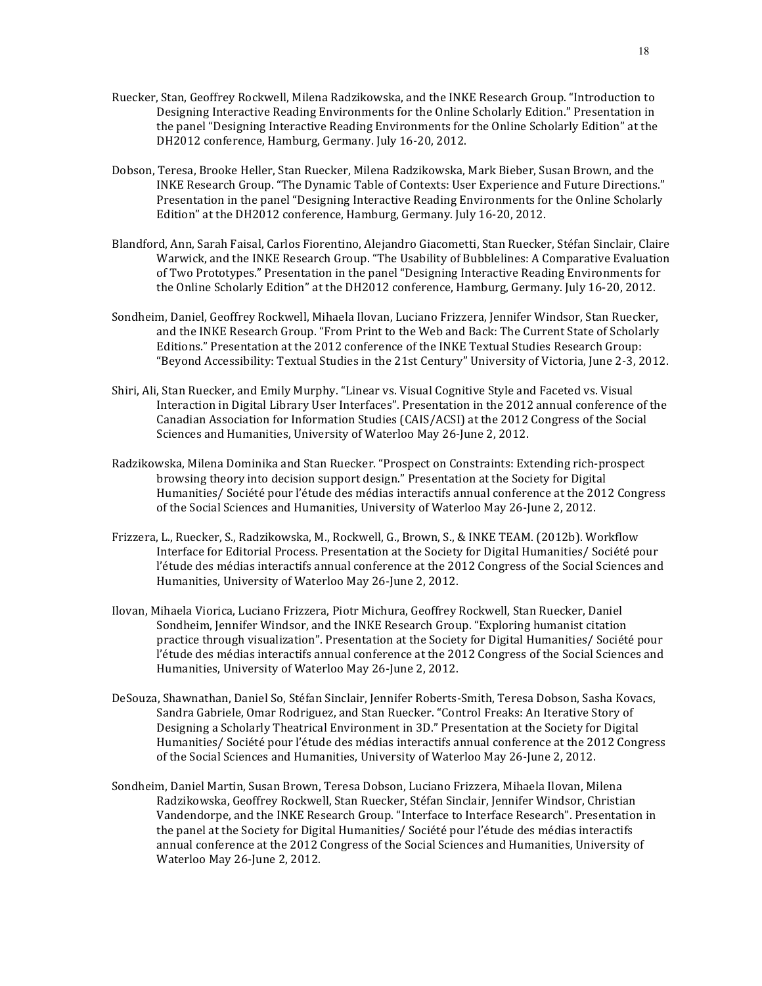- Ruecker, Stan, Geoffrey Rockwell, Milena Radzikowska, and the INKE Research Group. "Introduction to Designing Interactive Reading Environments for the Online Scholarly Edition." Presentation in the panel "Designing Interactive Reading Environments for the Online Scholarly Edition" at the DH2012 conference, Hamburg, Germany. July 16-20, 2012.
- Dobson, Teresa, Brooke Heller, Stan Ruecker, Milena Radzikowska, Mark Bieber, Susan Brown, and the INKE Research Group. "The Dynamic Table of Contexts: User Experience and Future Directions." Presentation in the panel "Designing Interactive Reading Environments for the Online Scholarly Edition" at the DH2012 conference, Hamburg, Germany, July 16-20, 2012.
- Blandford, Ann, Sarah Faisal, Carlos Fiorentino, Alejandro Giacometti, Stan Ruecker, Stéfan Sinclair, Claire Warwick, and the INKE Research Group. "The Usability of Bubblelines: A Comparative Evaluation of Two Prototypes." Presentation in the panel "Designing Interactive Reading Environments for the Online Scholarly Edition" at the DH2012 conference, Hamburg, Germany. July 16-20, 2012.
- Sondheim, Daniel, Geoffrey Rockwell, Mihaela Ilovan, Luciano Frizzera, Jennifer Windsor, Stan Ruecker, and the INKE Research Group. "From Print to the Web and Back: The Current State of Scholarly Editions." Presentation at the 2012 conference of the INKE Textual Studies Research Group: "Beyond Accessibility: Textual Studies in the 21st Century" University of Victoria, June 2-3, 2012.
- Shiri, Ali, Stan Ruecker, and Emily Murphy. "Linear vs. Visual Cognitive Style and Faceted vs. Visual Interaction in Digital Library User Interfaces". Presentation in the 2012 annual conference of the Canadian Association for Information Studies (CAIS/ACSI) at the 2012 Congress of the Social Sciences and Humanities, University of Waterloo May 26-June 2, 2012.
- Radzikowska, Milena Dominika and Stan Ruecker. "Prospect on Constraints: Extending rich-prospect browsing theory into decision support design." Presentation at the Society for Digital Humanities/ Société pour l'étude des médias interactifs annual conference at the 2012 Congress of the Social Sciences and Humanities, University of Waterloo May 26-June 2, 2012.
- Frizzera, L., Ruecker, S., Radzikowska, M., Rockwell, G., Brown, S., & INKE TEAM. (2012b). Workflow Interface for Editorial Process. Presentation at the Society for Digital Humanities/ Société pour l'étude des médias interactifs annual conference at the 2012 Congress of the Social Sciences and Humanities, University of Waterloo May 26-June 2, 2012.
- Ilovan, Mihaela Viorica, Luciano Frizzera, Piotr Michura, Geoffrey Rockwell, Stan Ruecker, Daniel Sondheim, Jennifer Windsor, and the INKE Research Group. "Exploring humanist citation practice through visualization". Presentation at the Society for Digital Humanities/ Société pour l'étude des médias interactifs annual conference at the 2012 Congress of the Social Sciences and Humanities, University of Waterloo May 26-June 2, 2012.
- DeSouza, Shawnathan, Daniel So, Stéfan Sinclair, Jennifer Roberts-Smith, Teresa Dobson, Sasha Kovacs, Sandra Gabriele, Omar Rodriguez, and Stan Ruecker. "Control Freaks: An Iterative Story of Designing a Scholarly Theatrical Environment in 3D." Presentation at the Society for Digital Humanities/ Société pour l'étude des médias interactifs annual conference at the 2012 Congress of the Social Sciences and Humanities, University of Waterloo May 26-June 2, 2012.
- Sondheim, Daniel Martin, Susan Brown, Teresa Dobson, Luciano Frizzera, Mihaela Ilovan, Milena Radzikowska, Geoffrey Rockwell, Stan Ruecker, Stéfan Sinclair, Jennifer Windsor, Christian Vandendorpe, and the INKE Research Group. "Interface to Interface Research". Presentation in the panel at the Society for Digital Humanities/ Société pour l'étude des médias interactifs annual conference at the 2012 Congress of the Social Sciences and Humanities, University of Waterloo May 26-June 2, 2012.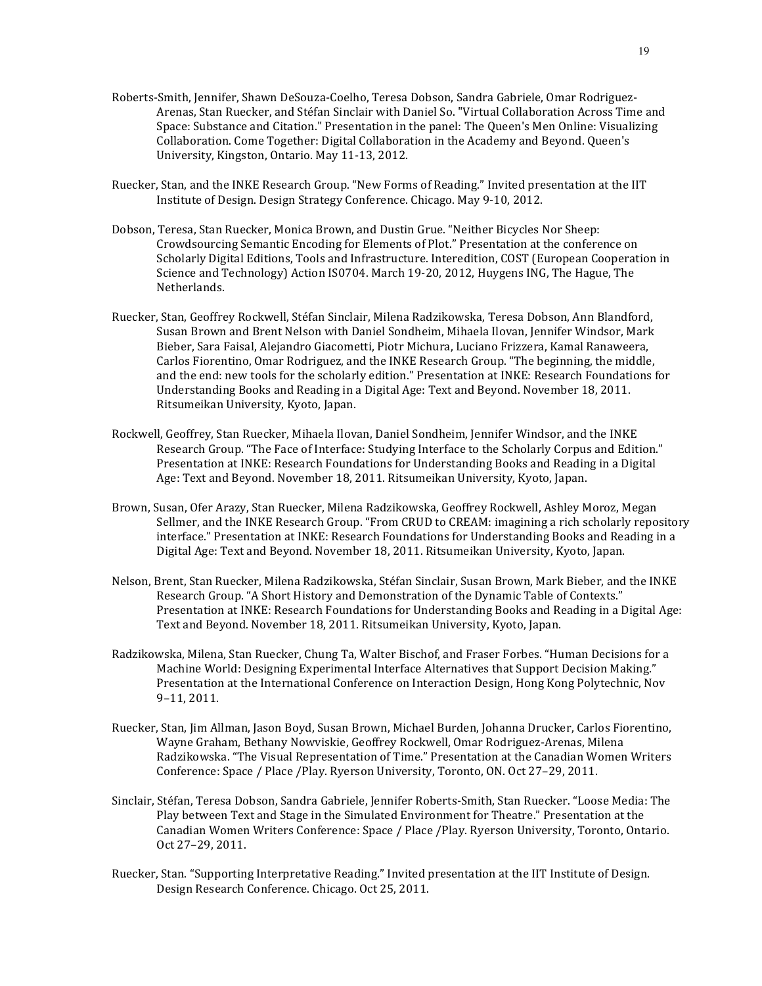- Roberts-Smith, Jennifer, Shawn DeSouza-Coelho, Teresa Dobson, Sandra Gabriele, Omar Rodriguez-Arenas, Stan Ruecker, and Stéfan Sinclair with Daniel So. "Virtual Collaboration Across Time and Space: Substance and Citation." Presentation in the panel: The Queen's Men Online: Visualizing Collaboration. Come Together: Digital Collaboration in the Academy and Beyond. Queen's University, Kingston, Ontario. May 11-13, 2012.
- Ruecker, Stan, and the INKE Research Group. "New Forms of Reading." Invited presentation at the IIT Institute of Design. Design Strategy Conference. Chicago. May 9-10, 2012.
- Dobson, Teresa, Stan Ruecker, Monica Brown, and Dustin Grue. "Neither Bicycles Nor Sheep: Crowdsourcing Semantic Encoding for Elements of Plot." Presentation at the conference on Scholarly Digital Editions, Tools and Infrastructure. Interedition, COST (European Cooperation in Science and Technology) Action IS0704. March 19-20, 2012, Huygens ING, The Hague, The Netherlands.
- Ruecker, Stan, Geoffrey Rockwell, Stéfan Sinclair, Milena Radzikowska, Teresa Dobson, Ann Blandford, Susan Brown and Brent Nelson with Daniel Sondheim, Mihaela Ilovan, Jennifer Windsor, Mark Bieber, Sara Faisal, Alejandro Giacometti, Piotr Michura, Luciano Frizzera, Kamal Ranaweera, Carlos Fiorentino, Omar Rodriguez, and the INKE Research Group. "The beginning, the middle, and the end: new tools for the scholarly edition." Presentation at INKE: Research Foundations for Understanding Books and Reading in a Digital Age: Text and Beyond. November 18, 2011. Ritsumeikan University, Kyoto, Japan.
- Rockwell, Geoffrey, Stan Ruecker, Mihaela Ilovan, Daniel Sondheim, Jennifer Windsor, and the INKE Research Group. "The Face of Interface: Studying Interface to the Scholarly Corpus and Edition." Presentation at INKE: Research Foundations for Understanding Books and Reading in a Digital Age: Text and Beyond. November 18, 2011. Ritsumeikan University, Kyoto, Japan.
- Brown, Susan, Ofer Arazy, Stan Ruecker, Milena Radzikowska, Geoffrey Rockwell, Ashley Moroz, Megan Sellmer, and the INKE Research Group. "From CRUD to CREAM: imagining a rich scholarly repository interface." Presentation at INKE: Research Foundations for Understanding Books and Reading in a Digital Age: Text and Beyond. November 18, 2011. Ritsumeikan University, Kyoto, Japan.
- Nelson, Brent, Stan Ruecker, Milena Radzikowska, Stéfan Sinclair, Susan Brown, Mark Bieber, and the INKE Research Group. "A Short History and Demonstration of the Dynamic Table of Contexts." Presentation at INKE: Research Foundations for Understanding Books and Reading in a Digital Age: Text and Beyond. November 18, 2011. Ritsumeikan University, Kyoto, Japan.
- Radzikowska, Milena, Stan Ruecker, Chung Ta, Walter Bischof, and Fraser Forbes. "Human Decisions for a Machine World: Designing Experimental Interface Alternatives that Support Decision Making." Presentation at the International Conference on Interaction Design, Hong Kong Polytechnic, Nov 9–11, 2011.
- Ruecker, Stan, Jim Allman, Jason Boyd, Susan Brown, Michael Burden, Johanna Drucker, Carlos Fiorentino, Wayne Graham, Bethany Nowviskie, Geoffrey Rockwell, Omar Rodriguez-Arenas, Milena Radzikowska. "The Visual Representation of Time." Presentation at the Canadian Women Writers Conference: Space / Place / Play. Ryerson University, Toronto, ON. Oct 27-29, 2011.
- Sinclair, Stéfan, Teresa Dobson, Sandra Gabriele, Jennifer Roberts-Smith, Stan Ruecker. "Loose Media: The Play between Text and Stage in the Simulated Environment for Theatre." Presentation at the Canadian Women Writers Conference: Space / Place / Play. Ryerson University, Toronto, Ontario. Oct 27–29, 2011.
- Ruecker, Stan. "Supporting Interpretative Reading." Invited presentation at the IIT Institute of Design. Design Research Conference. Chicago. Oct 25, 2011.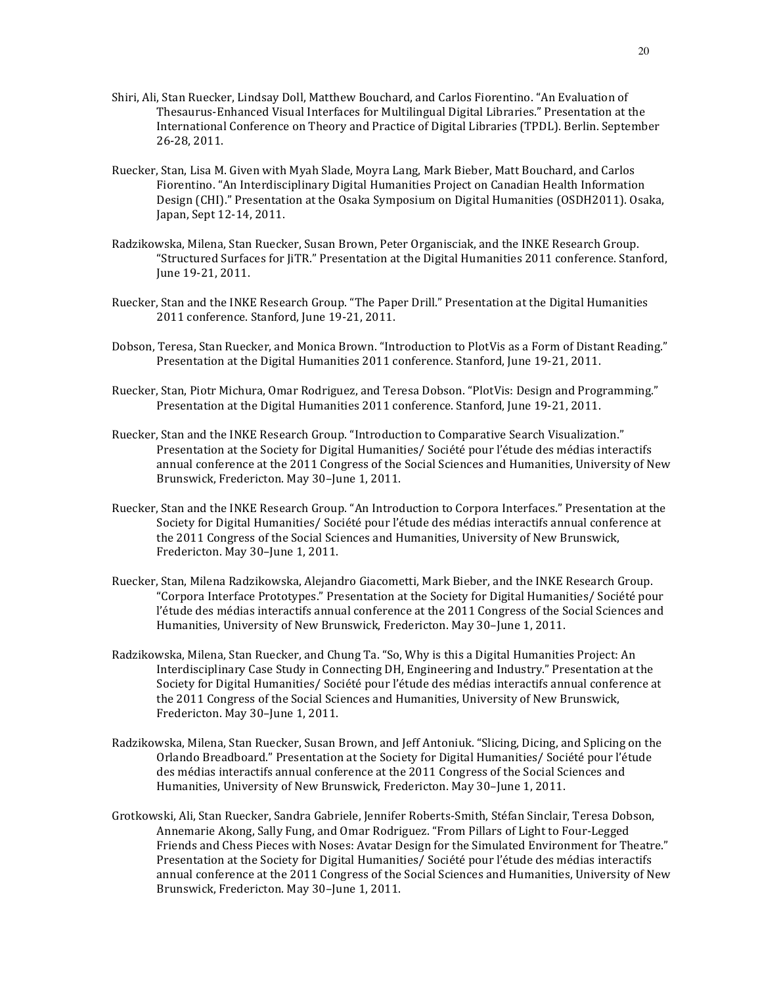- Shiri, Ali, Stan Ruecker, Lindsay Doll, Matthew Bouchard, and Carlos Fiorentino. "An Evaluation of Thesaurus-Enhanced Visual Interfaces for Multilingual Digital Libraries." Presentation at the International Conference on Theory and Practice of Digital Libraries (TPDL). Berlin. September 26-28, 2011.
- Ruecker, Stan, Lisa M. Given with Myah Slade, Moyra Lang, Mark Bieber, Matt Bouchard, and Carlos Fiorentino. "An Interdisciplinary Digital Humanities Project on Canadian Health Information Design (CHI)." Presentation at the Osaka Symposium on Digital Humanities (OSDH2011). Osaka, Japan, Sept 12-14, 2011.
- Radzikowska, Milena, Stan Ruecker, Susan Brown, Peter Organisciak, and the INKE Research Group. "Structured Surfaces for JiTR." Presentation at the Digital Humanities 2011 conference. Stanford, June 19-21, 2011.
- Ruecker, Stan and the INKE Research Group. "The Paper Drill." Presentation at the Digital Humanities 2011 conference. Stanford, June 19-21, 2011.
- Dobson, Teresa, Stan Ruecker, and Monica Brown. "Introduction to PlotVis as a Form of Distant Reading." Presentation at the Digital Humanities 2011 conference. Stanford, June 19-21, 2011.
- Ruecker, Stan, Piotr Michura, Omar Rodriguez, and Teresa Dobson. "PlotVis: Design and Programming." Presentation at the Digital Humanities 2011 conference. Stanford, June 19-21, 2011.
- Ruecker, Stan and the INKE Research Group. "Introduction to Comparative Search Visualization." Presentation at the Society for Digital Humanities/ Société pour l'étude des médias interactifs annual conference at the 2011 Congress of the Social Sciences and Humanities, University of New Brunswick, Fredericton. May 30-June 1, 2011.
- Ruecker, Stan and the INKE Research Group. "An Introduction to Corpora Interfaces." Presentation at the Society for Digital Humanities/ Société pour l'étude des médias interactifs annual conference at the 2011 Congress of the Social Sciences and Humanities, University of New Brunswick, Fredericton. May 30-June 1, 2011.
- Ruecker, Stan, Milena Radzikowska, Alejandro Giacometti, Mark Bieber, and the INKE Research Group. "Corpora Interface Prototypes." Presentation at the Society for Digital Humanities/ Société pour l'étude des médias interactifs annual conference at the 2011 Congress of the Social Sciences and Humanities, University of New Brunswick, Fredericton. May 30-June 1, 2011.
- Radzikowska, Milena, Stan Ruecker, and Chung Ta. "So, Why is this a Digital Humanities Project: An Interdisciplinary Case Study in Connecting DH, Engineering and Industry." Presentation at the Society for Digital Humanities/ Société pour l'étude des médias interactifs annual conference at the 2011 Congress of the Social Sciences and Humanities, University of New Brunswick, Fredericton. May 30-June 1, 2011.
- Radzikowska, Milena, Stan Ruecker, Susan Brown, and Jeff Antoniuk. "Slicing, Dicing, and Splicing on the Orlando Breadboard." Presentation at the Society for Digital Humanities/ Société pour l'étude des médias interactifs annual conference at the 2011 Congress of the Social Sciences and Humanities, University of New Brunswick, Fredericton. May 30-June 1, 2011.
- Grotkowski, Ali, Stan Ruecker, Sandra Gabriele, Jennifer Roberts-Smith, Stéfan Sinclair, Teresa Dobson, Annemarie Akong, Sally Fung, and Omar Rodriguez. "From Pillars of Light to Four-Legged Friends and Chess Pieces with Noses: Avatar Design for the Simulated Environment for Theatre." Presentation at the Society for Digital Humanities/ Société pour l'étude des médias interactifs annual conference at the 2011 Congress of the Social Sciences and Humanities, University of New Brunswick, Fredericton. May 30-June 1, 2011.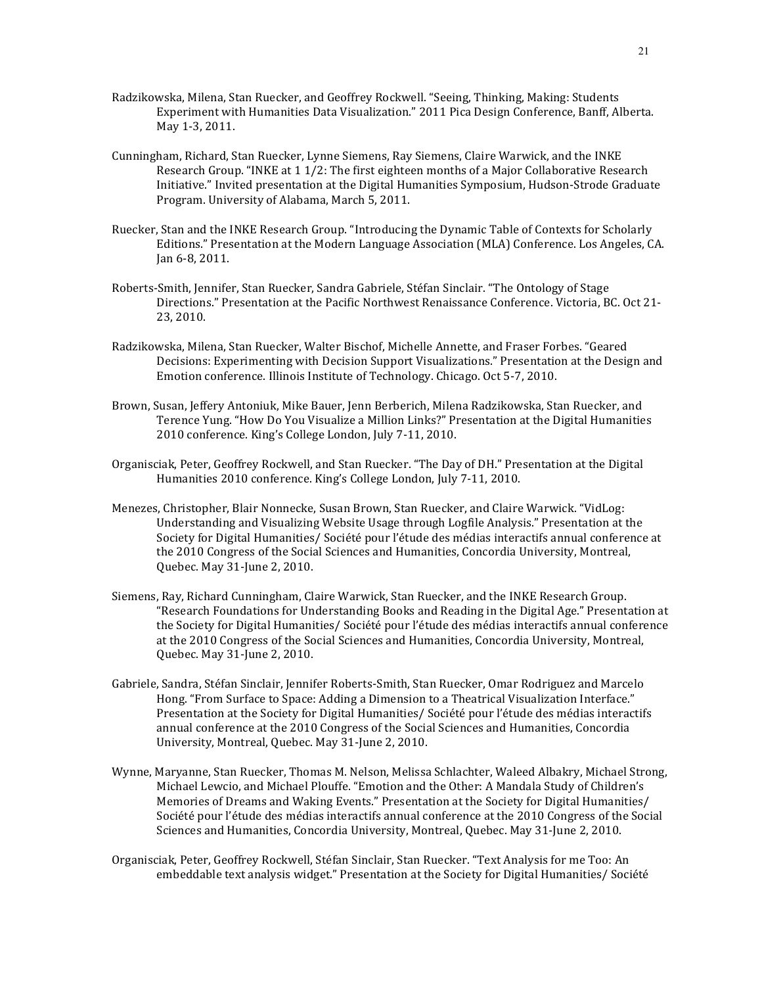- Radzikowska, Milena, Stan Ruecker, and Geoffrey Rockwell. "Seeing, Thinking, Making: Students Experiment with Humanities Data Visualization." 2011 Pica Design Conference, Banff, Alberta. May 1-3, 2011.
- Cunningham, Richard, Stan Ruecker, Lynne Siemens, Ray Siemens, Claire Warwick, and the INKE Research Group. "INKE at  $1\frac{1}{2}$ : The first eighteen months of a Major Collaborative Research Initiative." Invited presentation at the Digital Humanities Symposium, Hudson-Strode Graduate Program. University of Alabama, March 5, 2011.
- Ruecker, Stan and the INKE Research Group. "Introducing the Dynamic Table of Contexts for Scholarly Editions." Presentation at the Modern Language Association (MLA) Conference. Los Angeles, CA. Jan 6-8, 2011.
- Roberts-Smith, Jennifer, Stan Ruecker, Sandra Gabriele, Stéfan Sinclair. "The Ontology of Stage Directions." Presentation at the Pacific Northwest Renaissance Conference. Victoria, BC. Oct 21-23, 2010.
- Radzikowska, Milena, Stan Ruecker, Walter Bischof, Michelle Annette, and Fraser Forbes. "Geared Decisions: Experimenting with Decision Support Visualizations." Presentation at the Design and Emotion conference. Illinois Institute of Technology. Chicago. Oct 5-7, 2010.
- Brown, Susan, Jeffery Antoniuk, Mike Bauer, Jenn Berberich, Milena Radzikowska, Stan Ruecker, and Terence Yung. "How Do You Visualize a Million Links?" Presentation at the Digital Humanities 2010 conference. King's College London, July 7-11, 2010.
- Organisciak, Peter, Geoffrey Rockwell, and Stan Ruecker. "The Day of DH." Presentation at the Digital Humanities 2010 conference. King's College London, July 7-11, 2010.
- Menezes, Christopher, Blair Nonnecke, Susan Brown, Stan Ruecker, and Claire Warwick. "VidLog: Understanding and Visualizing Website Usage through Logfile Analysis." Presentation at the Society for Digital Humanities/ Société pour l'étude des médias interactifs annual conference at the 2010 Congress of the Social Sciences and Humanities, Concordia University, Montreal, Quebec. May 31-June 2, 2010.
- Siemens, Ray, Richard Cunningham, Claire Warwick, Stan Ruecker, and the INKE Research Group. "Research Foundations for Understanding Books and Reading in the Digital Age." Presentation at the Society for Digital Humanities/ Société pour l'étude des médias interactifs annual conference at the 2010 Congress of the Social Sciences and Humanities, Concordia University, Montreal, Quebec. May 31-June 2, 2010.
- Gabriele, Sandra, Stéfan Sinclair, Jennifer Roberts-Smith, Stan Ruecker, Omar Rodriguez and Marcelo Hong. "From Surface to Space: Adding a Dimension to a Theatrical Visualization Interface." Presentation at the Society for Digital Humanities/ Société pour l'étude des médias interactifs annual conference at the 2010 Congress of the Social Sciences and Humanities, Concordia University, Montreal, Quebec. May 31-June 2, 2010.
- Wynne, Maryanne, Stan Ruecker, Thomas M. Nelson, Melissa Schlachter, Waleed Albakry, Michael Strong, Michael Lewcio, and Michael Plouffe. "Emotion and the Other: A Mandala Study of Children's Memories of Dreams and Waking Events." Presentation at the Society for Digital Humanities/ Société pour l'étude des médias interactifs annual conference at the 2010 Congress of the Social Sciences and Humanities, Concordia University, Montreal, Quebec. May 31-June 2, 2010.
- Organisciak, Peter, Geoffrey Rockwell, Stéfan Sinclair, Stan Ruecker. "Text Analysis for me Too: An embeddable text analysis widget." Presentation at the Society for Digital Humanities/ Société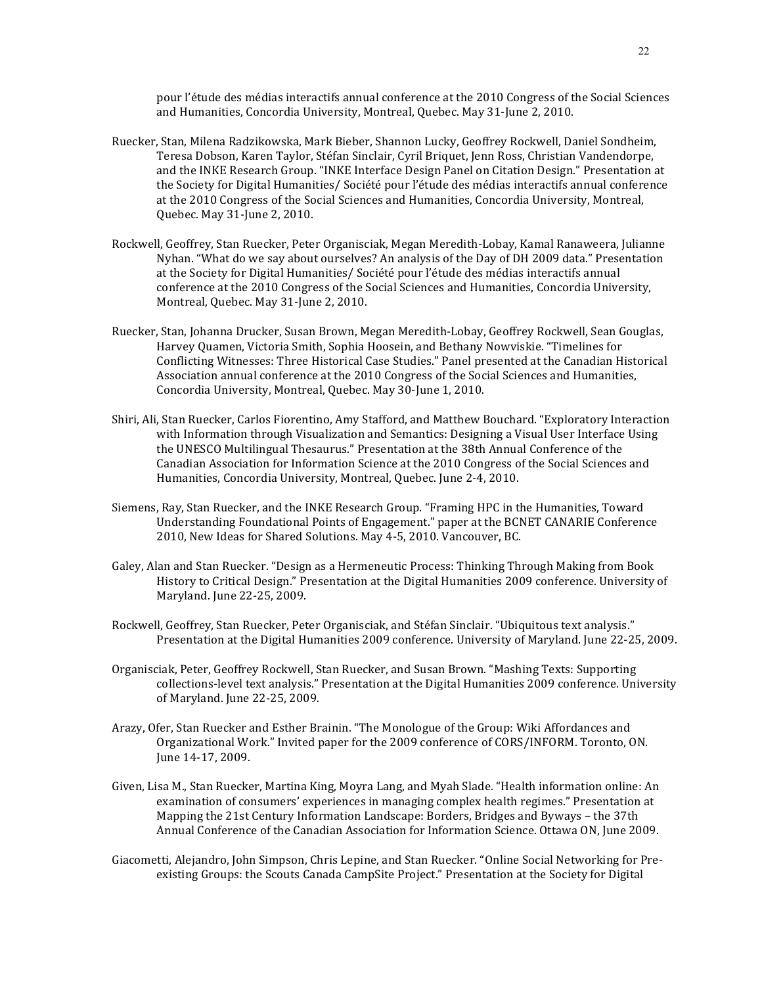pour l'étude des médias interactifs annual conference at the 2010 Congress of the Social Sciences and Humanities, Concordia University, Montreal, Ouebec, May 31-June 2, 2010.

- Ruecker, Stan, Milena Radzikowska, Mark Bieber, Shannon Lucky, Geoffrey Rockwell, Daniel Sondheim, Teresa Dobson, Karen Taylor, Stéfan Sinclair, Cyril Briquet, Jenn Ross, Christian Vandendorpe, and the INKE Research Group. "INKE Interface Design Panel on Citation Design." Presentation at the Society for Digital Humanities/ Société pour l'étude des médias interactifs annual conference at the 2010 Congress of the Social Sciences and Humanities, Concordia University, Montreal, Quebec. May 31-June 2, 2010.
- Rockwell, Geoffrey, Stan Ruecker, Peter Organisciak, Megan Meredith-Lobay, Kamal Ranaweera, Julianne Nyhan. "What do we say about ourselves? An analysis of the Day of DH 2009 data." Presentation at the Society for Digital Humanities/ Société pour l'étude des médias interactifs annual conference at the 2010 Congress of the Social Sciences and Humanities, Concordia University, Montreal, Quebec. May 31-June 2, 2010.
- Ruecker, Stan, Johanna Drucker, Susan Brown, Megan Meredith-Lobay, Geoffrey Rockwell, Sean Gouglas, Harvey Quamen, Victoria Smith, Sophia Hoosein, and Bethany Nowviskie. "Timelines for Conflicting Witnesses: Three Historical Case Studies." Panel presented at the Canadian Historical Association annual conference at the 2010 Congress of the Social Sciences and Humanities, Concordia University, Montreal, Quebec. May 30-June 1, 2010.
- Shiri, Ali, Stan Ruecker, Carlos Fiorentino, Amy Stafford, and Matthew Bouchard. "Exploratory Interaction with Information through Visualization and Semantics: Designing a Visual User Interface Using the UNESCO Multilingual Thesaurus." Presentation at the 38th Annual Conference of the Canadian Association for Information Science at the 2010 Congress of the Social Sciences and Humanities, Concordia University, Montreal, Quebec. June 2-4, 2010.
- Siemens, Ray, Stan Ruecker, and the INKE Research Group. "Framing HPC in the Humanities, Toward Understanding Foundational Points of Engagement." paper at the BCNET CANARIE Conference 2010, New Ideas for Shared Solutions. May 4-5, 2010. Vancouver, BC.
- Galey, Alan and Stan Ruecker. "Design as a Hermeneutic Process: Thinking Through Making from Book History to Critical Design." Presentation at the Digital Humanities 2009 conference. University of Maryland. June 22-25, 2009.
- Rockwell, Geoffrey, Stan Ruecker, Peter Organisciak, and Stéfan Sinclair. "Ubiquitous text analysis." Presentation at the Digital Humanities 2009 conference. University of Maryland. June 22-25, 2009.
- Organisciak, Peter, Geoffrey Rockwell, Stan Ruecker, and Susan Brown. "Mashing Texts: Supporting collections-level text analysis." Presentation at the Digital Humanities 2009 conference. University of Maryland. June 22-25, 2009.
- Arazy, Ofer, Stan Ruecker and Esther Brainin. "The Monologue of the Group: Wiki Affordances and Organizational Work." Invited paper for the 2009 conference of CORS/INFORM. Toronto, ON. June 14-17, 2009.
- Given, Lisa M., Stan Ruecker, Martina King, Moyra Lang, and Myah Slade. "Health information online: An examination of consumers' experiences in managing complex health regimes." Presentation at Mapping the 21st Century Information Landscape: Borders, Bridges and Byways - the 37th Annual Conference of the Canadian Association for Information Science. Ottawa ON, June 2009.
- Giacometti, Alejandro, John Simpson, Chris Lepine, and Stan Ruecker. "Online Social Networking for Preexisting Groups: the Scouts Canada CampSite Project." Presentation at the Society for Digital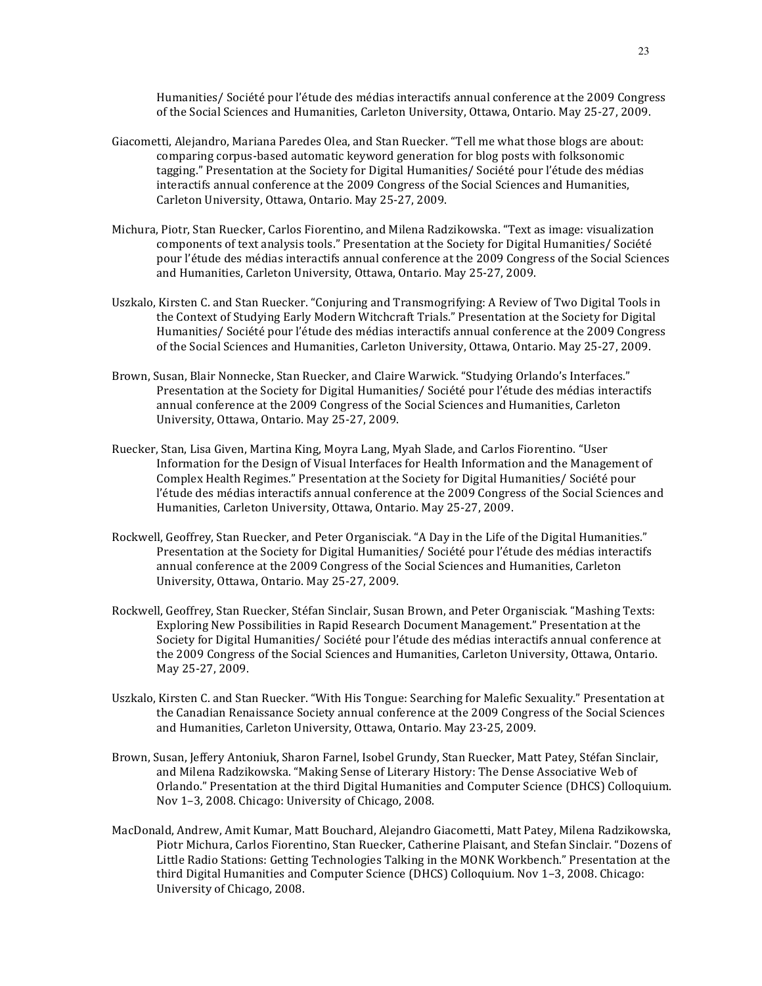Humanities/ Société pour l'étude des médias interactifs annual conference at the 2009 Congress of the Social Sciences and Humanities, Carleton University, Ottawa, Ontario, May 25-27, 2009.

- Giacometti, Alejandro, Mariana Paredes Olea, and Stan Ruecker. "Tell me what those blogs are about: comparing corpus-based automatic keyword generation for blog posts with folksonomic tagging." Presentation at the Society for Digital Humanities/ Société pour l'étude des médias interactifs annual conference at the 2009 Congress of the Social Sciences and Humanities, Carleton University, Ottawa, Ontario. May 25-27, 2009.
- Michura, Piotr, Stan Ruecker, Carlos Fiorentino, and Milena Radzikowska. "Text as image: visualization components of text analysis tools." Presentation at the Society for Digital Humanities/ Société pour l'étude des médias interactifs annual conference at the 2009 Congress of the Social Sciences and Humanities, Carleton University, Ottawa, Ontario. May 25-27, 2009.
- Uszkalo, Kirsten C. and Stan Ruecker. "Conjuring and Transmogrifying: A Review of Two Digital Tools in the Context of Studying Early Modern Witchcraft Trials." Presentation at the Society for Digital Humanities/ Société pour l'étude des médias interactifs annual conference at the 2009 Congress of the Social Sciences and Humanities, Carleton University, Ottawa, Ontario. May 25-27, 2009.
- Brown, Susan, Blair Nonnecke, Stan Ruecker, and Claire Warwick. "Studying Orlando's Interfaces." Presentation at the Society for Digital Humanities/ Société pour l'étude des médias interactifs annual conference at the 2009 Congress of the Social Sciences and Humanities, Carleton University, Ottawa, Ontario. May 25-27, 2009.
- Ruecker, Stan, Lisa Given, Martina King, Moyra Lang, Myah Slade, and Carlos Fiorentino. "User Information for the Design of Visual Interfaces for Health Information and the Management of Complex Health Regimes." Presentation at the Society for Digital Humanities/ Société pour l'étude des médias interactifs annual conference at the 2009 Congress of the Social Sciences and Humanities, Carleton University, Ottawa, Ontario. May 25-27, 2009.
- Rockwell, Geoffrey, Stan Ruecker, and Peter Organisciak. "A Day in the Life of the Digital Humanities." Presentation at the Society for Digital Humanities/ Société pour l'étude des médias interactifs annual conference at the 2009 Congress of the Social Sciences and Humanities, Carleton University, Ottawa, Ontario. May 25-27, 2009.
- Rockwell, Geoffrey, Stan Ruecker, Stéfan Sinclair, Susan Brown, and Peter Organisciak. "Mashing Texts: Exploring New Possibilities in Rapid Research Document Management." Presentation at the Society for Digital Humanities/ Société pour l'étude des médias interactifs annual conference at the 2009 Congress of the Social Sciences and Humanities, Carleton University, Ottawa, Ontario. May 25-27, 2009.
- Uszkalo, Kirsten C. and Stan Ruecker. "With His Tongue: Searching for Malefic Sexuality." Presentation at the Canadian Renaissance Society annual conference at the 2009 Congress of the Social Sciences and Humanities, Carleton University, Ottawa, Ontario. May 23-25, 2009.
- Brown, Susan, Jeffery Antoniuk, Sharon Farnel, Isobel Grundy, Stan Ruecker, Matt Patey, Stéfan Sinclair, and Milena Radzikowska. "Making Sense of Literary History: The Dense Associative Web of Orlando." Presentation at the third Digital Humanities and Computer Science (DHCS) Colloquium. Nov 1-3, 2008. Chicago: University of Chicago, 2008.
- MacDonald, Andrew, Amit Kumar, Matt Bouchard, Alejandro Giacometti, Matt Patey, Milena Radzikowska, Piotr Michura, Carlos Fiorentino, Stan Ruecker, Catherine Plaisant, and Stefan Sinclair. "Dozens of Little Radio Stations: Getting Technologies Talking in the MONK Workbench." Presentation at the third Digital Humanities and Computer Science (DHCS) Colloquium. Nov 1-3, 2008. Chicago: University of Chicago, 2008.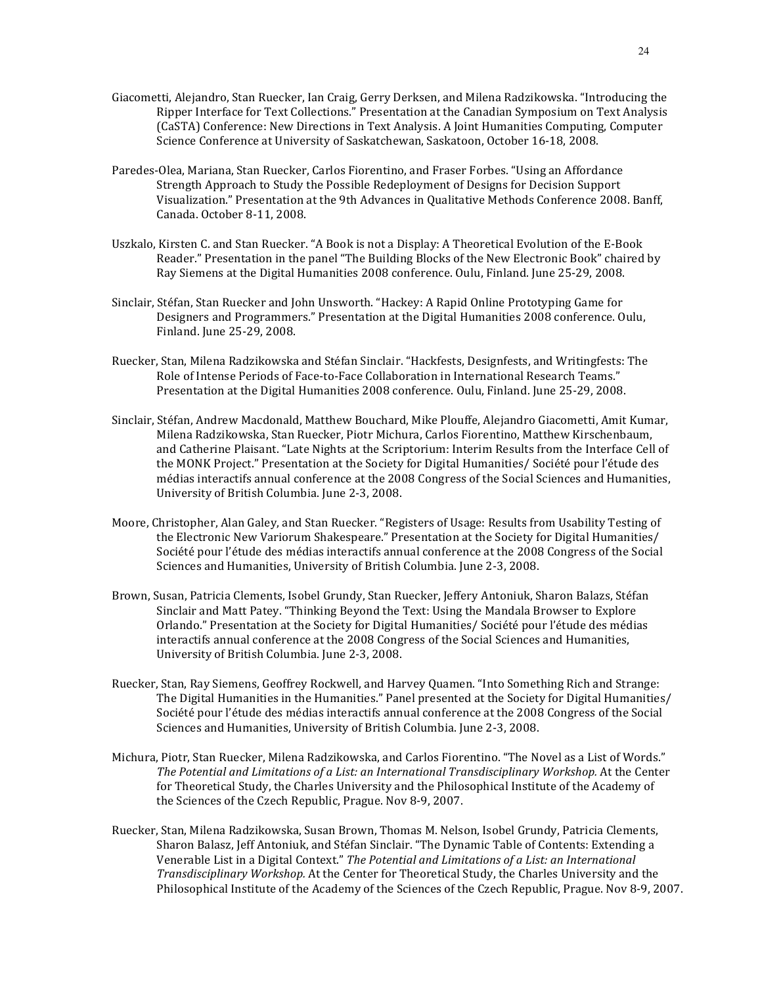- Giacometti, Alejandro, Stan Ruecker, Ian Craig, Gerry Derksen, and Milena Radzikowska. "Introducing the Ripper Interface for Text Collections." Presentation at the Canadian Symposium on Text Analysis (CaSTA) Conference: New Directions in Text Analysis. A Joint Humanities Computing, Computer Science Conference at University of Saskatchewan, Saskatoon, October 16-18, 2008.
- Paredes-Olea, Mariana, Stan Ruecker, Carlos Fiorentino, and Fraser Forbes. "Using an Affordance Strength Approach to Study the Possible Redeployment of Designs for Decision Support Visualization." Presentation at the 9th Advances in Qualitative Methods Conference 2008. Banff, Canada. October 8-11, 2008.
- Uszkalo, Kirsten C. and Stan Ruecker. "A Book is not a Display: A Theoretical Evolution of the E-Book Reader." Presentation in the panel "The Building Blocks of the New Electronic Book" chaired by Ray Siemens at the Digital Humanities 2008 conference. Oulu, Finland. June 25-29, 2008.
- Sinclair, Stéfan, Stan Ruecker and John Unsworth. "Hackey: A Rapid Online Prototyping Game for Designers and Programmers." Presentation at the Digital Humanities 2008 conference. Oulu, Finland. June 25-29, 2008.
- Ruecker, Stan, Milena Radzikowska and Stéfan Sinclair. "Hackfests, Designfests, and Writingfests: The Role of Intense Periods of Face-to-Face Collaboration in International Research Teams." Presentation at the Digital Humanities 2008 conference. Oulu, Finland. June 25-29, 2008.
- Sinclair, Stéfan, Andrew Macdonald, Matthew Bouchard, Mike Plouffe, Alejandro Giacometti, Amit Kumar, Milena Radzikowska, Stan Ruecker, Piotr Michura, Carlos Fiorentino, Matthew Kirschenbaum, and Catherine Plaisant. "Late Nights at the Scriptorium: Interim Results from the Interface Cell of the MONK Project." Presentation at the Society for Digital Humanities/ Société pour l'étude des médias interactifs annual conference at the 2008 Congress of the Social Sciences and Humanities, University of British Columbia. June 2-3, 2008.
- Moore, Christopher, Alan Galey, and Stan Ruecker. "Registers of Usage: Results from Usability Testing of the Electronic New Variorum Shakespeare." Presentation at the Society for Digital Humanities/ Société pour l'étude des médias interactifs annual conference at the 2008 Congress of the Social Sciences and Humanities, University of British Columbia. June 2-3, 2008.
- Brown, Susan, Patricia Clements, Isobel Grundy, Stan Ruecker, Jeffery Antoniuk, Sharon Balazs, Stéfan Sinclair and Matt Patey. "Thinking Beyond the Text: Using the Mandala Browser to Explore Orlando." Presentation at the Society for Digital Humanities/ Société pour l'étude des médias interactifs annual conference at the 2008 Congress of the Social Sciences and Humanities, University of British Columbia. June 2-3, 2008.
- Ruecker, Stan, Ray Siemens, Geoffrey Rockwell, and Harvey Quamen. "Into Something Rich and Strange: The Digital Humanities in the Humanities." Panel presented at the Society for Digital Humanities/ Société pour l'étude des médias interactifs annual conference at the 2008 Congress of the Social Sciences and Humanities, University of British Columbia. June 2-3, 2008.
- Michura, Piotr, Stan Ruecker, Milena Radzikowska, and Carlos Fiorentino. "The Novel as a List of Words." The Potential and Limitations of a List: an International Transdisciplinary Workshop. At the Center for Theoretical Study, the Charles University and the Philosophical Institute of the Academy of the Sciences of the Czech Republic, Prague. Nov 8-9, 2007.
- Ruecker, Stan, Milena Radzikowska, Susan Brown, Thomas M. Nelson, Isobel Grundy, Patricia Clements, Sharon Balasz, Jeff Antoniuk, and Stéfan Sinclair. "The Dynamic Table of Contents: Extending a Venerable List in a Digital Context." *The Potential and Limitations of a List: an International Transdisciplinary Workshop.* At the Center for Theoretical Study, the Charles University and the Philosophical Institute of the Academy of the Sciences of the Czech Republic, Prague. Nov 8-9, 2007.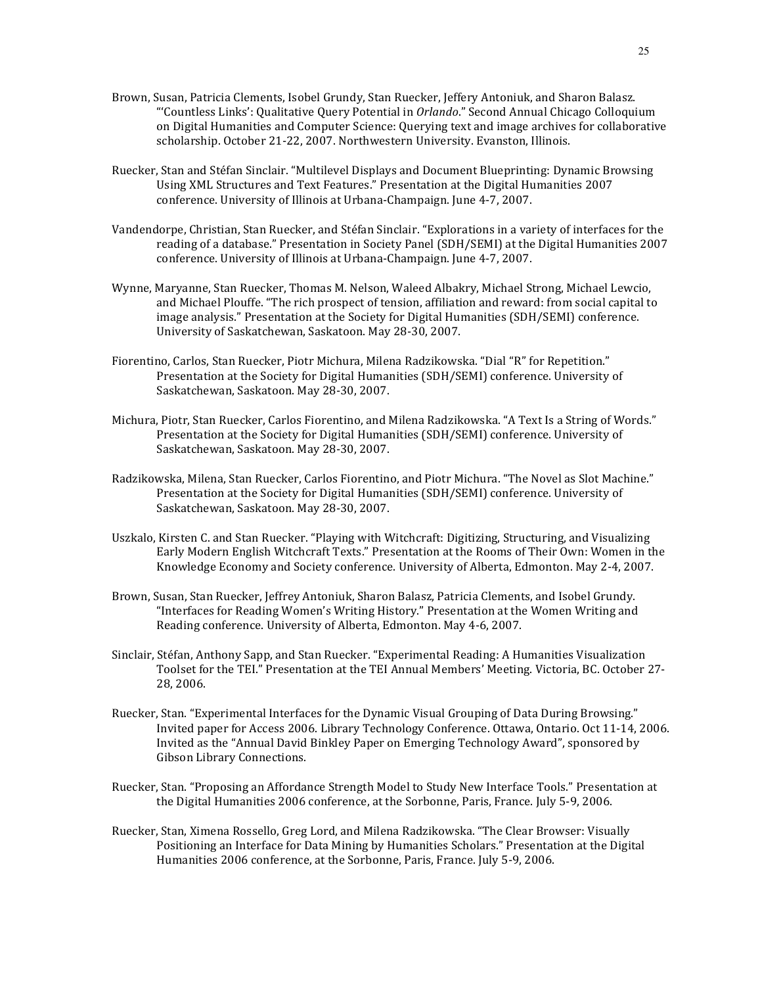- Brown, Susan, Patricia Clements, Isobel Grundy, Stan Ruecker, Jeffery Antoniuk, and Sharon Balasz. "'Countless Links': Qualitative Query Potential in *Orlando*." Second Annual Chicago Colloquium on Digital Humanities and Computer Science: Querying text and image archives for collaborative scholarship. October 21-22, 2007. Northwestern University. Evanston, Illinois.
- Ruecker, Stan and Stéfan Sinclair. "Multilevel Displays and Document Blueprinting: Dynamic Browsing Using XML Structures and Text Features." Presentation at the Digital Humanities 2007 conference. University of Illinois at Urbana-Champaign. June 4-7, 2007.
- Vandendorpe, Christian, Stan Ruecker, and Stéfan Sinclair. "Explorations in a variety of interfaces for the reading of a database." Presentation in Society Panel (SDH/SEMI) at the Digital Humanities 2007 conference. University of Illinois at Urbana-Champaign. June 4-7, 2007.
- Wynne, Maryanne, Stan Ruecker, Thomas M. Nelson, Waleed Albakry, Michael Strong, Michael Lewcio, and Michael Plouffe. "The rich prospect of tension, affiliation and reward: from social capital to image analysis." Presentation at the Society for Digital Humanities (SDH/SEMI) conference. University of Saskatchewan, Saskatoon. May 28-30, 2007.
- Fiorentino, Carlos, Stan Ruecker, Piotr Michura, Milena Radzikowska. "Dial "R" for Repetition." Presentation at the Society for Digital Humanities (SDH/SEMI) conference. University of Saskatchewan, Saskatoon. May 28-30, 2007.
- Michura, Piotr, Stan Ruecker, Carlos Fiorentino, and Milena Radzikowska. "A Text Is a String of Words." Presentation at the Society for Digital Humanities (SDH/SEMI) conference. University of Saskatchewan, Saskatoon. May 28-30, 2007.
- Radzikowska, Milena, Stan Ruecker, Carlos Fiorentino, and Piotr Michura. "The Novel as Slot Machine." Presentation at the Society for Digital Humanities (SDH/SEMI) conference. University of Saskatchewan, Saskatoon. May 28-30, 2007.
- Uszkalo, Kirsten C. and Stan Ruecker. "Playing with Witchcraft: Digitizing, Structuring, and Visualizing Early Modern English Witchcraft Texts." Presentation at the Rooms of Their Own: Women in the Knowledge Economy and Society conference. University of Alberta, Edmonton. May 2-4, 2007.
- Brown, Susan, Stan Ruecker, Jeffrey Antoniuk, Sharon Balasz, Patricia Clements, and Isobel Grundy. "Interfaces for Reading Women's Writing History." Presentation at the Women Writing and Reading conference. University of Alberta, Edmonton. May 4-6, 2007.
- Sinclair, Stéfan, Anthony Sapp, and Stan Ruecker. "Experimental Reading: A Humanities Visualization Toolset for the TEI." Presentation at the TEI Annual Members' Meeting. Victoria, BC. October 27-28, 2006.
- Ruecker, Stan. "Experimental Interfaces for the Dynamic Visual Grouping of Data During Browsing." Invited paper for Access 2006. Library Technology Conference. Ottawa, Ontario. Oct 11-14, 2006. Invited as the "Annual David Binkley Paper on Emerging Technology Award", sponsored by Gibson Library Connections.
- Ruecker, Stan. "Proposing an Affordance Strength Model to Study New Interface Tools." Presentation at the Digital Humanities 2006 conference, at the Sorbonne, Paris, France. July 5-9, 2006.
- Ruecker, Stan, Ximena Rossello, Greg Lord, and Milena Radzikowska. "The Clear Browser: Visually Positioning an Interface for Data Mining by Humanities Scholars." Presentation at the Digital Humanities 2006 conference, at the Sorbonne, Paris, France. July 5-9, 2006.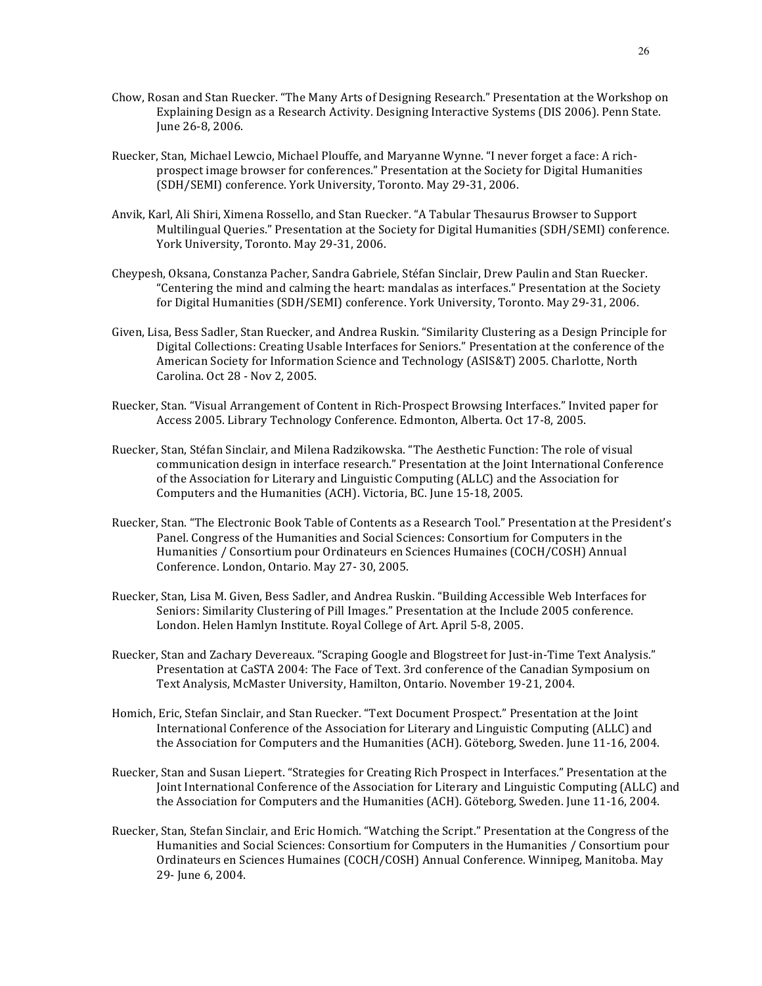- Chow, Rosan and Stan Ruecker. "The Many Arts of Designing Research." Presentation at the Workshop on Explaining Design as a Research Activity. Designing Interactive Systems (DIS 2006). Penn State. June 26-8, 2006.
- Ruecker, Stan, Michael Lewcio, Michael Plouffe, and Maryanne Wynne. "I never forget a face: A richprospect image browser for conferences." Presentation at the Society for Digital Humanities (SDH/SEMI) conference. York University, Toronto. May 29-31, 2006.
- Anvik, Karl, Ali Shiri, Ximena Rossello, and Stan Ruecker. "A Tabular Thesaurus Browser to Support Multilingual Queries." Presentation at the Society for Digital Humanities (SDH/SEMI) conference. York University, Toronto. May 29-31, 2006.
- Cheypesh, Oksana, Constanza Pacher, Sandra Gabriele, Stéfan Sinclair, Drew Paulin and Stan Ruecker. "Centering the mind and calming the heart: mandalas as interfaces." Presentation at the Society for Digital Humanities (SDH/SEMI) conference. York University, Toronto. May 29-31, 2006.
- Given, Lisa, Bess Sadler, Stan Ruecker, and Andrea Ruskin. "Similarity Clustering as a Design Principle for Digital Collections: Creating Usable Interfaces for Seniors." Presentation at the conference of the American Society for Information Science and Technology (ASIS&T) 2005. Charlotte, North Carolina. Oct 28 - Nov 2, 2005.
- Ruecker, Stan. "Visual Arrangement of Content in Rich-Prospect Browsing Interfaces." Invited paper for Access 2005. Library Technology Conference. Edmonton, Alberta. Oct 17-8, 2005.
- Ruecker, Stan, Stéfan Sinclair, and Milena Radzikowska. "The Aesthetic Function: The role of visual communication design in interface research." Presentation at the Joint International Conference of the Association for Literary and Linguistic Computing (ALLC) and the Association for Computers and the Humanities (ACH). Victoria, BC. June 15-18, 2005.
- Ruecker, Stan. "The Electronic Book Table of Contents as a Research Tool." Presentation at the President's Panel. Congress of the Humanities and Social Sciences: Consortium for Computers in the Humanities / Consortium pour Ordinateurs en Sciences Humaines (COCH/COSH) Annual Conference. London, Ontario. May 27-30, 2005.
- Ruecker, Stan, Lisa M. Given, Bess Sadler, and Andrea Ruskin. "Building Accessible Web Interfaces for Seniors: Similarity Clustering of Pill Images." Presentation at the Include 2005 conference. London. Helen Hamlyn Institute. Royal College of Art. April 5-8, 2005.
- Ruecker, Stan and Zachary Devereaux. "Scraping Google and Blogstreet for Just-in-Time Text Analysis." Presentation at CaSTA 2004: The Face of Text. 3rd conference of the Canadian Symposium on Text Analysis, McMaster University, Hamilton, Ontario. November 19-21, 2004.
- Homich, Eric, Stefan Sinclair, and Stan Ruecker. "Text Document Prospect." Presentation at the Joint International Conference of the Association for Literary and Linguistic Computing (ALLC) and the Association for Computers and the Humanities (ACH). Göteborg, Sweden. June 11-16, 2004.
- Ruecker, Stan and Susan Liepert. "Strategies for Creating Rich Prospect in Interfaces." Presentation at the Joint International Conference of the Association for Literary and Linguistic Computing (ALLC) and the Association for Computers and the Humanities (ACH). Göteborg, Sweden. June 11-16, 2004.
- Ruecker, Stan, Stefan Sinclair, and Eric Homich. "Watching the Script." Presentation at the Congress of the Humanities and Social Sciences: Consortium for Computers in the Humanities / Consortium pour Ordinateurs en Sciences Humaines (COCH/COSH) Annual Conference. Winnipeg, Manitoba. May 29- June 6, 2004.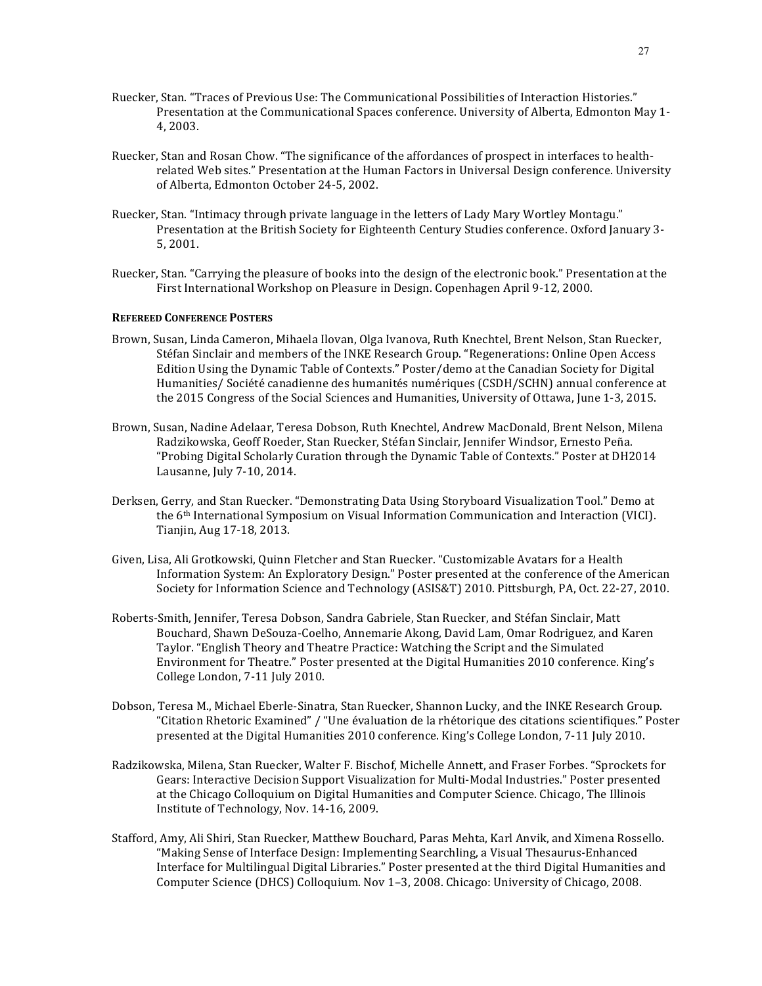- Ruecker, Stan. "Traces of Previous Use: The Communicational Possibilities of Interaction Histories." Presentation at the Communicational Spaces conference. University of Alberta, Edmonton May 1-4, 2003.
- Ruecker, Stan and Rosan Chow. "The significance of the affordances of prospect in interfaces to healthrelated Web sites." Presentation at the Human Factors in Universal Design conference. University of Alberta, Edmonton October 24-5, 2002.
- Ruecker, Stan. "Intimacy through private language in the letters of Lady Mary Wortley Montagu." Presentation at the British Society for Eighteenth Century Studies conference. Oxford January 3-5, 2001.
- Ruecker, Stan. "Carrying the pleasure of books into the design of the electronic book." Presentation at the First International Workshop on Pleasure in Design. Copenhagen April 9-12, 2000.

### **REFEREED CONFERENCE POSTERS**

- Brown, Susan, Linda Cameron, Mihaela Ilovan, Olga Ivanova, Ruth Knechtel, Brent Nelson, Stan Ruecker, Stéfan Sinclair and members of the INKE Research Group. "Regenerations: Online Open Access Edition Using the Dynamic Table of Contexts." Poster/demo at the Canadian Society for Digital Humanities/ Société canadienne des humanités numériques (CSDH/SCHN) annual conference at the 2015 Congress of the Social Sciences and Humanities, University of Ottawa, June 1-3, 2015.
- Brown, Susan, Nadine Adelaar, Teresa Dobson, Ruth Knechtel, Andrew MacDonald, Brent Nelson, Milena Radzikowska, Geoff Roeder, Stan Ruecker, Stéfan Sinclair, Jennifer Windsor, Ernesto Peña. "Probing Digital Scholarly Curation through the Dynamic Table of Contexts." Poster at DH2014 Lausanne, July 7-10, 2014.
- Derksen, Gerry, and Stan Ruecker. "Demonstrating Data Using Storyboard Visualization Tool." Demo at the 6<sup>th</sup> International Symposium on Visual Information Communication and Interaction (VICI). Tianjin, Aug 17-18, 2013.
- Given, Lisa, Ali Grotkowski, Quinn Fletcher and Stan Ruecker. "Customizable Avatars for a Health Information System: An Exploratory Design." Poster presented at the conference of the American Society for Information Science and Technology (ASIS&T) 2010. Pittsburgh, PA, Oct. 22-27, 2010.
- Roberts-Smith, Jennifer, Teresa Dobson, Sandra Gabriele, Stan Ruecker, and Stéfan Sinclair, Matt Bouchard, Shawn DeSouza-Coelho, Annemarie Akong, David Lam, Omar Rodriguez, and Karen Taylor. "English Theory and Theatre Practice: Watching the Script and the Simulated Environment for Theatre." Poster presented at the Digital Humanities 2010 conference. King's College London, 7-11 July 2010.
- Dobson, Teresa M., Michael Eberle-Sinatra, Stan Ruecker, Shannon Lucky, and the INKE Research Group. "Citation Rhetoric Examined" / "Une évaluation de la rhétorique des citations scientifiques." Poster presented at the Digital Humanities 2010 conference. King's College London, 7-11 July 2010.
- Radzikowska, Milena, Stan Ruecker, Walter F. Bischof, Michelle Annett, and Fraser Forbes. "Sprockets for Gears: Interactive Decision Support Visualization for Multi-Modal Industries." Poster presented at the Chicago Colloquium on Digital Humanities and Computer Science. Chicago, The Illinois Institute of Technology, Nov. 14-16, 2009.
- Stafford, Amy, Ali Shiri, Stan Ruecker, Matthew Bouchard, Paras Mehta, Karl Anvik, and Ximena Rossello. "Making Sense of Interface Design: Implementing Searchling, a Visual Thesaurus-Enhanced Interface for Multilingual Digital Libraries." Poster presented at the third Digital Humanities and Computer Science (DHCS) Colloquium. Nov 1-3, 2008. Chicago: University of Chicago, 2008.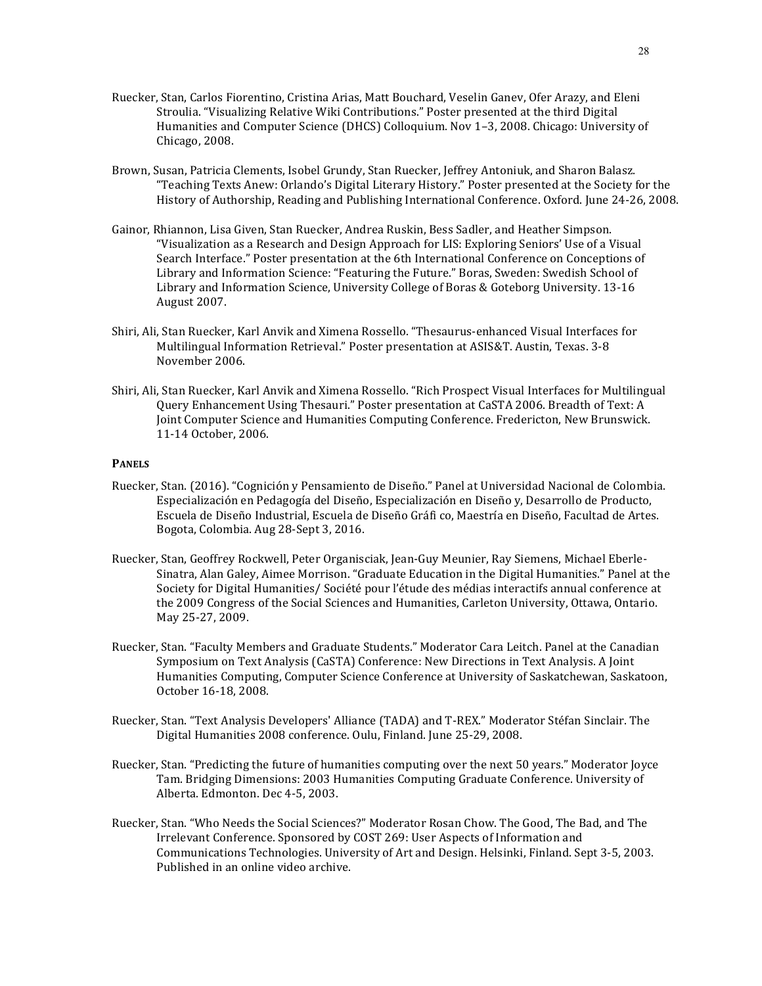- Ruecker, Stan, Carlos Fiorentino, Cristina Arias, Matt Bouchard, Veselin Ganev, Ofer Arazy, and Eleni Stroulia. "Visualizing Relative Wiki Contributions." Poster presented at the third Digital Humanities and Computer Science (DHCS) Colloquium. Nov 1-3, 2008. Chicago: University of Chicago, 2008.
- Brown, Susan, Patricia Clements, Isobel Grundy, Stan Ruecker, Jeffrey Antoniuk, and Sharon Balasz. "Teaching Texts Anew: Orlando's Digital Literary History." Poster presented at the Society for the History of Authorship, Reading and Publishing International Conference. Oxford. June 24-26, 2008.
- Gainor, Rhiannon, Lisa Given, Stan Ruecker, Andrea Ruskin, Bess Sadler, and Heather Simpson. "Visualization as a Research and Design Approach for LIS: Exploring Seniors' Use of a Visual Search Interface." Poster presentation at the 6th International Conference on Conceptions of Library and Information Science: "Featuring the Future." Boras, Sweden: Swedish School of Library and Information Science, University College of Boras & Goteborg University. 13-16 August 2007.
- Shiri, Ali, Stan Ruecker, Karl Anvik and Ximena Rossello. "Thesaurus-enhanced Visual Interfaces for Multilingual Information Retrieval." Poster presentation at ASIS&T. Austin, Texas. 3-8 November 2006.
- Shiri, Ali, Stan Ruecker, Karl Anvik and Ximena Rossello. "Rich Prospect Visual Interfaces for Multilingual Query Enhancement Using Thesauri." Poster presentation at CaSTA 2006. Breadth of Text: A Joint Computer Science and Humanities Computing Conference. Fredericton, New Brunswick. 11-14 October, 2006.

### **PANELS**

- Ruecker, Stan. (2016). "Cognición y Pensamiento de Diseño." Panel at Universidad Nacional de Colombia. Especialización en Pedagogía del Diseño, Especialización en Diseño y, Desarrollo de Producto, Escuela de Diseño Industrial, Escuela de Diseño Gráfi co, Maestría en Diseño, Facultad de Artes. Bogota, Colombia. Aug 28-Sept 3, 2016.
- Ruecker, Stan, Geoffrey Rockwell, Peter Organisciak, Jean-Guy Meunier, Ray Siemens, Michael Eberle-Sinatra, Alan Galey, Aimee Morrison. "Graduate Education in the Digital Humanities." Panel at the Society for Digital Humanities/ Société pour l'étude des médias interactifs annual conference at the 2009 Congress of the Social Sciences and Humanities, Carleton University, Ottawa, Ontario. May 25-27, 2009.
- Ruecker, Stan. "Faculty Members and Graduate Students." Moderator Cara Leitch. Panel at the Canadian Symposium on Text Analysis (CaSTA) Conference: New Directions in Text Analysis. A Joint Humanities Computing, Computer Science Conference at University of Saskatchewan, Saskatoon, October 16-18, 2008.
- Ruecker, Stan. "Text Analysis Developers' Alliance (TADA) and T-REX." Moderator Stéfan Sinclair. The Digital Humanities 2008 conference. Oulu, Finland. June 25-29, 2008.
- Ruecker, Stan. "Predicting the future of humanities computing over the next 50 years." Moderator Joyce Tam. Bridging Dimensions: 2003 Humanities Computing Graduate Conference. University of Alberta. Edmonton. Dec 4-5, 2003.
- Ruecker, Stan. "Who Needs the Social Sciences?" Moderator Rosan Chow. The Good, The Bad, and The Irrelevant Conference. Sponsored by COST 269: User Aspects of Information and Communications Technologies. University of Art and Design. Helsinki, Finland. Sept 3-5, 2003. Published in an online video archive.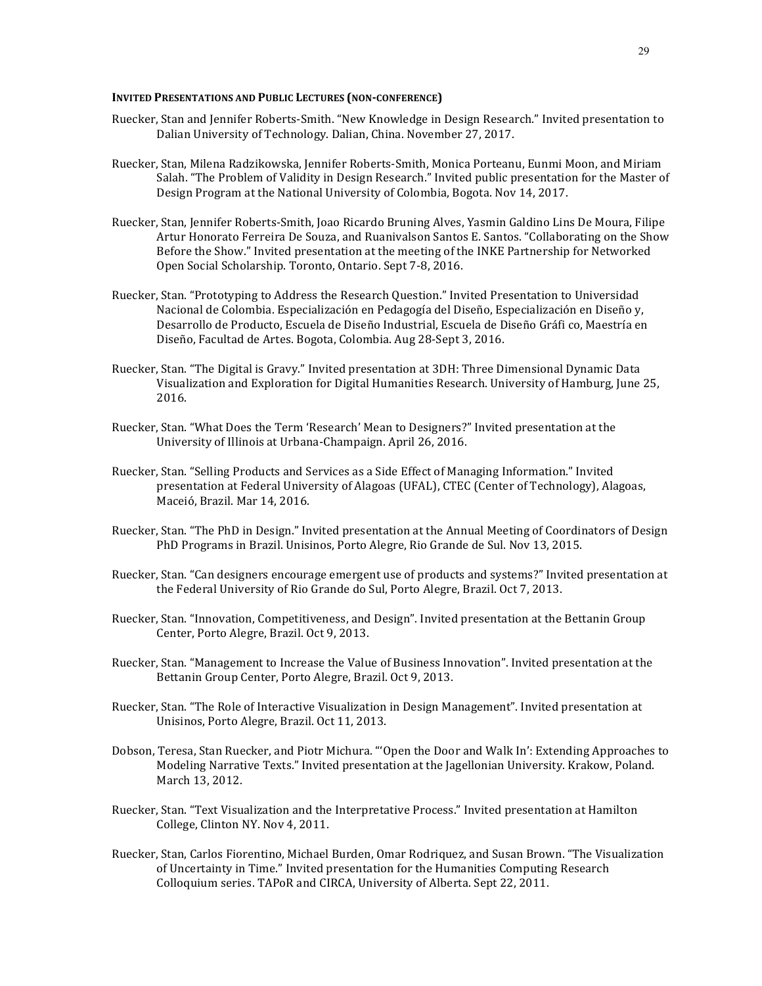#### **INVITED PRESENTATIONS AND PUBLIC LECTURES (NON-CONFERENCE)**

- Ruecker, Stan and Jennifer Roberts-Smith. "New Knowledge in Design Research." Invited presentation to Dalian University of Technology. Dalian, China. November 27, 2017.
- Ruecker, Stan, Milena Radzikowska, Jennifer Roberts-Smith, Monica Porteanu, Eunmi Moon, and Miriam Salah. "The Problem of Validity in Design Research." Invited public presentation for the Master of Design Program at the National University of Colombia, Bogota. Nov 14, 2017.
- Ruecker, Stan, Jennifer Roberts-Smith, Joao Ricardo Bruning Alves, Yasmin Galdino Lins De Moura, Filipe Artur Honorato Ferreira De Souza, and Ruanivalson Santos E. Santos. "Collaborating on the Show Before the Show." Invited presentation at the meeting of the INKE Partnership for Networked Open Social Scholarship. Toronto, Ontario. Sept 7-8, 2016.
- Ruecker, Stan. "Prototyping to Address the Research Question." Invited Presentation to Universidad Nacional de Colombia. Especialización en Pedagogía del Diseño, Especialización en Diseño y, Desarrollo de Producto, Escuela de Diseño Industrial, Escuela de Diseño Gráfi co, Maestría en Diseño, Facultad de Artes. Bogota, Colombia. Aug 28-Sept 3, 2016.
- Ruecker, Stan. "The Digital is Gravy." Invited presentation at 3DH: Three Dimensional Dynamic Data Visualization and Exploration for Digital Humanities Research. University of Hamburg, June 25, 2016.
- Ruecker, Stan. "What Does the Term 'Research' Mean to Designers?" Invited presentation at the University of Illinois at Urbana-Champaign. April 26, 2016.
- Ruecker, Stan. "Selling Products and Services as a Side Effect of Managing Information." Invited presentation at Federal University of Alagoas (UFAL), CTEC (Center of Technology), Alagoas, Maceió, Brazil. Mar 14, 2016.
- Ruecker, Stan. "The PhD in Design." Invited presentation at the Annual Meeting of Coordinators of Design PhD Programs in Brazil. Unisinos, Porto Alegre, Rio Grande de Sul. Nov 13, 2015.
- Ruecker, Stan. "Can designers encourage emergent use of products and systems?" Invited presentation at the Federal University of Rio Grande do Sul, Porto Alegre, Brazil. Oct 7, 2013.
- Ruecker, Stan. "Innovation, Competitiveness, and Design". Invited presentation at the Bettanin Group Center, Porto Alegre, Brazil. Oct 9, 2013.
- Ruecker, Stan. "Management to Increase the Value of Business Innovation". Invited presentation at the Bettanin Group Center, Porto Alegre, Brazil. Oct 9, 2013.
- Ruecker, Stan. "The Role of Interactive Visualization in Design Management". Invited presentation at Unisinos, Porto Alegre, Brazil. Oct 11, 2013.
- Dobson, Teresa, Stan Ruecker, and Piotr Michura. "'Open the Door and Walk In': Extending Approaches to Modeling Narrative Texts." Invited presentation at the Jagellonian University. Krakow, Poland. March 13, 2012.
- Ruecker, Stan. "Text Visualization and the Interpretative Process." Invited presentation at Hamilton College, Clinton NY. Nov 4, 2011.
- Ruecker, Stan, Carlos Fiorentino, Michael Burden, Omar Rodriquez, and Susan Brown. "The Visualization of Uncertainty in Time." Invited presentation for the Humanities Computing Research Colloquium series. TAPoR and CIRCA, University of Alberta. Sept 22, 2011.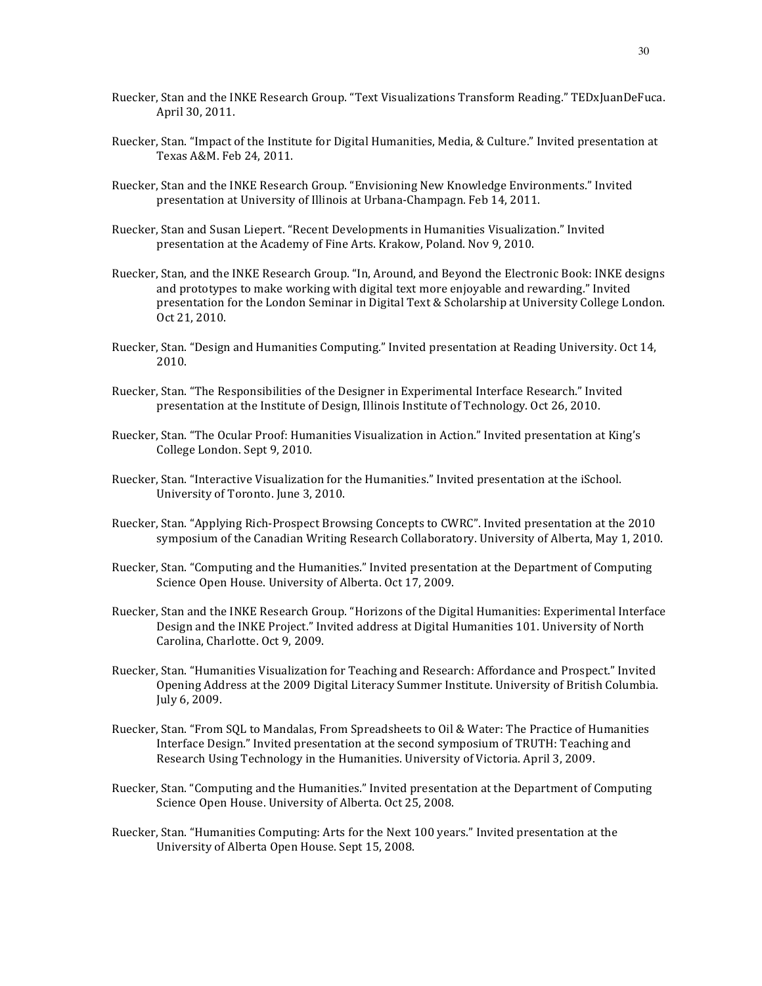- Ruecker, Stan and the INKE Research Group. "Text Visualizations Transform Reading." TEDxJuanDeFuca. April 30, 2011.
- Ruecker, Stan. "Impact of the Institute for Digital Humanities, Media, & Culture." Invited presentation at Texas A&M. Feb 24, 2011.
- Ruecker, Stan and the INKE Research Group. "Envisioning New Knowledge Environments." Invited presentation at University of Illinois at Urbana-Champagn. Feb 14, 2011.
- Ruecker, Stan and Susan Liepert. "Recent Developments in Humanities Visualization." Invited presentation at the Academy of Fine Arts. Krakow, Poland. Nov 9, 2010.
- Ruecker, Stan, and the INKE Research Group. "In, Around, and Beyond the Electronic Book: INKE designs and prototypes to make working with digital text more enjoyable and rewarding." Invited presentation for the London Seminar in Digital Text & Scholarship at University College London. Oct 21, 2010.
- Ruecker, Stan. "Design and Humanities Computing." Invited presentation at Reading University. Oct 14, 2010.
- Ruecker, Stan. "The Responsibilities of the Designer in Experimental Interface Research." Invited presentation at the Institute of Design, Illinois Institute of Technology. Oct 26, 2010.
- Ruecker, Stan. "The Ocular Proof: Humanities Visualization in Action." Invited presentation at King's College London. Sept 9, 2010.
- Ruecker, Stan. "Interactive Visualization for the Humanities." Invited presentation at the iSchool. University of Toronto. June 3, 2010.
- Ruecker, Stan. "Applying Rich-Prospect Browsing Concepts to CWRC". Invited presentation at the 2010 symposium of the Canadian Writing Research Collaboratory. University of Alberta, May 1, 2010.
- Ruecker, Stan. "Computing and the Humanities." Invited presentation at the Department of Computing Science Open House. University of Alberta. Oct 17, 2009.
- Ruecker, Stan and the INKE Research Group. "Horizons of the Digital Humanities: Experimental Interface Design and the INKE Project." Invited address at Digital Humanities 101. University of North Carolina, Charlotte. Oct 9, 2009.
- Ruecker, Stan. "Humanities Visualization for Teaching and Research: Affordance and Prospect." Invited Opening Address at the 2009 Digital Literacy Summer Institute. University of British Columbia. July 6, 2009.
- Ruecker, Stan. "From SQL to Mandalas, From Spreadsheets to Oil & Water: The Practice of Humanities Interface Design." Invited presentation at the second symposium of TRUTH: Teaching and Research Using Technology in the Humanities. University of Victoria. April 3, 2009.
- Ruecker, Stan. "Computing and the Humanities." Invited presentation at the Department of Computing Science Open House. University of Alberta. Oct 25, 2008.
- Ruecker, Stan. "Humanities Computing: Arts for the Next 100 years." Invited presentation at the University of Alberta Open House. Sept 15, 2008.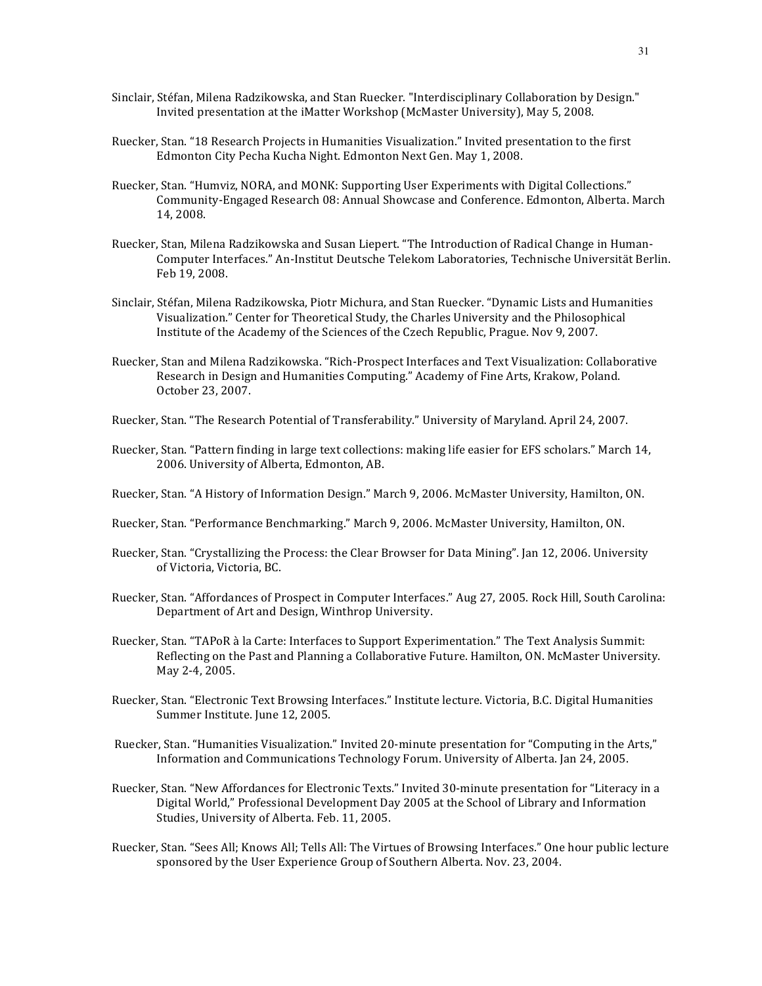- Sinclair, Stéfan, Milena Radzikowska, and Stan Ruecker. "Interdisciplinary Collaboration by Design." Invited presentation at the iMatter Workshop (McMaster University), May 5, 2008.
- Ruecker, Stan. "18 Research Projects in Humanities Visualization." Invited presentation to the first Edmonton City Pecha Kucha Night. Edmonton Next Gen. May 1, 2008.
- Ruecker, Stan. "Humviz, NORA, and MONK: Supporting User Experiments with Digital Collections." Community-Engaged Research 08: Annual Showcase and Conference. Edmonton, Alberta. March 14, 2008.
- Ruecker, Stan, Milena Radzikowska and Susan Liepert. "The Introduction of Radical Change in Human-Computer Interfaces." An-Institut Deutsche Telekom Laboratories, Technische Universität Berlin. Feb 19, 2008.
- Sinclair, Stéfan, Milena Radzikowska, Piotr Michura, and Stan Ruecker. "Dynamic Lists and Humanities Visualization." Center for Theoretical Study, the Charles University and the Philosophical Institute of the Academy of the Sciences of the Czech Republic, Prague. Nov 9, 2007.
- Ruecker, Stan and Milena Radzikowska. "Rich-Prospect Interfaces and Text Visualization: Collaborative Research in Design and Humanities Computing." Academy of Fine Arts, Krakow, Poland. October 23, 2007.
- Ruecker, Stan. "The Research Potential of Transferability." University of Maryland. April 24, 2007.
- Ruecker, Stan. "Pattern finding in large text collections: making life easier for EFS scholars." March 14, 2006. University of Alberta, Edmonton, AB.
- Ruecker, Stan. "A History of Information Design." March 9, 2006. McMaster University, Hamilton, ON.
- Ruecker, Stan. "Performance Benchmarking." March 9, 2006. McMaster University, Hamilton, ON.
- Ruecker, Stan. "Crystallizing the Process: the Clear Browser for Data Mining". [an 12, 2006. University of Victoria, Victoria, BC.
- Ruecker, Stan. "Affordances of Prospect in Computer Interfaces." Aug 27, 2005. Rock Hill, South Carolina: Department of Art and Design, Winthrop University.
- Ruecker, Stan. "TAPoR à la Carte: Interfaces to Support Experimentation." The Text Analysis Summit: Reflecting on the Past and Planning a Collaborative Future. Hamilton, ON. McMaster University. May 2-4, 2005.
- Ruecker, Stan. "Electronic Text Browsing Interfaces." Institute lecture. Victoria, B.C. Digital Humanities Summer Institute. June 12, 2005.
- Ruecker, Stan. "Humanities Visualization." Invited 20-minute presentation for "Computing in the Arts," Information and Communications Technology Forum. University of Alberta. Jan 24, 2005.
- Ruecker, Stan. "New Affordances for Electronic Texts." Invited 30-minute presentation for "Literacy in a Digital World," Professional Development Day 2005 at the School of Library and Information Studies, University of Alberta. Feb. 11, 2005.
- Ruecker, Stan. "Sees All; Knows All; Tells All: The Virtues of Browsing Interfaces." One hour public lecture sponsored by the User Experience Group of Southern Alberta. Nov. 23, 2004.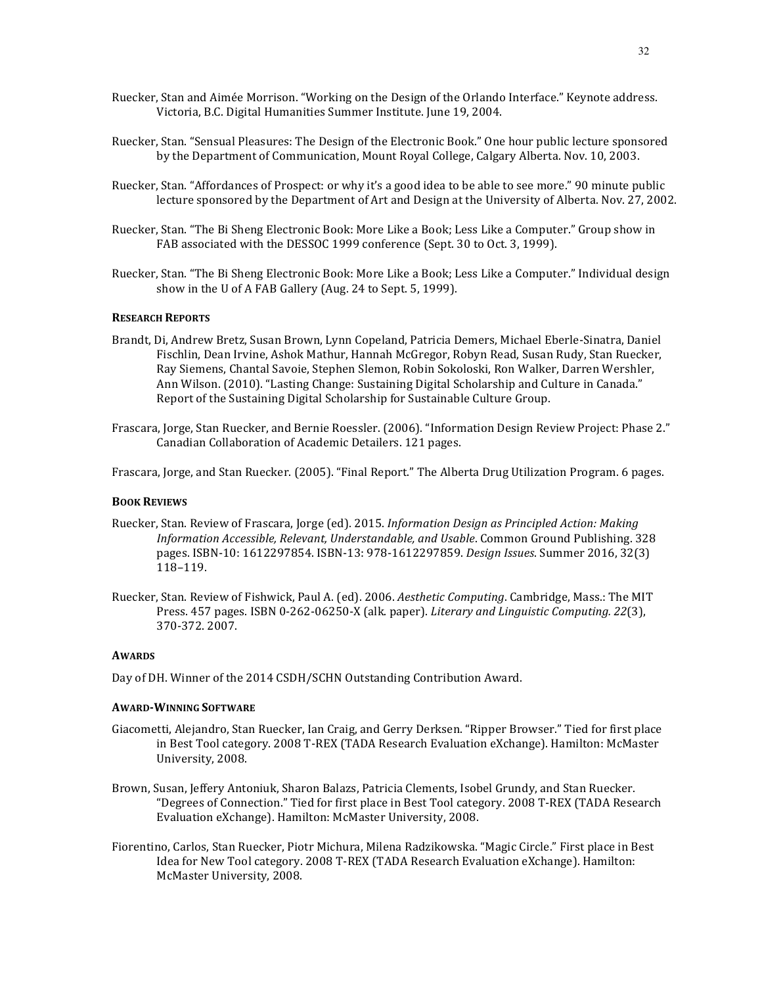- Ruecker, Stan and Aimée Morrison. "Working on the Design of the Orlando Interface." Keynote address. Victoria, B.C. Digital Humanities Summer Institute. Iune 19, 2004.
- Ruecker, Stan. "Sensual Pleasures: The Design of the Electronic Book." One hour public lecture sponsored by the Department of Communication, Mount Royal College, Calgary Alberta. Nov. 10, 2003.
- Ruecker, Stan. "Affordances of Prospect: or why it's a good idea to be able to see more." 90 minute public lecture sponsored by the Department of Art and Design at the University of Alberta. Nov. 27, 2002.
- Ruecker, Stan. "The Bi Sheng Electronic Book: More Like a Book; Less Like a Computer." Group show in FAB associated with the DESSOC 1999 conference (Sept. 30 to Oct. 3, 1999).
- Ruecker, Stan. "The Bi Sheng Electronic Book: More Like a Book; Less Like a Computer." Individual design show in the U of A FAB Gallery (Aug. 24 to Sept. 5, 1999).

### **RESEARCH REPORTS**

- Brandt, Di, Andrew Bretz, Susan Brown, Lynn Copeland, Patricia Demers, Michael Eberle-Sinatra, Daniel Fischlin, Dean Irvine, Ashok Mathur, Hannah McGregor, Robyn Read, Susan Rudy, Stan Ruecker, Ray Siemens, Chantal Savoie, Stephen Slemon, Robin Sokoloski, Ron Walker, Darren Wershler, Ann Wilson. (2010). "Lasting Change: Sustaining Digital Scholarship and Culture in Canada." Report of the Sustaining Digital Scholarship for Sustainable Culture Group.
- Frascara, Jorge, Stan Ruecker, and Bernie Roessler. (2006). "Information Design Review Project: Phase 2." Canadian Collaboration of Academic Detailers. 121 pages.

Frascara, Jorge, and Stan Ruecker. (2005). "Final Report." The Alberta Drug Utilization Program. 6 pages.

### **BOOK REVIEWS**

- Ruecker, Stan. Review of Frascara, Jorge (ed). 2015. *Information Design as Principled Action: Making Information Accessible, Relevant, Understandable, and Usable.* Common Ground Publishing. 328 pages. ISBN-10: 1612297854. ISBN-13: 978-1612297859. *Design Issues*. Summer 2016, 32(3) 118–119.
- Ruecker, Stan. Review of Fishwick, Paul A. (ed). 2006. Aesthetic Computing. Cambridge, Mass.: The MIT Press. 457 pages. ISBN 0-262-06250-X (alk. paper). *Literary and Linguistic Computing. 22*(3), 370-372. 2007.

### **AWARDS**

Day of DH. Winner of the 2014 CSDH/SCHN Outstanding Contribution Award.

#### **AWARD-WINNING SOFTWARE**

- Giacometti, Alejandro, Stan Ruecker, Ian Craig, and Gerry Derksen. "Ripper Browser." Tied for first place in Best Tool category. 2008 T-REX (TADA Research Evaluation eXchange). Hamilton: McMaster University, 2008.
- Brown, Susan, Jeffery Antoniuk, Sharon Balazs, Patricia Clements, Isobel Grundy, and Stan Ruecker. "Degrees of Connection." Tied for first place in Best Tool category. 2008 T-REX (TADA Research Evaluation eXchange). Hamilton: McMaster University, 2008.
- Fiorentino, Carlos, Stan Ruecker, Piotr Michura, Milena Radzikowska. "Magic Circle." First place in Best Idea for New Tool category. 2008 T-REX (TADA Research Evaluation eXchange). Hamilton: McMaster University, 2008.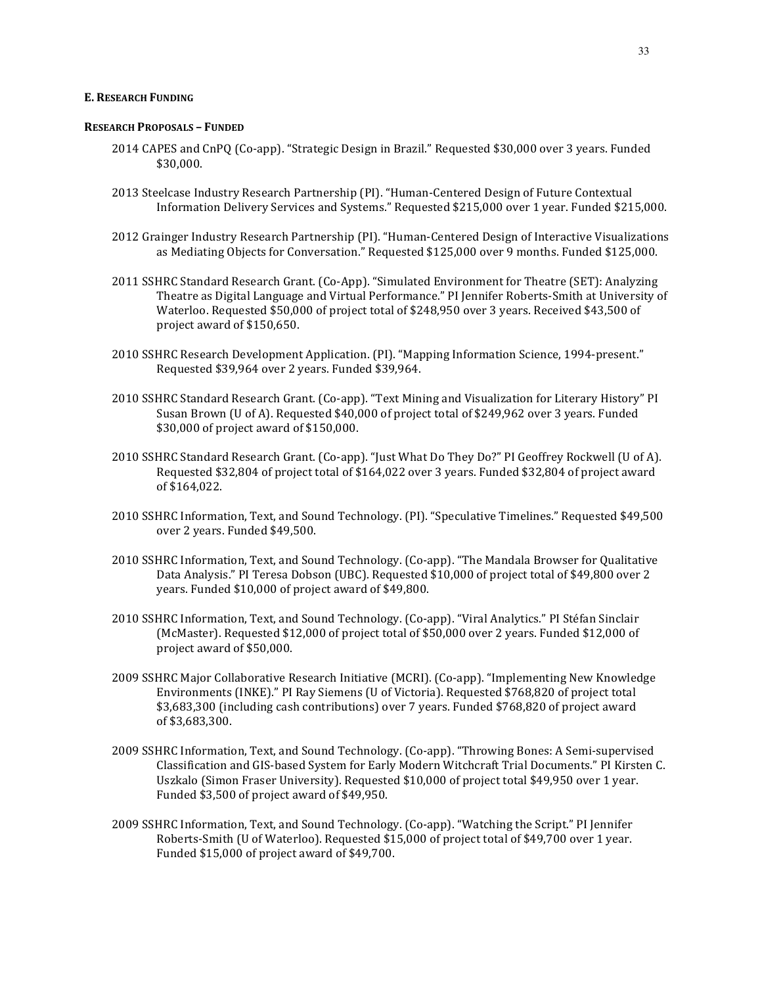# **E. RESEARCH FUNDING**

#### **RESEARCH PROPOSALS – FUNDED**

- 2014 CAPES and CnPQ (Co-app). "Strategic Design in Brazil." Requested \$30,000 over 3 years. Funded \$30,000.
- 2013 Steelcase Industry Research Partnership (PI). "Human-Centered Design of Future Contextual Information Delivery Services and Systems." Requested \$215,000 over 1 year. Funded \$215,000.
- 2012 Grainger Industry Research Partnership (PI). "Human-Centered Design of Interactive Visualizations as Mediating Objects for Conversation." Requested \$125,000 over 9 months. Funded \$125,000.
- 2011 SSHRC Standard Research Grant. (Co-App). "Simulated Environment for Theatre (SET): Analyzing Theatre as Digital Language and Virtual Performance." PI Jennifer Roberts-Smith at University of Waterloo. Requested \$50,000 of project total of \$248,950 over 3 years. Received \$43,500 of project award of \$150,650.
- 2010 SSHRC Research Development Application. (PI). "Mapping Information Science, 1994-present." Requested \$39,964 over 2 years. Funded \$39,964.
- 2010 SSHRC Standard Research Grant. (Co-app). "Text Mining and Visualization for Literary History" PI Susan Brown (U of A). Requested \$40,000 of project total of \$249,962 over 3 years. Funded \$30,000 of project award of \$150,000.
- 2010 SSHRC Standard Research Grant. (Co-app). "Just What Do They Do?" PI Geoffrey Rockwell (U of A). Requested \$32,804 of project total of \$164,022 over 3 years. Funded \$32,804 of project award of \$164,022.
- 2010 SSHRC Information, Text, and Sound Technology. (PI). "Speculative Timelines." Requested \$49,500 over 2 years. Funded \$49,500.
- 2010 SSHRC Information, Text, and Sound Technology. (Co-app). "The Mandala Browser for Qualitative Data Analysis." PI Teresa Dobson (UBC). Requested \$10,000 of project total of \$49,800 over 2 years. Funded \$10,000 of project award of \$49,800.
- 2010 SSHRC Information, Text, and Sound Technology. (Co-app). "Viral Analytics." PI Stéfan Sinclair (McMaster). Requested \$12,000 of project total of \$50,000 over 2 years. Funded \$12,000 of project award of \$50,000.
- 2009 SSHRC Major Collaborative Research Initiative (MCRI). (Co-app). "Implementing New Knowledge Environments (INKE)." PI Ray Siemens (U of Victoria). Requested \$768,820 of project total \$3,683,300 (including cash contributions) over 7 years. Funded \$768,820 of project award of \$3,683,300.
- 2009 SSHRC Information, Text, and Sound Technology. (Co-app). "Throwing Bones: A Semi-supervised Classification and GIS-based System for Early Modern Witchcraft Trial Documents." PI Kirsten C. Uszkalo (Simon Fraser University). Requested \$10,000 of project total \$49,950 over 1 year. Funded \$3,500 of project award of \$49,950.
- 2009 SSHRC Information, Text, and Sound Technology. (Co-app). "Watching the Script." PI Jennifer Roberts-Smith (U of Waterloo). Requested \$15,000 of project total of \$49,700 over 1 year. Funded \$15,000 of project award of \$49,700.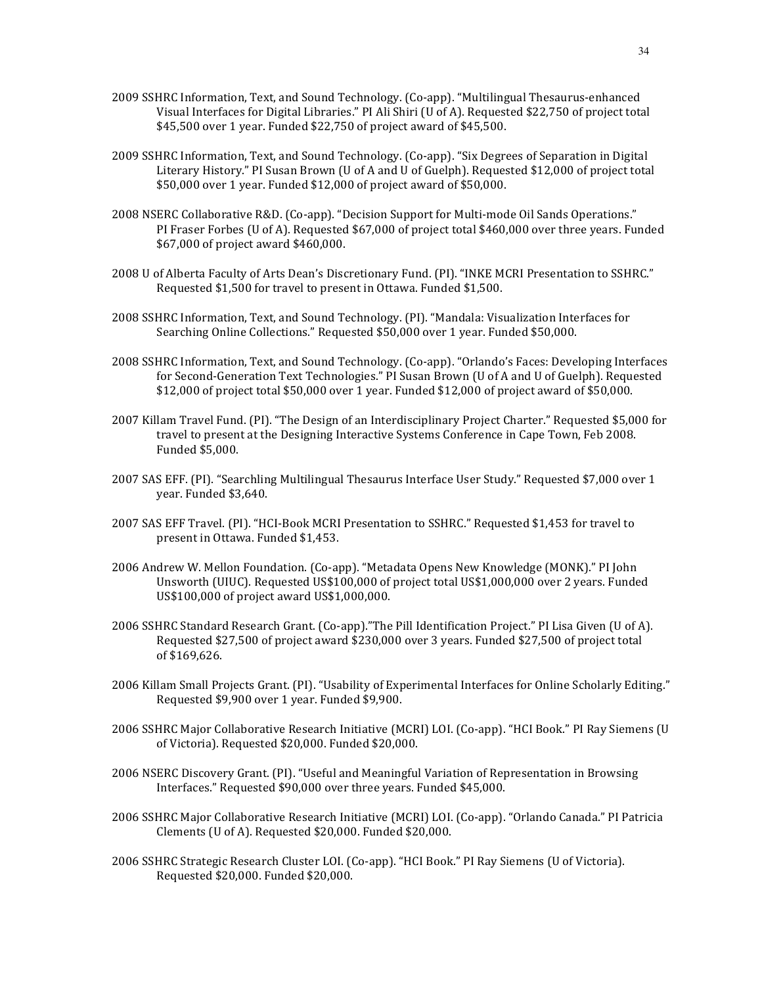- 2009 SSHRC Information, Text, and Sound Technology. (Co-app). "Multilingual Thesaurus-enhanced Visual Interfaces for Digital Libraries." PI Ali Shiri (U of A). Requested \$22,750 of project total \$45,500 over 1 year. Funded \$22,750 of project award of \$45,500.
- 2009 SSHRC Information, Text, and Sound Technology. (Co-app). "Six Degrees of Separation in Digital Literary History." PI Susan Brown (U of A and U of Guelph). Requested \$12,000 of project total \$50,000 over 1 year. Funded \$12,000 of project award of \$50,000.
- 2008 NSERC Collaborative R&D. (Co-app). "Decision Support for Multi-mode Oil Sands Operations." PI Fraser Forbes (U of A). Requested \$67,000 of project total \$460,000 over three years. Funded \$67,000 of project award \$460,000.
- 2008 U of Alberta Faculty of Arts Dean's Discretionary Fund. (PI). "INKE MCRI Presentation to SSHRC." Requested \$1,500 for travel to present in Ottawa. Funded \$1,500.
- 2008 SSHRC Information, Text, and Sound Technology. (PI). "Mandala: Visualization Interfaces for Searching Online Collections." Requested \$50,000 over 1 year. Funded \$50,000.
- 2008 SSHRC Information, Text, and Sound Technology. (Co-app). "Orlando's Faces: Developing Interfaces for Second-Generation Text Technologies." PI Susan Brown (U of A and U of Guelph). Requested  $$12,000$  of project total  $$50,000$  over 1 year. Funded  $$12,000$  of project award of  $$50,000$ .
- 2007 Killam Travel Fund. (PI). "The Design of an Interdisciplinary Project Charter." Requested \$5,000 for travel to present at the Designing Interactive Systems Conference in Cape Town, Feb 2008. Funded \$5,000.
- 2007 SAS EFF. (PI). "Searchling Multilingual Thesaurus Interface User Study." Requested \$7,000 over 1 year. Funded \$3,640.
- 2007 SAS EFF Travel. (PI). "HCI-Book MCRI Presentation to SSHRC." Requested \$1,453 for travel to present in Ottawa. Funded \$1,453.
- 2006 Andrew W. Mellon Foundation. (Co-app). "Metadata Opens New Knowledge (MONK)." PI John Unsworth (UIUC). Requested US\$100,000 of project total US\$1,000,000 over 2 years. Funded US\$100,000 of project award US\$1,000,000.
- 2006 SSHRC Standard Research Grant. (Co-app)."The Pill Identification Project." PI Lisa Given (U of A). Requested \$27,500 of project award \$230,000 over 3 years. Funded \$27,500 of project total of \$169,626.
- 2006 Killam Small Projects Grant. (PI). "Usability of Experimental Interfaces for Online Scholarly Editing." Requested \$9,900 over 1 year. Funded \$9,900.
- 2006 SSHRC Major Collaborative Research Initiative (MCRI) LOI. (Co-app). "HCI Book." PI Ray Siemens (U of Victoria). Requested \$20,000. Funded \$20,000.
- 2006 NSERC Discovery Grant. (PI). "Useful and Meaningful Variation of Representation in Browsing Interfaces." Requested \$90,000 over three years. Funded \$45,000.
- 2006 SSHRC Major Collaborative Research Initiative (MCRI) LOI. (Co-app). "Orlando Canada." PI Patricia Clements (U of A). Requested \$20,000. Funded \$20,000.
- 2006 SSHRC Strategic Research Cluster LOI. (Co-app). "HCI Book." PI Ray Siemens (U of Victoria). Requested \$20,000. Funded \$20,000.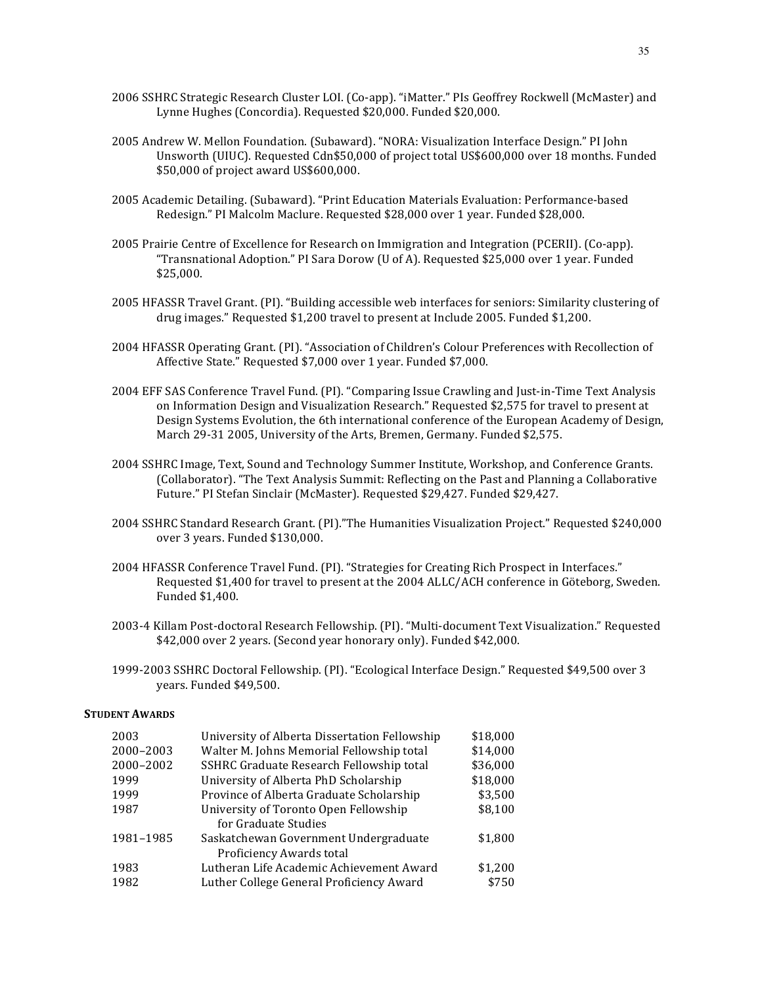- 2006 SSHRC Strategic Research Cluster LOI. (Co-app). "iMatter." PIs Geoffrey Rockwell (McMaster) and Lynne Hughes (Concordia). Requested \$20,000. Funded \$20,000.
- 2005 Andrew W. Mellon Foundation. (Subaward). "NORA: Visualization Interface Design." PI John Unsworth (UIUC). Requested Cdn\$50,000 of project total US\$600,000 over 18 months. Funded \$50,000 of project award US\$600,000.
- 2005 Academic Detailing. (Subaward). "Print Education Materials Evaluation: Performance-based Redesign." PI Malcolm Maclure. Requested \$28,000 over 1 year. Funded \$28,000.
- 2005 Prairie Centre of Excellence for Research on Immigration and Integration (PCERII). (Co-app). "Transnational Adoption." PI Sara Dorow (U of A). Requested \$25,000 over 1 year. Funded \$25,000.
- 2005 HFASSR Travel Grant. (PI). "Building accessible web interfaces for seniors: Similarity clustering of drug images." Requested \$1,200 travel to present at Include 2005. Funded \$1,200.
- 2004 HFASSR Operating Grant. (PI). "Association of Children's Colour Preferences with Recollection of Affective State." Requested \$7,000 over 1 year. Funded \$7,000.
- 2004 EFF SAS Conference Travel Fund. (PI). "Comparing Issue Crawling and Just-in-Time Text Analysis on Information Design and Visualization Research." Requested \$2,575 for travel to present at Design Systems Evolution, the 6th international conference of the European Academy of Design, March 29-31 2005, University of the Arts, Bremen, Germany. Funded \$2,575.
- 2004 SSHRC Image, Text, Sound and Technology Summer Institute, Workshop, and Conference Grants. (Collaborator). "The Text Analysis Summit: Reflecting on the Past and Planning a Collaborative Future." PI Stefan Sinclair (McMaster). Requested \$29,427. Funded \$29,427.
- 2004 SSHRC Standard Research Grant. (PI)."The Humanities Visualization Project." Requested \$240,000 over 3 years. Funded \$130,000.
- 2004 HFASSR Conference Travel Fund. (PI). "Strategies for Creating Rich Prospect in Interfaces." Requested \$1,400 for travel to present at the 2004 ALLC/ACH conference in Göteborg, Sweden. Funded \$1,400.
- 2003-4 Killam Post-doctoral Research Fellowship. (PI). "Multi-document Text Visualization." Requested \$42,000 over 2 years. (Second year honorary only). Funded \$42,000.
- 1999-2003 SSHRC Doctoral Fellowship. (PI). "Ecological Interface Design." Requested \$49,500 over 3 years. Funded \$49,500.

#### **STUDENT AWARDS**

| 2003      | University of Alberta Dissertation Fellowship | \$18,000 |
|-----------|-----------------------------------------------|----------|
| 2000-2003 | Walter M. Johns Memorial Fellowship total     | \$14,000 |
| 2000-2002 | SSHRC Graduate Research Fellowship total      | \$36,000 |
| 1999      | University of Alberta PhD Scholarship         | \$18,000 |
| 1999      | Province of Alberta Graduate Scholarship      | \$3,500  |
| 1987      | University of Toronto Open Fellowship         | \$8,100  |
|           | for Graduate Studies                          |          |
| 1981-1985 | Saskatchewan Government Undergraduate         | \$1,800  |
|           | Proficiency Awards total                      |          |
| 1983      | Lutheran Life Academic Achievement Award      | \$1,200  |
| 1982      | Luther College General Proficiency Award      | \$750    |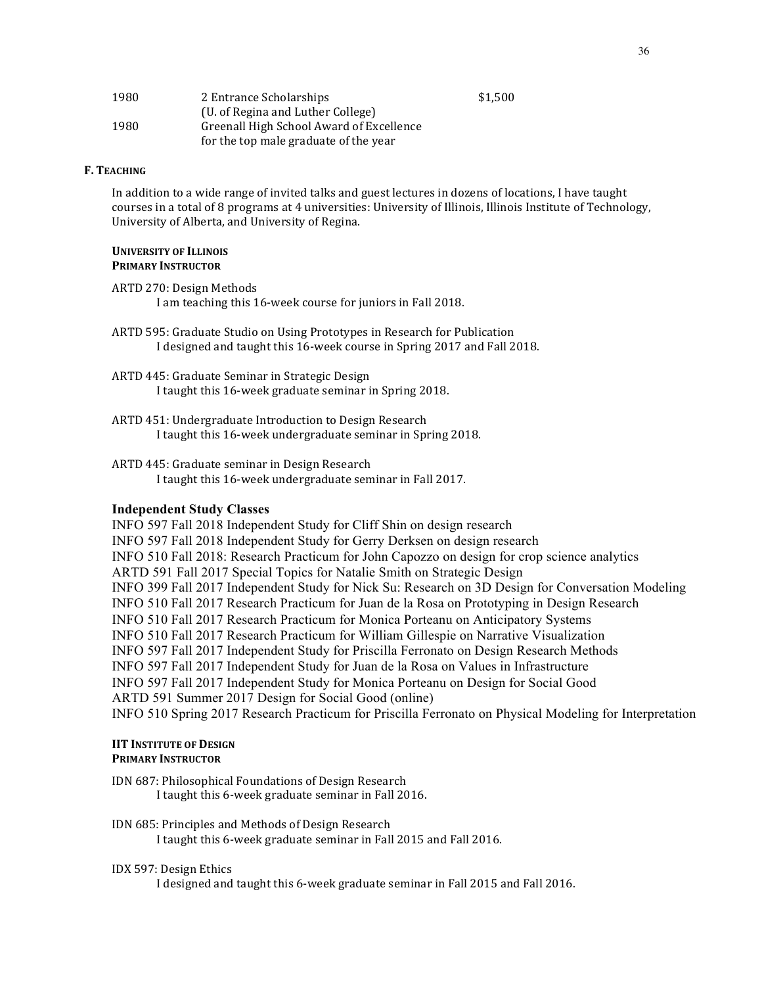| 1980 | 2 Entrance Scholarships                  | \$1.500 |
|------|------------------------------------------|---------|
|      | (U. of Regina and Luther College)        |         |
| 1980 | Greenall High School Award of Excellence |         |
|      | for the top male graduate of the year    |         |

# **F. TEACHING**

In addition to a wide range of invited talks and guest lectures in dozens of locations, I have taught courses in a total of 8 programs at 4 universities: University of Illinois, Illinois Institute of Technology, University of Alberta, and University of Regina.

#### **UNIVERSITY OF ILLINOIS PRIMARY INSTRUCTOR**

- ARTD 270: Design Methods I am teaching this 16-week course for juniors in Fall 2018.
- ARTD 595: Graduate Studio on Using Prototypes in Research for Publication I designed and taught this 16-week course in Spring 2017 and Fall 2018.
- ARTD 445: Graduate Seminar in Strategic Design I taught this 16-week graduate seminar in Spring 2018.
- ARTD 451: Undergraduate Introduction to Design Research I taught this 16-week undergraduate seminar in Spring 2018.
- ARTD 445: Graduate seminar in Design Research I taught this 16-week undergraduate seminar in Fall 2017.

### **Independent Study Classes**

INFO 597 Fall 2018 Independent Study for Cliff Shin on design research INFO 597 Fall 2018 Independent Study for Gerry Derksen on design research INFO 510 Fall 2018: Research Practicum for John Capozzo on design for crop science analytics ARTD 591 Fall 2017 Special Topics for Natalie Smith on Strategic Design INFO 399 Fall 2017 Independent Study for Nick Su: Research on 3D Design for Conversation Modeling INFO 510 Fall 2017 Research Practicum for Juan de la Rosa on Prototyping in Design Research INFO 510 Fall 2017 Research Practicum for Monica Porteanu on Anticipatory Systems INFO 510 Fall 2017 Research Practicum for William Gillespie on Narrative Visualization INFO 597 Fall 2017 Independent Study for Priscilla Ferronato on Design Research Methods INFO 597 Fall 2017 Independent Study for Juan de la Rosa on Values in Infrastructure INFO 597 Fall 2017 Independent Study for Monica Porteanu on Design for Social Good ARTD 591 Summer 2017 Design for Social Good (online) INFO 510 Spring 2017 Research Practicum for Priscilla Ferronato on Physical Modeling for Interpretation

# **IIT INSTITUTE OF DESIGN PRIMARY INSTRUCTOR**

IDN 687: Philosophical Foundations of Design Research I taught this 6-week graduate seminar in Fall 2016.

IDN 685: Principles and Methods of Design Research I taught this 6-week graduate seminar in Fall 2015 and Fall 2016.

# IDX 597: Design Ethics

I designed and taught this 6-week graduate seminar in Fall 2015 and Fall 2016.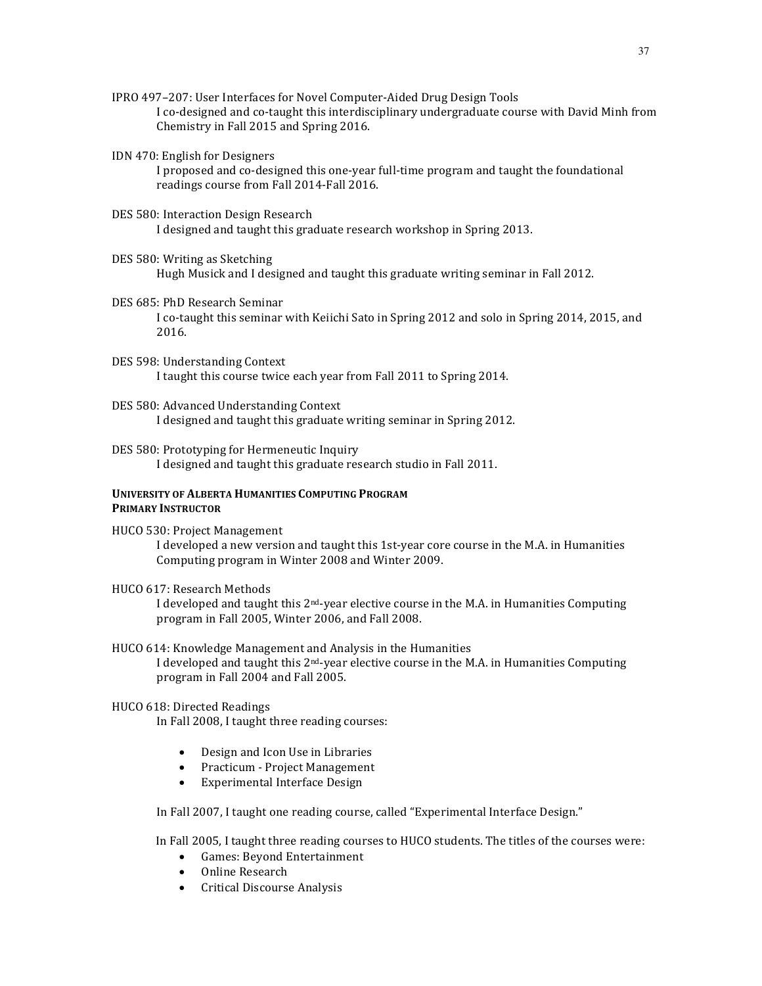- IPRO 497-207: User Interfaces for Novel Computer-Aided Drug Design Tools I co-designed and co-taught this interdisciplinary undergraduate course with David Minh from Chemistry in Fall 2015 and Spring 2016.
- IDN 470: English for Designers

I proposed and co-designed this one-year full-time program and taught the foundational readings course from Fall 2014-Fall 2016.

DES 580: Interaction Design Research

I designed and taught this graduate research workshop in Spring 2013.

DES 580: Writing as Sketching

Hugh Musick and I designed and taught this graduate writing seminar in Fall 2012.

- DES 685: PhD Research Seminar I co-taught this seminar with Keiichi Sato in Spring 2012 and solo in Spring 2014, 2015, and 2016.
- DES 598: Understanding Context I taught this course twice each year from Fall 2011 to Spring 2014.
- DES 580: Advanced Understanding Context I designed and taught this graduate writing seminar in Spring 2012.
- DES 580: Prototyping for Hermeneutic Inquiry I designed and taught this graduate research studio in Fall 2011.

# **UNIVERSITY OF ALBERTA HUMANITIES COMPUTING PROGRAM PRIMARY INSTRUCTOR**

HUCO 530: Project Management

I developed a new version and taught this 1st-year core course in the M.A. in Humanities Computing program in Winter 2008 and Winter 2009.

HUCO 617: Research Methods

I developed and taught this  $2<sup>nd</sup>$ -year elective course in the M.A. in Humanities Computing program in Fall 2005, Winter 2006, and Fall 2008.

HUCO 614: Knowledge Management and Analysis in the Humanities I developed and taught this 2<sup>nd</sup>-year elective course in the M.A. in Humanities Computing program in Fall 2004 and Fall 2005.

# HUCO 618: Directed Readings

In Fall 2008, I taught three reading courses:

- Design and Icon Use in Libraries
- Practicum Project Management
- Experimental Interface Design

In Fall 2007, I taught one reading course, called "Experimental Interface Design."

In Fall 2005, I taught three reading courses to HUCO students. The titles of the courses were:

- Games: Beyond Entertainment
- Online Research
- Critical Discourse Analysis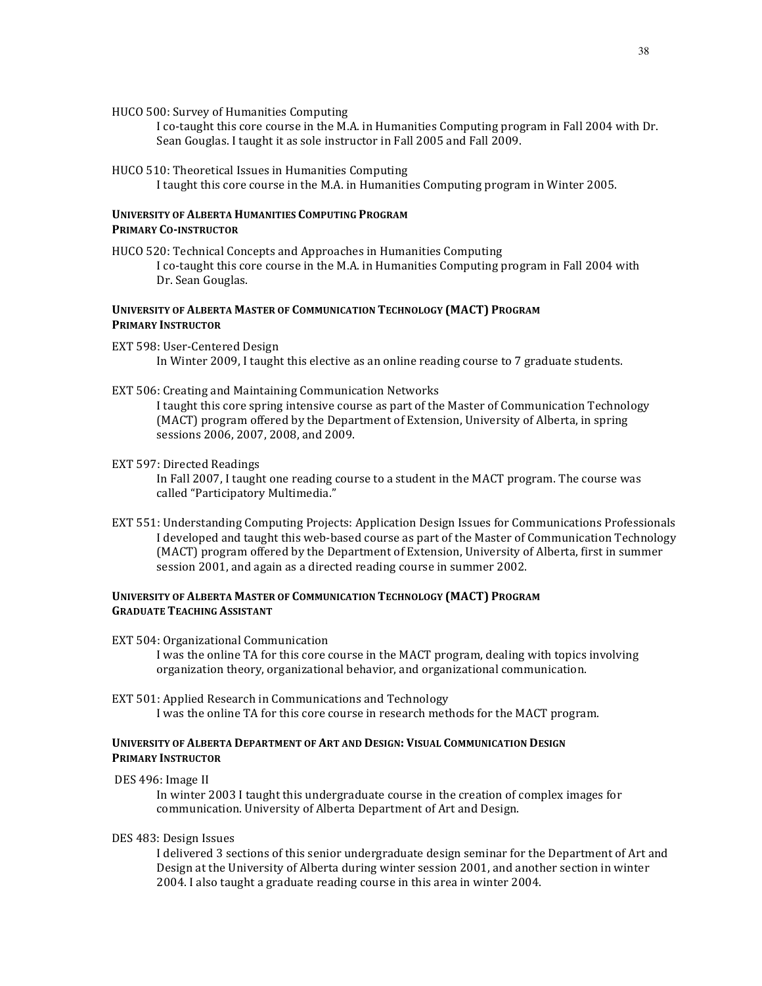HUCO 500: Survey of Humanities Computing

I co-taught this core course in the M.A. in Humanities Computing program in Fall 2004 with Dr. Sean Gouglas. I taught it as sole instructor in Fall 2005 and Fall 2009.

HUCO 510: Theoretical Issues in Humanities Computing

I taught this core course in the M.A. in Humanities Computing program in Winter 2005.

# **UNIVERSITY OF ALBERTA HUMANITIES COMPUTING PROGRAM PRIMARY CO-INSTRUCTOR**

HUCO 520: Technical Concepts and Approaches in Humanities Computing I co-taught this core course in the M.A. in Humanities Computing program in Fall 2004 with Dr. Sean Gouglas.

# **UNIVERSITY OF ALBERTA MASTER OF COMMUNICATION TECHNOLOGY (MACT) PROGRAM PRIMARY INSTRUCTOR**

- EXT 598: User-Centered Design In Winter 2009, I taught this elective as an online reading course to  $7$  graduate students.
- EXT 506: Creating and Maintaining Communication Networks

I taught this core spring intensive course as part of the Master of Communication Technology (MACT) program offered by the Department of Extension, University of Alberta, in spring sessions 2006, 2007, 2008, and 2009.

EXT 597: Directed Readings

In Fall 2007, I taught one reading course to a student in the MACT program. The course was called "Participatory Multimedia."

EXT 551: Understanding Computing Projects: Application Design Issues for Communications Professionals I developed and taught this web-based course as part of the Master of Communication Technology (MACT) program offered by the Department of Extension, University of Alberta, first in summer session 2001, and again as a directed reading course in summer 2002.

# **UNIVERSITY OF ALBERTA MASTER OF COMMUNICATION TECHNOLOGY (MACT) PROGRAM GRADUATE TEACHING ASSISTANT**

- EXT 504: Organizational Communication I was the online TA for this core course in the MACT program, dealing with topics involving organization theory, organizational behavior, and organizational communication.
- EXT 501: Applied Research in Communications and Technology I was the online TA for this core course in research methods for the MACT program.

# **UNIVERSITY OF ALBERTA DEPARTMENT OF ART AND DESIGN: VISUAL COMMUNICATION DESIGN PRIMARY INSTRUCTOR**

DES 496: Image II

In winter 2003 I taught this undergraduate course in the creation of complex images for communication. University of Alberta Department of Art and Design.

DES 483: Design Issues

I delivered 3 sections of this senior undergraduate design seminar for the Department of Art and Design at the University of Alberta during winter session 2001, and another section in winter 2004. I also taught a graduate reading course in this area in winter 2004.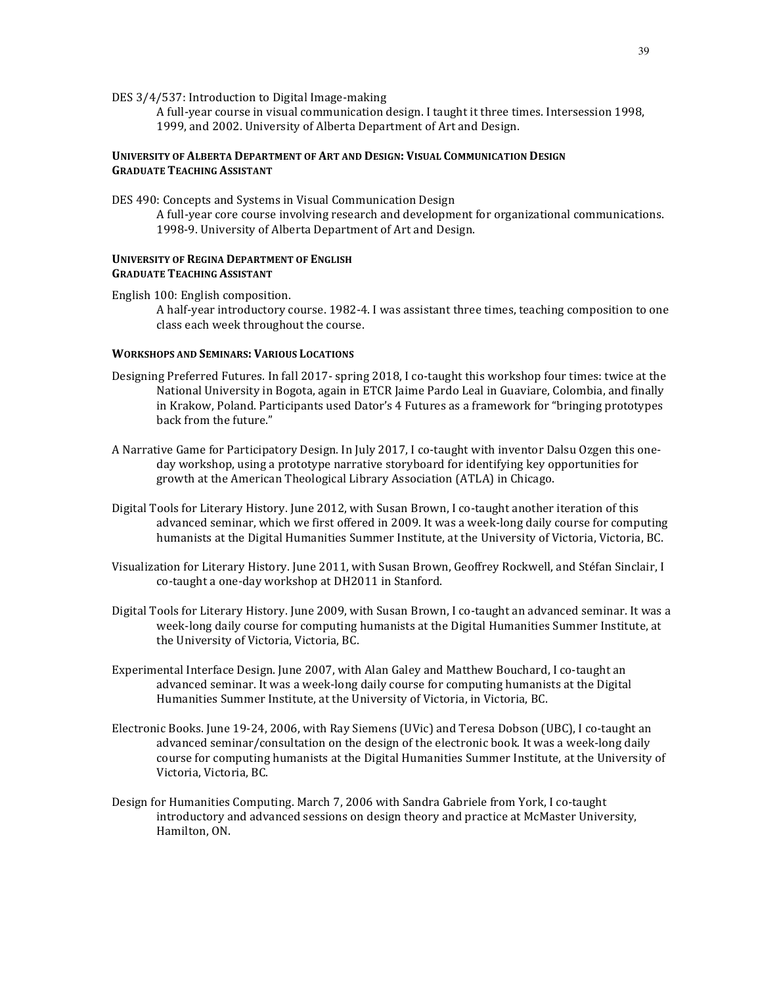DES 3/4/537: Introduction to Digital Image-making

A full-year course in visual communication design. I taught it three times. Intersession 1998, 1999, and 2002. University of Alberta Department of Art and Design.

# **UNIVERSITY OF ALBERTA DEPARTMENT OF ART AND DESIGN: VISUAL COMMUNICATION DESIGN GRADUATE TEACHING ASSISTANT**

DES 490: Concepts and Systems in Visual Communication Design

A full-year core course involving research and development for organizational communications. 1998-9. University of Alberta Department of Art and Design.

# **UNIVERSITY OF REGINA DEPARTMENT OF ENGLISH GRADUATE TEACHING ASSISTANT**

English 100: English composition. A half-year introductory course. 1982-4. I was assistant three times, teaching composition to one class each week throughout the course.

### **WORKSHOPS AND SEMINARS: VARIOUS LOCATIONS**

- Designing Preferred Futures. In fall 2017- spring 2018, I co-taught this workshop four times: twice at the National University in Bogota, again in ETCR Jaime Pardo Leal in Guaviare, Colombia, and finally in Krakow, Poland. Participants used Dator's 4 Futures as a framework for "bringing prototypes back from the future."
- A Narrative Game for Participatory Design. In July 2017, I co-taught with inventor Dalsu Ozgen this oneday workshop, using a prototype narrative storyboard for identifying key opportunities for growth at the American Theological Library Association (ATLA) in Chicago.
- Digital Tools for Literary History. June 2012, with Susan Brown, I co-taught another iteration of this advanced seminar, which we first offered in 2009. It was a week-long daily course for computing humanists at the Digital Humanities Summer Institute, at the University of Victoria, Victoria, BC.
- Visualization for Literary History. June 2011, with Susan Brown, Geoffrey Rockwell, and Stéfan Sinclair, I co-taught a one-day workshop at DH2011 in Stanford.
- Digital Tools for Literary History. June 2009, with Susan Brown, I co-taught an advanced seminar. It was a week-long daily course for computing humanists at the Digital Humanities Summer Institute, at the University of Victoria, Victoria, BC.
- Experimental Interface Design. June 2007, with Alan Galey and Matthew Bouchard, I co-taught an advanced seminar. It was a week-long daily course for computing humanists at the Digital Humanities Summer Institute, at the University of Victoria, in Victoria, BC.
- Electronic Books. June 19-24, 2006, with Ray Siemens (UVic) and Teresa Dobson (UBC), I co-taught an advanced seminar/consultation on the design of the electronic book. It was a week-long daily course for computing humanists at the Digital Humanities Summer Institute, at the University of Victoria, Victoria, BC.
- Design for Humanities Computing. March 7, 2006 with Sandra Gabriele from York, I co-taught introductory and advanced sessions on design theory and practice at McMaster University, Hamilton, ON.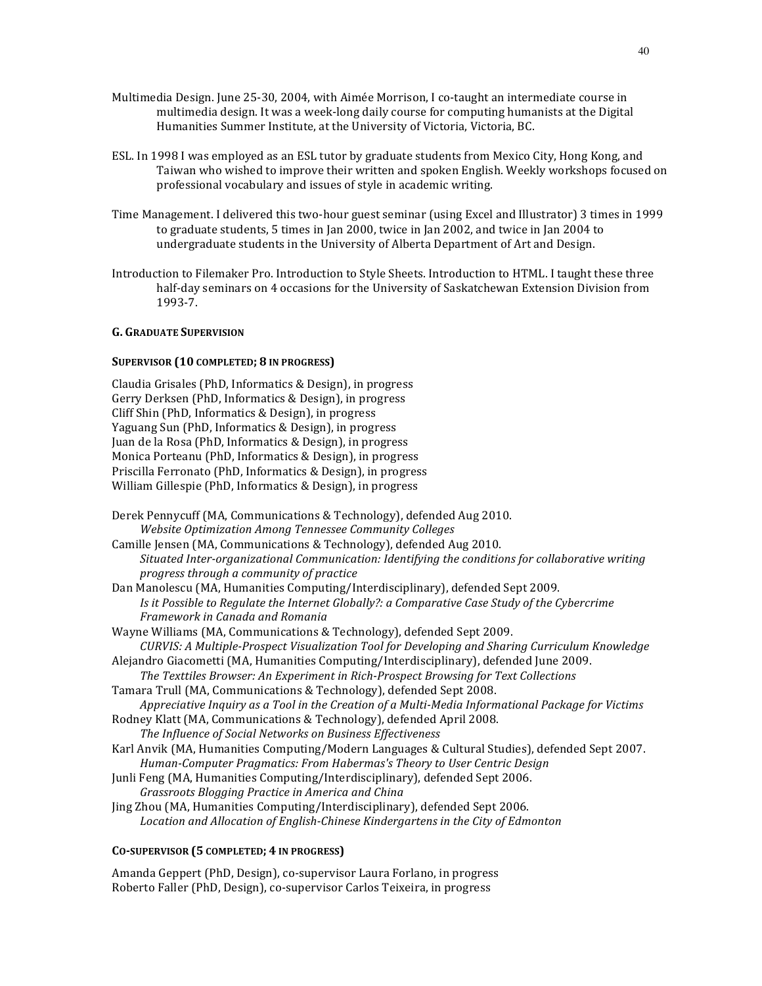- Multimedia Design. June 25-30, 2004, with Aimée Morrison, I co-taught an intermediate course in multimedia design. It was a week-long daily course for computing humanists at the Digital Humanities Summer Institute, at the University of Victoria, Victoria, BC.
- ESL. In 1998 I was employed as an ESL tutor by graduate students from Mexico City, Hong Kong, and Taiwan who wished to improve their written and spoken English. Weekly workshops focused on professional vocabulary and issues of style in academic writing.
- Time Management. I delivered this two-hour guest seminar (using Excel and Illustrator) 3 times in 1999 to graduate students, 5 times in Jan 2000, twice in Jan 2002, and twice in Jan 2004 to undergraduate students in the University of Alberta Department of Art and Design.
- Introduction to Filemaker Pro. Introduction to Style Sheets. Introduction to HTML. I taught these three half-day seminars on 4 occasions for the University of Saskatchewan Extension Division from 1993-7.

# **G. GRADUATE SUPERVISION**

# **SUPERVISOR (10 COMPLETED; 8 IN PROGRESS)**

Claudia Grisales (PhD, Informatics & Design), in progress Gerry Derksen (PhD, Informatics & Design), in progress Cliff Shin (PhD, Informatics & Design), in progress Yaguang Sun (PhD, Informatics & Design), in progress Juan de la Rosa (PhD, Informatics & Design), in progress Monica Porteanu (PhD, Informatics & Design), in progress Priscilla Ferronato (PhD, Informatics & Design), in progress William Gillespie (PhD, Informatics & Design), in progress

Derek Pennycuff (MA, Communications & Technology), defended Aug 2010. *Website Optimization Among Tennessee Community Colleges* Camille Jensen (MA, Communications & Technology), defended Aug 2010. *Situated Inter-organizational Communication: Identifying the conditions for collaborative writing progress through a community of practice*  Dan Manolescu (MA, Humanities Computing/Interdisciplinary), defended Sept 2009. *Is* it Possible to Regulate the Internet Globally?: a Comparative Case Study of the Cybercrime *Framework in Canada and Romania* Wayne Williams (MA, Communications & Technology), defended Sept 2009. *CURVIS: A Multiple-Prospect Visualization Tool for Developing and Sharing Curriculum Knowledge* Alejandro Giacometti (MA, Humanities Computing/Interdisciplinary), defended June 2009. *The Texttiles Browser: An Experiment in Rich-Prospect Browsing for Text Collections* Tamara Trull (MA, Communications & Technology), defended Sept 2008. Appreciative Inquiry as a Tool in the Creation of a Multi-Media Informational Package for Victims Rodney Klatt (MA, Communications & Technology), defended April 2008. The Influence of Social Networks on Business Effectiveness Karl Anvik (MA, Humanities Computing/Modern Languages & Cultural Studies), defended Sept 2007. *Human-Computer Pragmatics: From Habermas's Theory to User Centric Design* Junli Feng (MA, Humanities Computing/Interdisciplinary), defended Sept 2006. *Grassroots Blogging Practice in America and China* Jing Zhou (MA, Humanities Computing/Interdisciplinary), defended Sept 2006. Location and Allocation of English-Chinese Kindergartens in the City of Edmonton

### **CO-SUPERVISOR (5 COMPLETED; 4 IN PROGRESS)**

Amanda Geppert (PhD, Design), co-supervisor Laura Forlano, in progress Roberto Faller (PhD, Design), co-supervisor Carlos Teixeira, in progress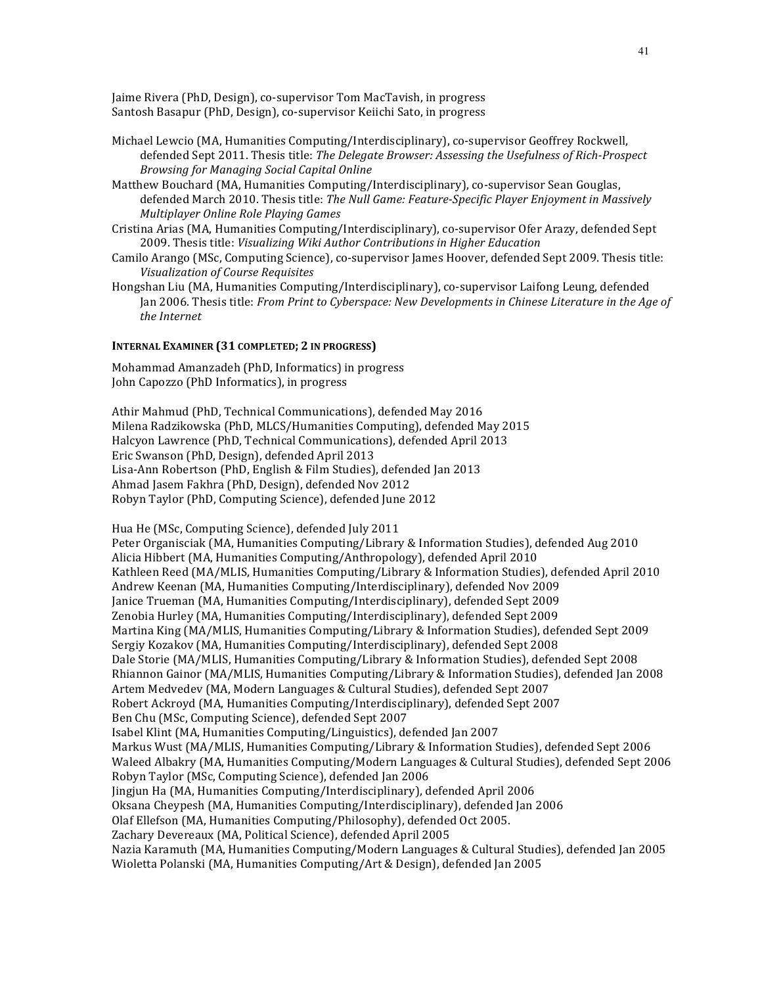Jaime Rivera (PhD, Design), co-supervisor Tom MacTavish, in progress Santosh Basapur (PhD, Design), co-supervisor Keiichi Sato, in progress

- Michael Lewcio (MA, Humanities Computing/Interdisciplinary), co-supervisor Geoffrey Rockwell, defended Sept 2011. Thesis title: The Delegate Browser: Assessing the Usefulness of Rich-Prospect *Browsing for Managing Social Capital Online*
- Matthew Bouchard (MA, Humanities Computing/Interdisciplinary), co-supervisor Sean Gouglas, defended March 2010. Thesis title: *The Null Game: Feature-Specific Player Enjoyment in Massively Multiplayer Online Role Playing Games*
- Cristina Arias (MA, Humanities Computing/Interdisciplinary), co-supervisor Ofer Arazy, defended Sept 2009. Thesis title: *Visualizing Wiki Author Contributions in Higher Education*
- Camilo Arango (MSc, Computing Science), co-supervisor James Hoover, defended Sept 2009. Thesis title: *Visualization of Course Requisites*
- Hongshan Liu (MA, Humanities Computing/Interdisciplinary), co-supervisor Laifong Leung, defended Jan 2006. Thesis title: *From Print to Cyberspace: New Developments in Chinese Literature in the Age of* the *Internet*

# **INTERNAL EXAMINER (31 COMPLETED; 2 IN PROGRESS)**

Mohammad Amanzadeh (PhD, Informatics) in progress John Capozzo (PhD Informatics), in progress

Athir Mahmud (PhD, Technical Communications), defended May 2016 Milena Radzikowska (PhD, MLCS/Humanities Computing), defended May 2015 Halcyon Lawrence (PhD, Technical Communications), defended April 2013 Eric Swanson (PhD, Design), defended April 2013 Lisa-Ann Robertson (PhD, English & Film Studies), defended Jan 2013 Ahmad Jasem Fakhra (PhD, Design), defended Nov 2012 Robyn Taylor (PhD, Computing Science), defended June 2012

Hua He (MSc, Computing Science), defended July 2011 Peter Organisciak (MA, Humanities Computing/Library & Information Studies), defended Aug 2010 Alicia Hibbert (MA, Humanities Computing/Anthropology), defended April 2010 Kathleen Reed (MA/MLIS, Humanities Computing/Library & Information Studies), defended April 2010 Andrew Keenan (MA, Humanities Computing/Interdisciplinary), defended Nov 2009 Janice Trueman (MA, Humanities Computing/Interdisciplinary), defended Sept 2009 Zenobia Hurley (MA, Humanities Computing/Interdisciplinary), defended Sept 2009 Martina King (MA/MLIS, Humanities Computing/Library & Information Studies), defended Sept 2009 Sergiy Kozakov (MA, Humanities Computing/Interdisciplinary), defended Sept 2008 Dale Storie (MA/MLIS, Humanities Computing/Library & Information Studies), defended Sept 2008 Rhiannon Gainor (MA/MLIS, Humanities Computing/Library & Information Studies), defended Jan 2008 Artem Medvedev (MA, Modern Languages & Cultural Studies), defended Sept 2007 Robert Ackroyd (MA, Humanities Computing/Interdisciplinary), defended Sept 2007 Ben Chu (MSc, Computing Science), defended Sept 2007 Isabel Klint (MA, Humanities Computing/Linguistics), defended Jan 2007 Markus Wust (MA/MLIS, Humanities Computing/Library & Information Studies), defended Sept 2006 Waleed Albakry (MA, Humanities Computing/Modern Languages & Cultural Studies), defended Sept 2006 Robyn Taylor (MSc, Computing Science), defended Jan 2006 Jingjun Ha (MA, Humanities Computing/Interdisciplinary), defended April 2006 Oksana Cheypesh (MA, Humanities Computing/Interdisciplinary), defended Jan 2006 Olaf Ellefson (MA, Humanities Computing/Philosophy), defended Oct 2005. Zachary Devereaux (MA, Political Science), defended April 2005 Nazia Karamuth (MA, Humanities Computing/Modern Languages & Cultural Studies), defended Jan 2005 Wioletta Polanski (MA, Humanities Computing/Art & Design), defended Jan 2005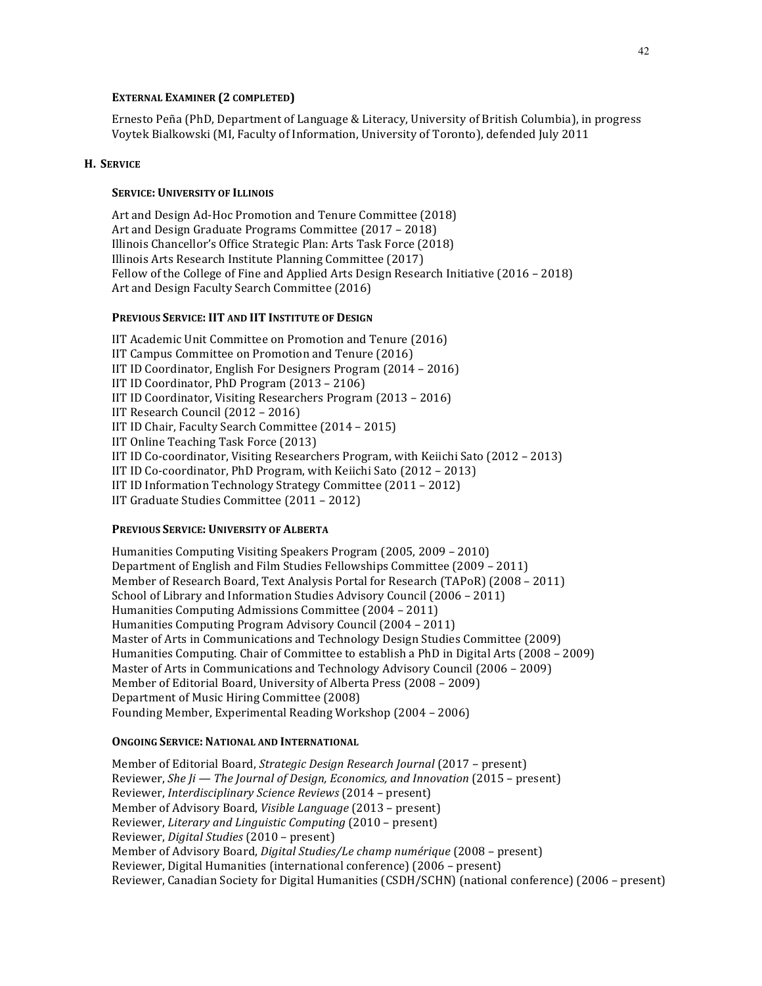### **EXTERNAL EXAMINER (2 COMPLETED)**

Ernesto Peña (PhD, Department of Language & Literacy, University of British Columbia), in progress Voytek Bialkowski (MI, Faculty of Information, University of Toronto), defended July 2011

### **H. SERVICE**

### **SERVICE: UNIVERSITY OF ILLINOIS**

Art and Design Ad-Hoc Promotion and Tenure Committee (2018) Art and Design Graduate Programs Committee (2017 – 2018) Illinois Chancellor's Office Strategic Plan: Arts Task Force (2018) Illinois Arts Research Institute Planning Committee (2017) Fellow of the College of Fine and Applied Arts Design Research Initiative (2016 - 2018) Art and Design Faculty Search Committee (2016)

### **PREVIOUS SERVICE: IIT AND IIT INSTITUTE OF DESIGN**

IIT Academic Unit Committee on Promotion and Tenure (2016) IIT Campus Committee on Promotion and Tenure (2016) IIT ID Coordinator, English For Designers Program (2014 - 2016) IIT ID Coordinator, PhD Program (2013 - 2106) IIT ID Coordinator, Visiting Researchers Program (2013 – 2016) IIT Research Council  $(2012 - 2016)$ IIT ID Chair, Faculty Search Committee (2014 – 2015) IIT Online Teaching Task Force (2013) IIT ID Co-coordinator, Visiting Researchers Program, with Keiichi Sato  $(2012 - 2013)$ IIT ID Co-coordinator, PhD Program, with Keiichi Sato  $(2012 - 2013)$ IIT ID Information Technology Strategy Committee (2011 - 2012) IIT Graduate Studies Committee (2011 - 2012)

### **PREVIOUS SERVICE: UNIVERSITY OF ALBERTA**

Humanities Computing Visiting Speakers Program (2005, 2009 – 2010) Department of English and Film Studies Fellowships Committee (2009 – 2011) Member of Research Board, Text Analysis Portal for Research (TAPoR) (2008 - 2011) School of Library and Information Studies Advisory Council (2006 – 2011) Humanities Computing Admissions Committee (2004 - 2011) Humanities Computing Program Advisory Council (2004 – 2011) Master of Arts in Communications and Technology Design Studies Committee (2009) Humanities Computing. Chair of Committee to establish a PhD in Digital Arts (2008 – 2009) Master of Arts in Communications and Technology Advisory Council (2006 – 2009) Member of Editorial Board, University of Alberta Press (2008 – 2009) Department of Music Hiring Committee (2008) Founding Member, Experimental Reading Workshop (2004 - 2006)

#### **ONGOING SERVICE: NATIONAL AND INTERNATIONAL**

Member of Editorial Board, *Strategic Design Research Journal* (2017 – present) Reviewer, *She Ji* — *The Journal of Design, Economics, and Innovation* (2015 – present) Reviewer, *Interdisciplinary Science Reviews* (2014 – present) Member of Advisory Board, *Visible Language* (2013 – present) Reviewer, *Literary and Linguistic Computing* (2010 – present) Reviewer, *Digital Studies* (2010 – present) Member of Advisory Board, *Digital Studies/Le champ numérique* (2008 – present) Reviewer, Digital Humanities (international conference) (2006 – present) Reviewer, Canadian Society for Digital Humanities (CSDH/SCHN) (national conference) (2006 – present)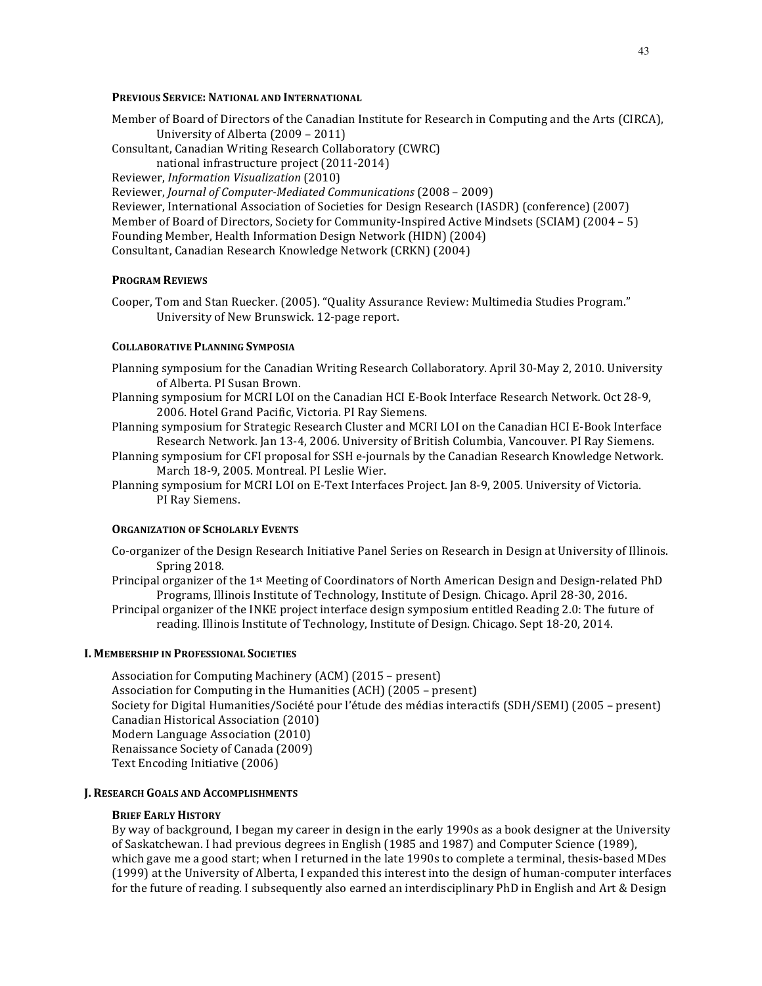# **PREVIOUS SERVICE: NATIONAL AND INTERNATIONAL**

- Member of Board of Directors of the Canadian Institute for Research in Computing and the Arts (CIRCA), University of Alberta (2009 – 2011)
- Consultant, Canadian Writing Research Collaboratory (CWRC)
	- national infrastructure project (2011-2014)

Reviewer, *Information Visualization* (2010)

Reviewer, *Journal of Computer-Mediated Communications* (2008 - 2009)

Reviewer, International Association of Societies for Design Research (IASDR) (conference) (2007) Member of Board of Directors, Society for Community-Inspired Active Mindsets (SCIAM)  $(2004 - 5)$ Founding Member, Health Information Design Network (HIDN) (2004) Consultant, Canadian Research Knowledge Network (CRKN) (2004)

# **PROGRAM REVIEWS**

Cooper, Tom and Stan Ruecker. (2005). "Quality Assurance Review: Multimedia Studies Program." University of New Brunswick. 12-page report.

### **COLLABORATIVE PLANNING SYMPOSIA**

- Planning symposium for the Canadian Writing Research Collaboratory. April 30-May 2, 2010. University of Alberta. PI Susan Brown.
- Planning symposium for MCRI LOI on the Canadian HCI E-Book Interface Research Network. Oct 28-9, 2006. Hotel Grand Pacific, Victoria. PI Ray Siemens.
- Planning symposium for Strategic Research Cluster and MCRI LOI on the Canadian HCI E-Book Interface Research Network. Jan 13-4, 2006. University of British Columbia, Vancouver. PI Ray Siemens.
- Planning symposium for CFI proposal for SSH e-journals by the Canadian Research Knowledge Network. March 18-9, 2005. Montreal. PI Leslie Wier.
- Planning symposium for MCRI LOI on E-Text Interfaces Project. Jan 8-9, 2005. University of Victoria. PI Ray Siemens.

#### **ORGANIZATION OF SCHOLARLY EVENTS**

- Co-organizer of the Design Research Initiative Panel Series on Research in Design at University of Illinois. Spring 2018.
- Principal organizer of the 1<sup>st</sup> Meeting of Coordinators of North American Design and Design-related PhD Programs, Illinois Institute of Technology, Institute of Design. Chicago. April 28-30, 2016.

Principal organizer of the INKE project interface design symposium entitled Reading 2.0: The future of reading. Illinois Institute of Technology, Institute of Design. Chicago. Sept 18-20, 2014.

### **I. MEMBERSHIP IN PROFESSIONAL SOCIETIES**

Association for Computing Machinery (ACM) (2015 - present) Association for Computing in the Humanities  $(ACH)$   $(2005 - present)$ Society for Digital Humanities/Société pour l'étude des médias interactifs (SDH/SEMI) (2005 - present) Canadian Historical Association (2010) Modern Language Association (2010) Renaissance Society of Canada (2009) Text Encoding Initiative (2006)

# **J.** RESEARCH GOALS AND ACCOMPLISHMENTS

### **BRIEF EARLY HISTORY**

By way of background, I began my career in design in the early 1990s as a book designer at the University of Saskatchewan. I had previous degrees in English (1985 and 1987) and Computer Science (1989), which gave me a good start; when I returned in the late 1990s to complete a terminal, thesis-based MDes (1999) at the University of Alberta, I expanded this interest into the design of human-computer interfaces for the future of reading. I subsequently also earned an interdisciplinary PhD in English and Art & Design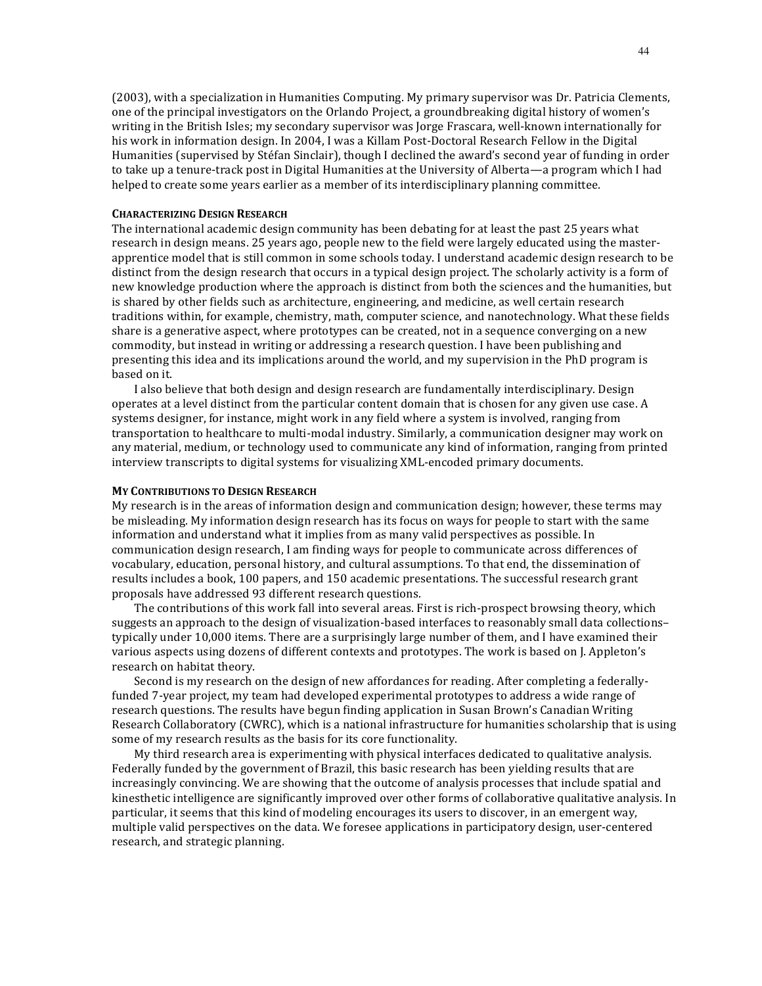(2003), with a specialization in Humanities Computing. My primary supervisor was Dr. Patricia Clements, one of the principal investigators on the Orlando Project, a groundbreaking digital history of women's writing in the British Isles; my secondary supervisor was Jorge Frascara, well-known internationally for his work in information design. In 2004, I was a Killam Post-Doctoral Research Fellow in the Digital Humanities (supervised by Stéfan Sinclair), though I declined the award's second year of funding in order to take up a tenure-track post in Digital Humanities at the University of Alberta—a program which I had helped to create some years earlier as a member of its interdisciplinary planning committee.

### **CHARACTERIZING DESIGN RESEARCH**

The international academic design community has been debating for at least the past 25 years what research in design means. 25 years ago, people new to the field were largely educated using the masterapprentice model that is still common in some schools today. I understand academic design research to be distinct from the design research that occurs in a typical design project. The scholarly activity is a form of new knowledge production where the approach is distinct from both the sciences and the humanities, but is shared by other fields such as architecture, engineering, and medicine, as well certain research traditions within, for example, chemistry, math, computer science, and nanotechnology. What these fields share is a generative aspect, where prototypes can be created, not in a sequence converging on a new commodity, but instead in writing or addressing a research question. I have been publishing and presenting this idea and its implications around the world, and my supervision in the PhD program is based on it.

I also believe that both design and design research are fundamentally interdisciplinary. Design operates at a level distinct from the particular content domain that is chosen for any given use case. A systems designer, for instance, might work in any field where a system is involved, ranging from transportation to healthcare to multi-modal industry. Similarly, a communication designer may work on any material, medium, or technology used to communicate any kind of information, ranging from printed interview transcripts to digital systems for visualizing XML-encoded primary documents.

### **MY CONTRIBUTIONS TO DESIGN RESEARCH**

My research is in the areas of information design and communication design; however, these terms may be misleading. My information design research has its focus on ways for people to start with the same information and understand what it implies from as many valid perspectives as possible. In communication design research, I am finding ways for people to communicate across differences of vocabulary, education, personal history, and cultural assumptions. To that end, the dissemination of results includes a book, 100 papers, and 150 academic presentations. The successful research grant proposals have addressed 93 different research questions.

The contributions of this work fall into several areas. First is rich-prospect browsing theory, which suggests an approach to the design of visualization-based interfaces to reasonably small data collections– typically under 10,000 items. There are a surprisingly large number of them, and I have examined their various aspects using dozens of different contexts and prototypes. The work is based on J. Appleton's research on habitat theory.

Second is my research on the design of new affordances for reading. After completing a federallyfunded 7-year project, my team had developed experimental prototypes to address a wide range of research questions. The results have begun finding application in Susan Brown's Canadian Writing Research Collaboratory (CWRC), which is a national infrastructure for humanities scholarship that is using some of my research results as the basis for its core functionality.

My third research area is experimenting with physical interfaces dedicated to qualitative analysis. Federally funded by the government of Brazil, this basic research has been yielding results that are increasingly convincing. We are showing that the outcome of analysis processes that include spatial and kinesthetic intelligence are significantly improved over other forms of collaborative qualitative analysis. In particular, it seems that this kind of modeling encourages its users to discover, in an emergent way, multiple valid perspectives on the data. We foresee applications in participatory design, user-centered research, and strategic planning.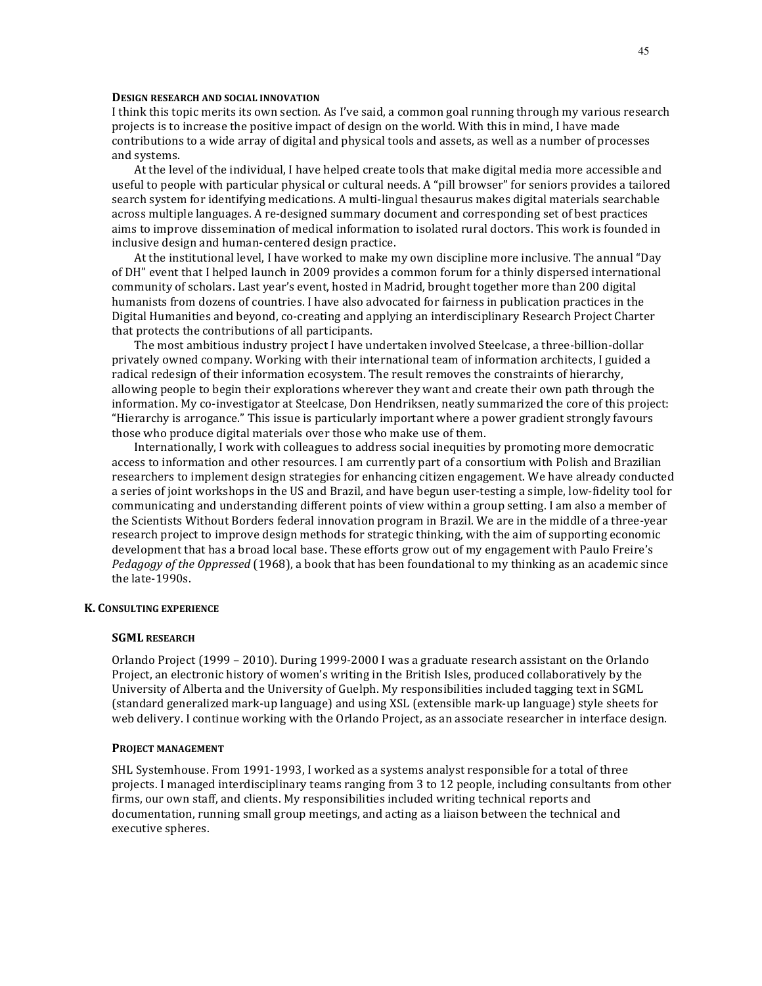#### **DESIGN RESEARCH AND SOCIAL INNOVATION**

I think this topic merits its own section. As I've said, a common goal running through my various research projects is to increase the positive impact of design on the world. With this in mind, I have made contributions to a wide array of digital and physical tools and assets, as well as a number of processes and systems.

At the level of the individual, I have helped create tools that make digital media more accessible and useful to people with particular physical or cultural needs. A "pill browser" for seniors provides a tailored search system for identifying medications. A multi-lingual thesaurus makes digital materials searchable across multiple languages. A re-designed summary document and corresponding set of best practices aims to improve dissemination of medical information to isolated rural doctors. This work is founded in inclusive design and human-centered design practice.

At the institutional level, I have worked to make my own discipline more inclusive. The annual "Day of DH" event that I helped launch in 2009 provides a common forum for a thinly dispersed international community of scholars. Last year's event, hosted in Madrid, brought together more than 200 digital humanists from dozens of countries. I have also advocated for fairness in publication practices in the Digital Humanities and beyond, co-creating and applying an interdisciplinary Research Project Charter that protects the contributions of all participants.

The most ambitious industry project I have undertaken involved Steelcase, a three-billion-dollar privately owned company. Working with their international team of information architects, I guided a radical redesign of their information ecosystem. The result removes the constraints of hierarchy, allowing people to begin their explorations wherever they want and create their own path through the information. My co-investigator at Steelcase, Don Hendriksen, neatly summarized the core of this project: "Hierarchy is arrogance." This issue is particularly important where a power gradient strongly favours those who produce digital materials over those who make use of them.

Internationally, I work with colleagues to address social inequities by promoting more democratic access to information and other resources. I am currently part of a consortium with Polish and Brazilian researchers to implement design strategies for enhancing citizen engagement. We have already conducted a series of joint workshops in the US and Brazil, and have begun user-testing a simple, low-fidelity tool for communicating and understanding different points of view within a group setting. I am also a member of the Scientists Without Borders federal innovation program in Brazil. We are in the middle of a three-year research project to improve design methods for strategic thinking, with the aim of supporting economic development that has a broad local base. These efforts grow out of my engagement with Paulo Freire's *Pedagogy* of the *Oppressed* (1968), a book that has been foundational to my thinking as an academic since the late-1990s.

# **K. CONSULTING EXPERIENCE**

#### **SGML RESEARCH**

Orlando Project  $(1999 - 2010)$ . During 1999-2000 I was a graduate research assistant on the Orlando Project, an electronic history of women's writing in the British Isles, produced collaboratively by the University of Alberta and the University of Guelph. My responsibilities included tagging text in SGML (standard generalized mark-up language) and using XSL (extensible mark-up language) style sheets for web delivery. I continue working with the Orlando Project, as an associate researcher in interface design.

#### **PROJECT MANAGEMENT**

SHL Systemhouse. From 1991-1993, I worked as a systems analyst responsible for a total of three projects. I managed interdisciplinary teams ranging from 3 to 12 people, including consultants from other firms, our own staff, and clients. My responsibilities included writing technical reports and documentation, running small group meetings, and acting as a liaison between the technical and executive spheres.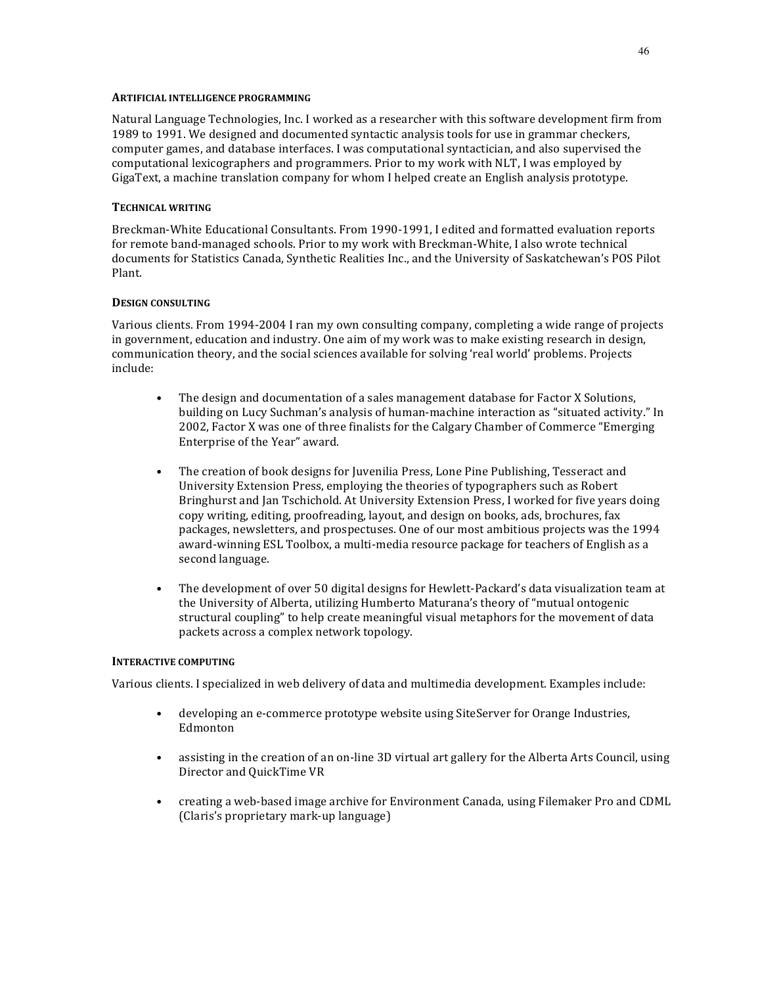### **ARTIFICIAL INTELLIGENCE PROGRAMMING**

Natural Language Technologies, Inc. I worked as a researcher with this software development firm from 1989 to 1991. We designed and documented syntactic analysis tools for use in grammar checkers, computer games, and database interfaces. I was computational syntactician, and also supervised the computational lexicographers and programmers. Prior to my work with NLT, I was employed by GigaText, a machine translation company for whom I helped create an English analysis prototype.

### **TECHNICAL WRITING**

Breckman-White Educational Consultants. From 1990-1991, I edited and formatted evaluation reports for remote band-managed schools. Prior to my work with Breckman-White, I also wrote technical documents for Statistics Canada, Synthetic Realities Inc., and the University of Saskatchewan's POS Pilot Plant.

### **DESIGN CONSULTING**

Various clients. From 1994-2004 I ran my own consulting company, completing a wide range of projects in government, education and industry. One aim of my work was to make existing research in design, communication theory, and the social sciences available for solving 'real world' problems. Projects include: 

- The design and documentation of a sales management database for Factor X Solutions, building on Lucy Suchman's analysis of human-machine interaction as "situated activity." In 2002, Factor X was one of three finalists for the Calgary Chamber of Commerce "Emerging Enterprise of the Year" award.
- The creation of book designs for Juvenilia Press, Lone Pine Publishing, Tesseract and University Extension Press, employing the theories of typographers such as Robert Bringhurst and Jan Tschichold. At University Extension Press, I worked for five years doing copy writing, editing, proofreading, layout, and design on books, ads, brochures, fax packages, newsletters, and prospectuses. One of our most ambitious projects was the 1994 award-winning ESL Toolbox, a multi-media resource package for teachers of English as a second language.
- The development of over 50 digital designs for Hewlett-Packard's data visualization team at the University of Alberta, utilizing Humberto Maturana's theory of "mutual ontogenic structural coupling" to help create meaningful visual metaphors for the movement of data packets across a complex network topology.

#### **INTERACTIVE COMPUTING**

Various clients. I specialized in web delivery of data and multimedia development. Examples include:

- developing an e-commerce prototype website using SiteServer for Orange Industries, Edmonton
- assisting in the creation of an on-line 3D virtual art gallery for the Alberta Arts Council, using Director and QuickTime VR
- creating a web-based image archive for Environment Canada, using Filemaker Pro and CDML (Claris's proprietary mark-up language)